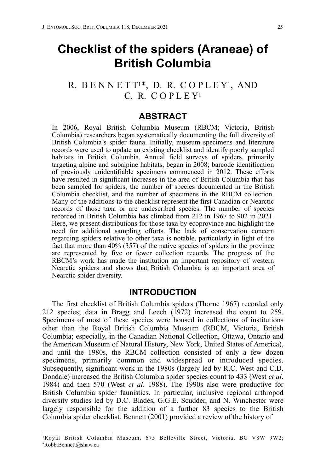# **Checklist of the spiders (Araneae) of British Columbia**

## R. B E N N E T T1\*, D. R. C O P L E Y1, AND C. R. C O P L E Y1

### **ABSTRACT**

In 2006, Royal British Columbia Museum (RBCM; Victoria, British Columbia) researchers began systematically documenting the full diversity of British Columbia's spider fauna. Initially, museum specimens and literature records were used to update an existing checklist and identify poorly sampled habitats in British Columbia. Annual field surveys of spiders, primarily targeting alpine and subalpine habitats, began in 2008; barcode identification of previously unidentifiable specimens commenced in 2012. These efforts have resulted in significant increases in the area of British Columbia that has been sampled for spiders, the number of species documented in the British Columbia checklist, and the number of specimens in the RBCM collection. Many of the additions to the checklist represent the first Canadian or Nearctic records of those taxa or are undescribed species. The number of species recorded in British Columbia has climbed from 212 in 1967 to 902 in 2021. Here, we present distributions for those taxa by ecoprovince and highlight the need for additional sampling efforts. The lack of conservation concern regarding spiders relative to other taxa is notable, particularly in light of the fact that more than 40% (357) of the native species of spiders in the province are represented by five or fewer collection records. The progress of the RBCM's work has made the institution an important repository of western Nearctic spiders and shows that British Columbia is an important area of Nearctic spider diversity.

### **INTRODUCTION**

The first checklist of British Columbia spiders (Thorne 1967) recorded only 212 species; data in Bragg and Leech (1972) increased the count to 259. Specimens of most of these species were housed in collections of institutions other than the Royal British Columbia Museum (RBCM, Victoria, British Columbia; especially, in the Canadian National Collection, Ottawa, Ontario and the American Museum of Natural History, New York, United States of America), and until the 1980s, the RBCM collection consisted of only a few dozen specimens, primarily common and widespread or introduced species. Subsequently, significant work in the 1980s (largely led by R.C. West and C.D. Dondale) increased the British Columbia spider species count to 433 (West *et al*. 1984) and then 570 (West *et al*. 1988). The 1990s also were productive for British Columbia spider faunistics. In particular, inclusive regional arthropod diversity studies led by D.C. Blades, G.G.E. Scudder, and N. Winchester were largely responsible for the addition of a further 83 species to the British Columbia spider checklist. Bennett (2001) provided a review of the history of

<sup>1</sup>Royal British Columbia Museum, 675 Belleville Street, Victoria, BC V8W 9W2; \*Robb.Bennett@shaw.ca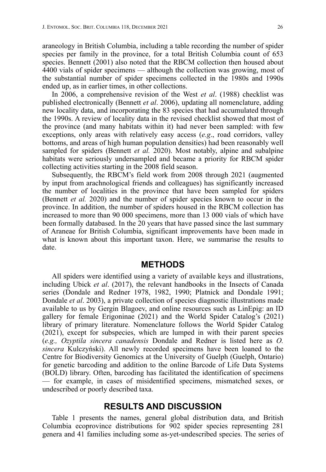araneology in British Columbia, including a table recording the number of spider species per family in the province, for a total British Columbia count of 653 species. Bennett (2001) also noted that the RBCM collection then housed about 4400 vials of spider specimens — although the collection was growing, most of the substantial number of spider specimens collected in the 1980s and 1990s ended up, as in earlier times, in other collections.

In 2006, a comprehensive revision of the West *et al*. (1988) checklist was published electronically (Bennett *et al*. 2006), updating all nomenclature, adding new locality data, and incorporating the 83 species that had accumulated through the 1990s. A review of locality data in the revised checklist showed that most of the province (and many habitats within it) had never been sampled: with few exceptions, only areas with relatively easy access (*e.g*., road corridors, valley bottoms, and areas of high human population densities) had been reasonably well sampled for spiders (Bennett *et al.* 2020). Most notably, alpine and subalpine habitats were seriously undersampled and became a priority for RBCM spider collecting activities starting in the 2008 field season.

Subsequently, the RBCM's field work from 2008 through 2021 (augmented by input from arachnological friends and colleagues) has significantly increased the number of localities in the province that have been sampled for spiders (Bennett *et al.* 2020) and the number of spider species known to occur in the province. In addition, the number of spiders housed in the RBCM collection has increased to more than 90 000 specimens, more than 13 000 vials of which have been formally databased. In the 20 years that have passed since the last summary of Araneae for British Columbia, significant improvements have been made in what is known about this important taxon. Here, we summarise the results to date.

### **METHODS**

All spiders were identified using a variety of available keys and illustrations, including Ubick *et al*. (2017), the relevant handbooks in the Insects of Canada series (Dondale and Redner 1978, 1982, 1990; Platnick and Dondale 1991; Dondale *et al*. 2003), a private collection of species diagnostic illustrations made available to us by Gergin Blagoev, and online resources such as LinEpig: an ID gallery for female Erigoninae (2021) and the World Spider Catalog's (2021) library of primary literature. Nomenclature follows the World Spider Catalog (2021), except for subspecies, which are lumped in with their parent species (*e.g., Ozyptila sincera canadensis* Dondale and Redner is listed here as *O. sincera* Kulczyński). All newly recorded specimens have been loaned to the Centre for Biodiversity Genomics at the University of Guelph (Guelph, Ontario) for genetic barcoding and addition to the online Barcode of Life Data Systems (BOLD) library. Often, barcoding has facilitated the identification of specimens — for example, in cases of misidentified specimens, mismatched sexes, or undescribed or poorly described taxa.

### **RESULTS AND DISCUSSION**

Table 1 presents the names, general global distribution data, and British Columbia ecoprovince distributions for 902 spider species representing 281 genera and 41 families including some as-yet-undescribed species. The series of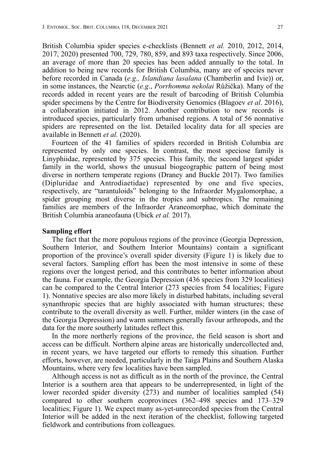British Columbia spider species e-checklists (Bennett *et al.* 2010, 2012, 2014, 2017, 2020) presented 700, 729, 780, 859, and 893 taxa respectively. Since 2006, an average of more than 20 species has been added annually to the total. In addition to being new records for British Columbia, many are of species never before recorded in Canada (*e.g., Islandiana lasalana* (Chamberlin and Ivie)) or, in some instances, the Nearctic (*e.g*., *Porrhomma nekolai* Růžička). Many of the records added in recent years are the result of barcoding of British Columbia spider specimens by the Centre for Biodiversity Genomics (Blagoev *et al*. 2016), a collaboration initiated in 2012. Another contribution to new records is introduced species, particularly from urbanised regions. A total of 56 nonnative spiders are represented on the list. Detailed locality data for all species are available in Bennett *et al.* (2020).

Fourteen of the 41 families of spiders recorded in British Columbia are represented by only one species. In contrast, the most speciose family is Linyphiidae, represented by 375 species. This family, the second largest spider family in the world, shows the unusual biogeographic pattern of being most diverse in northern temperate regions (Draney and Buckle 2017). Two families (Dipluridae and Antrodiaetidae) represented by one and five species, respectively, are "tarantuloids" belonging to the Infraorder Mygalomorphae, a spider grouping most diverse in the tropics and subtropics. The remaining families are members of the Infraorder Araneomorphae, which dominate the British Columbia araneofauna (Ubick *et al.* 2017).

#### **Sampling effort**

The fact that the more populous regions of the province (Georgia Depression, Southern Interior, and Southern Interior Mountains) contain a significant proportion of the province's overall spider diversity (Figure 1) is likely due to several factors. Sampling effort has been the most intensive in some of these regions over the longest period, and this contributes to better information about the fauna. For example, the Georgia Depression (436 species from 329 localities) can be compared to the Central Interior (273 species from 54 localities; Figure 1). Nonnative species are also more likely in disturbed habitats, including several synanthropic species that are highly associated with human structures; these contribute to the overall diversity as well. Further, milder winters (in the case of the Georgia Depression) and warm summers generally favour arthropods, and the data for the more southerly latitudes reflect this.

In the more northerly regions of the province, the field season is short and access can be difficult. Northern alpine areas are historically undercollected and, in recent years, we have targeted our efforts to remedy this situation. Further efforts, however, are needed, particularly in the Taiga Plains and Southern Alaska Mountains, where very few localities have been sampled.

Although access is not as difficult as in the north of the province, the Central Interior is a southern area that appears to be underrepresented, in light of the lower recorded spider diversity  $(273)$  and number of localities sampled (54) compared to other southern ecoprovinces (362–498 species and 173–329 localities; Figure 1). We expect many as-yet-unrecorded species from the Central Interior will be added in the next iteration of the checklist, following targeted fieldwork and contributions from colleagues.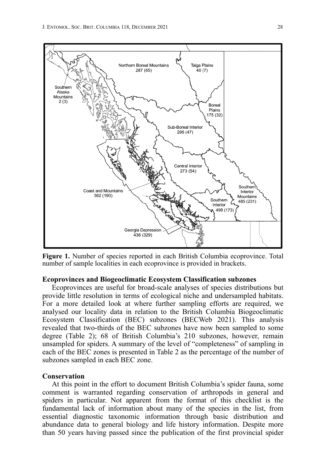

**Figure 1.** Number of species reported in each British Columbia ecoprovince. Total number of sample localities in each ecoprovince is provided in brackets.

#### **Ecoprovinces and Biogeoclimatic Ecosystem Classification subzones**

Ecoprovinces are useful for broad-scale analyses of species distributions but provide little resolution in terms of ecological niche and undersampled habitats. For a more detailed look at where further sampling efforts are required, we analysed our locality data in relation to the British Columbia Biogeoclimatic Ecosystem Classification (BEC) subzones (BECWeb 2021). This analysis revealed that two-thirds of the BEC subzones have now been sampled to some degree (Table 2); 68 of British Columbia's 210 subzones, however, remain unsampled for spiders. A summary of the level of "completeness" of sampling in each of the BEC zones is presented in Table 2 as the percentage of the number of subzones sampled in each BEC zone.

#### **Conservation**

At this point in the effort to document British Columbia's spider fauna, some comment is warranted regarding conservation of arthropods in general and spiders in particular. Not apparent from the format of this checklist is the fundamental lack of information about many of the species in the list, from essential diagnostic taxonomic information through basic distribution and abundance data to general biology and life history information. Despite more than 50 years having passed since the publication of the first provincial spider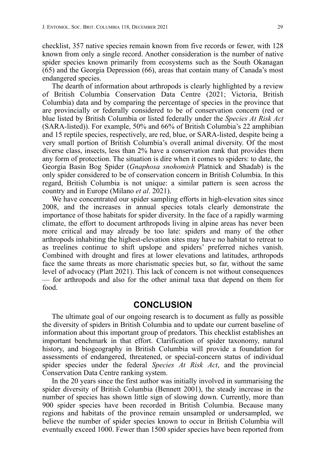checklist, 357 native species remain known from five records or fewer, with 128 known from only a single record. Another consideration is the number of native spider species known primarily from ecosystems such as the South Okanagan (65) and the Georgia Depression (66), areas that contain many of Canada's most endangered species.

The dearth of information about arthropods is clearly highlighted by a review of British Columbia Conservation Data Centre (2021; Victoria, British Columbia) data and by comparing the percentage of species in the province that are provincially or federally considered to be of conservation concern (red or blue listed by British Columbia or listed federally under the *Species At Risk Act* (SARA-listed)). For example, 50% and 66% of British Columbia's 22 amphibian and 15 reptile species, respectively, are red, blue, or SARA-listed, despite being a very small portion of British Columbia's overall animal diversity. Of the most diverse class, insects, less than 2% have a conservation rank that provides them any form of protection. The situation is dire when it comes to spiders: to date, the Georgia Basin Bog Spider (*Gnaphosa snohomish* Platnick and Shadab) is the only spider considered to be of conservation concern in British Columbia. In this regard, British Columbia is not unique: a similar pattern is seen across the country and in Europe (Milano *et al*. 2021).

We have concentrated our spider sampling efforts in high-elevation sites since 2008, and the increases in annual species totals clearly demonstrate the importance of those habitats for spider diversity. In the face of a rapidly warming climate, the effort to document arthropods living in alpine areas has never been more critical and may already be too late: spiders and many of the other arthropods inhabiting the highest-elevation sites may have no habitat to retreat to as treelines continue to shift upslope and spiders' preferred niches vanish. Combined with drought and fires at lower elevations and latitudes, arthropods face the same threats as more charismatic species but, so far, without the same level of advocacy (Platt 2021). This lack of concern is not without consequences — for arthropods and also for the other animal taxa that depend on them for food.

### **CONCLUSION**

The ultimate goal of our ongoing research is to document as fully as possible the diversity of spiders in British Columbia and to update our current baseline of information about this important group of predators. This checklist establishes an important benchmark in that effort. Clarification of spider taxonomy, natural history, and biogeography in British Columbia will provide a foundation for assessments of endangered, threatened, or special-concern status of individual spider species under the federal *Species At Risk Act*, and the provincial Conservation Data Centre ranking system.

In the 20 years since the first author was initially involved in summarising the spider diversity of British Columbia (Bennett 2001), the steady increase in the number of species has shown little sign of slowing down. Currently, more than 900 spider species have been recorded in British Columbia. Because many regions and habitats of the province remain unsampled or undersampled, we believe the number of spider species known to occur in British Columbia will eventually exceed 1000. Fewer than 1500 spider species have been reported from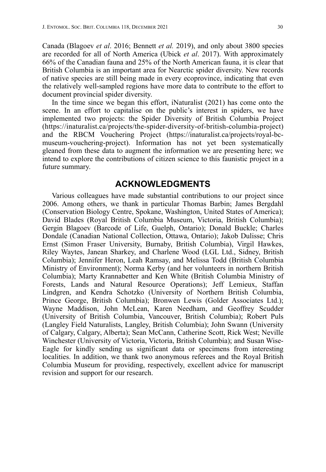Canada (Blagoev *et al*. 2016; Bennett *et al.* 2019), and only about 3800 species are recorded for all of North America (Ubick *et al*. 2017). With approximately 66% of the Canadian fauna and 25% of the North American fauna, it is clear that British Columbia is an important area for Nearctic spider diversity. New records of native species are still being made in every ecoprovince, indicating that even the relatively well-sampled regions have more data to contribute to the effort to document provincial spider diversity.

In the time since we began this effort, iNaturalist (2021) has come onto the scene. In an effort to capitalise on the public's interest in spiders, we have implemented two projects: the Spider Diversity of British Columbia Project (https://inaturalist.ca/projects/the-spider-diversity-of-british-columbia-project) and the RBCM Vouchering Project (https://inaturalist.ca/projects/royal-bcmuseum-vouchering-project). Information has not yet been systematically gleaned from these data to augment the information we are presenting here; we intend to explore the contributions of citizen science to this faunistic project in a future summary.

### **ACKNOWLEDGMENTS**

Various colleagues have made substantial contributions to our project since 2006. Among others, we thank in particular Thomas Barbin; James Bergdahl (Conservation Biology Centre, Spokane, Washington, United States of America); David Blades (Royal British Columbia Museum, Victoria, British Columbia); Gergin Blagoev (Barcode of Life, Guelph, Ontario); Donald Buckle; Charles Dondale (Canadian National Collection, Ottawa, Ontario); Jakob Dulisse; Chris Ernst (Simon Fraser University, Burnaby, British Columbia), Virgil Hawkes, Riley Waytes, Janean Sharkey, and Charlene Wood (LGL Ltd., Sidney, British Columbia); Jennifer Heron, Leah Ramsay, and Melissa Todd (British Columbia Ministry of Environment); Norma Kerby (and her volunteers in northern British Columbia); Marty Krannabetter and Ken White (British Columbia Ministry of Forests, Lands and Natural Resource Operations); Jeff Lemieux, Staffan Lindgren, and Kendra Schotzko (University of Northern British Columbia, Prince George, British Columbia); Bronwen Lewis (Golder Associates Ltd.); Wayne Maddison, John McLean, Karen Needham, and Geoffrey Scudder (University of British Columbia, Vancouver, British Columbia); Robert Puls (Langley Field Naturalists, Langley, British Columbia); John Swann (University of Calgary, Calgary, Alberta); Sean McCann, Catherine Scott, Rick West; Neville Winchester (University of Victoria, Victoria, British Columbia); and Susan Wise-Eagle for kindly sending us significant data or specimens from interesting localities. In addition, we thank two anonymous referees and the Royal British Columbia Museum for providing, respectively, excellent advice for manuscript revision and support for our research.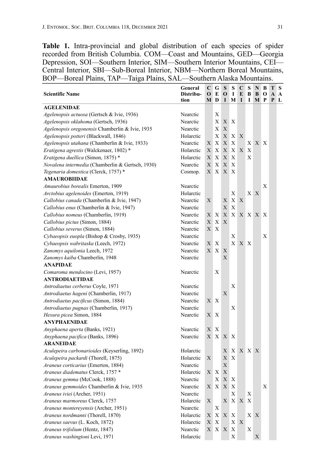**Table 1.** Intra-provincial and global distribution of each species of spider recorded from British Columbia. COM—Coast and Mountains, GED—Georgia Depression, SOI—Southern Interior, SIM—Southern Interior Mountains, CEI— Central Interior, SBI—Sub-Boreal Interior, NBM—Northern Boreal Mountains, BOP—Boreal Plains, TAP—Taiga Plains, SAL—Southern Alaska Mountains.

| <b>Scientific Name</b>                           | General<br>Distribu-<br>tion | C<br>$\mathbf 0$<br>М | G<br>E<br>D  | S<br>O<br>I                                  | s<br>1<br>M               | C<br>E<br>I | S<br>B<br>I    | N<br>B<br>M | B<br>O<br>P  | тs<br>A A<br>P L |  |
|--------------------------------------------------|------------------------------|-----------------------|--------------|----------------------------------------------|---------------------------|-------------|----------------|-------------|--------------|------------------|--|
| <b>AGELENIDAE</b>                                |                              |                       |              |                                              |                           |             |                |             |              |                  |  |
| Agelenopsis actuosa (Gertsch & Ivie, 1936)       | Nearctic                     |                       | Х            |                                              |                           |             |                |             |              |                  |  |
| Agelenopsis oklahoma (Gertsch, 1936)             | Nearctic                     |                       | X            | X                                            | Χ                         |             |                |             |              |                  |  |
| Agelenopsis oregonensis Chamberlin & Ivie, 1935  | Nearctic                     |                       | X            | X                                            |                           |             |                |             |              |                  |  |
| Agelenopsis potteri (Blackwall, 1846)            | Holarctic                    |                       | Χ            | X                                            | X                         | X           |                |             |              |                  |  |
| Agelenopsis utahana (Chamberlin & Ivie, 1933)    | Nearctic                     | X                     | X            | Х                                            | Х                         |             | X <sub>1</sub> | X           | $\mathbf{X}$ |                  |  |
| Eratigena agrestis (Walckenaer, 1802)*           | Holarctic                    | Х                     | X            | X                                            | X                         | X           | Х              |             |              |                  |  |
| Eratigena duellica (Simon, 1875) *               | Holarctic                    | X                     | X            | X                                            | X                         |             | X              |             |              |                  |  |
| Novalena intermedia (Chamberlin & Gertsch, 1930) | Nearctic                     | X                     | X            | X                                            | X                         |             |                |             |              |                  |  |
| Tegenaria domestica (Clerck, 1757)*              | Cosmop.                      | X                     | X            | X                                            | Χ                         |             |                |             |              |                  |  |
| <b>AMAUROBIIDAE</b>                              |                              |                       |              |                                              |                           |             |                |             |              |                  |  |
| Amaurobius borealis Emerton, 1909                | Nearctic                     |                       |              |                                              |                           |             |                |             | Х            |                  |  |
| Arctobius agelenoides (Emerton, 1919)            | Holarctic                    |                       |              |                                              | Х                         |             | X              | X           |              |                  |  |
| Callobius canada (Chamberlin & Ivie, 1947)       | Nearctic                     | X                     |              | Х                                            | X                         | X           |                |             |              |                  |  |
| Callobius enus (Chamberlin & Ivie, 1947)         | Nearctic                     |                       |              | Х                                            | Х                         |             |                |             |              |                  |  |
| Callobius nomeus (Chamberlin, 1919)              | Nearctic                     | Χ                     | X            | X                                            | X                         |             | X X X          |             | $\mathbf{X}$ |                  |  |
| Callobius pictus (Simon, 1884)                   | Nearctic                     | X                     | Χ            | X                                            |                           |             |                |             |              |                  |  |
| Callobius severus (Simon, 1884)                  | Nearctic                     | X                     | Χ            |                                              |                           |             |                |             |              |                  |  |
| Cybaeopsis euopla (Bishop & Crosby, 1935)        | Nearctic                     |                       |              |                                              | Х                         |             |                |             | Х            |                  |  |
| Cybaeopsis wabritaska (Leech, 1972)              | Nearctic                     | Χ                     | Х            |                                              | X                         | X X         |                |             |              |                  |  |
| Zanomys aquilonia Leech, 1972                    | Nearctic                     | X                     | $\mathbf{X}$ | X                                            |                           |             |                |             |              |                  |  |
| Zanomys kaiba Chamberlin, 1948                   | Nearctic                     |                       |              | X                                            |                           |             |                |             |              |                  |  |
| <b>ANAPIDAE</b>                                  |                              |                       |              |                                              |                           |             |                |             |              |                  |  |
| Comaroma mendocino (Levi, 1957)                  | Nearctic                     |                       | Х            |                                              |                           |             |                |             |              |                  |  |
| <b>ANTRODIAETIDAE</b>                            |                              |                       |              |                                              |                           |             |                |             |              |                  |  |
| Antrodiaetus cerberus Coyle, 1971                | Nearctic                     |                       |              |                                              | Х                         |             |                |             |              |                  |  |
| Antrodiaetus hageni (Chamberlin, 1917)           | Nearctic                     |                       |              | Х                                            |                           |             |                |             |              |                  |  |
| Antrodiaetus pacificus (Simon, 1884)             | Nearctic                     | X                     | Х            |                                              |                           |             |                |             |              |                  |  |
| Antrodiaetus pugnax (Chamberlin, 1917)           | Nearctic                     |                       |              |                                              | Х                         |             |                |             |              |                  |  |
| Hexura picea Simon, 1884                         | Nearctic                     | X                     | X            |                                              |                           |             |                |             |              |                  |  |
| <b>ANYPHAENIDAE</b>                              |                              |                       |              |                                              |                           |             |                |             |              |                  |  |
| Anyphaena aperta (Banks, 1921)                   | Nearctic                     | X                     | Х            |                                              |                           |             |                |             |              |                  |  |
| Anyphaena pacifica (Banks, 1896)                 | Nearctic                     | X                     | $\mathbf{X}$ | X                                            | Χ                         |             |                |             |              |                  |  |
| <b>ARANEIDAE</b>                                 |                              |                       |              |                                              |                           |             |                |             |              |                  |  |
| Aculepeira carbonarioides (Keyserling, 1892)     | Holarctic                    |                       |              | Х                                            | Χ                         |             | XX             | X           |              |                  |  |
| Aculepeira packardi (Thorell, 1875)              | Holarctic                    | X                     |              | Х                                            | Х                         |             |                |             |              |                  |  |
| Araneus corticarius (Emerton, 1884)              | Nearctic                     |                       |              | Х                                            |                           |             |                |             |              |                  |  |
| Araneus diadematus Clerck, 1757 *                | Holarctic                    |                       | XX           | Х                                            |                           |             |                |             |              |                  |  |
| Araneus gemma (McCook, 1888)                     | Nearctic                     |                       | Χ            | X                                            | Χ                         |             |                |             |              |                  |  |
| Araneus gemmoides Chamberlin & Ivie, 1935        | Nearctic                     | X                     |              | $\mathbf{X} \mid \mathbf{X} \mid \mathbf{X}$ |                           |             |                |             | X            |                  |  |
| Araneus iviei (Archer, 1951)                     | Nearctic                     |                       |              |                                              | X                         |             | Х              |             |              |                  |  |
| Araneus marmoreus Clerck, 1757                   | Holarctic                    | $\mathbf X$           |              |                                              | $X \mid X$                | X X         |                |             |              |                  |  |
| Araneus montereyensis (Archer, 1951)             | Nearctic                     |                       | $\mathbf X$  |                                              |                           |             |                |             |              |                  |  |
| Araneus nordmanni (Thorell, 1870)                | Holarctic                    | X                     | X            | $\mathbf X$                                  | X                         |             |                | X X         |              |                  |  |
| Araneus saevus (L. Koch, 1872)                   | Holarctic                    | X                     | $\mathbf X$  |                                              | $\mathbf X$               | $\mathbf X$ |                |             |              |                  |  |
| Araneus trifolium (Hentz, 1847)                  | Nearctic                     |                       | $X \mid X$   | X                                            | $\boldsymbol{\mathrm{X}}$ |             | X              |             |              |                  |  |
| Araneus washingtoni Levi, 1971                   | Holarctic                    |                       |              |                                              | X                         |             |                | $\mathbf X$ |              |                  |  |
|                                                  |                              |                       |              |                                              |                           |             |                |             |              |                  |  |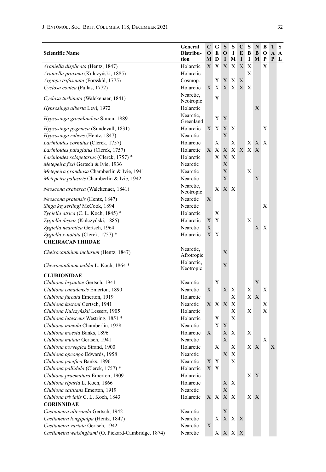| <b>Scientific Name</b>                               | General<br>Distribu-<br>tion | C<br>$\mathbf 0$ | G<br>E<br>M D | S<br>$\mathbf{o}$<br>$\bf{I}$ | S<br>1<br>M | C<br>E<br>I | S<br>В<br>1    | N<br>B<br>M                  | В<br>O<br>P | T | S<br>A A<br>P L |
|------------------------------------------------------|------------------------------|------------------|---------------|-------------------------------|-------------|-------------|----------------|------------------------------|-------------|---|-----------------|
| Araniella displicata (Hentz, 1847)                   | Holarctic                    | X                | X             | X                             | X           | X           | X              |                              | X           |   |                 |
| Araniella proxima (Kulczyński, 1885)                 | Holarctic                    |                  |               |                               |             |             | Х              |                              |             |   |                 |
| Argiope trifasciata (Forsskål, 1775)                 | Cosmop.                      |                  | Х             | X                             | X           | X           |                |                              |             |   |                 |
| Cyclosa conica (Pallas, 1772)                        | Holarctic                    | X                | X             | X                             | X           | $X_{-}$     | Χ              |                              |             |   |                 |
| Cyclosa turbinata (Walckenaer, 1841)                 | Nearctic,<br>Neotropic       |                  | Х             |                               |             |             |                |                              |             |   |                 |
| Hypsosinga alberta Levi, 1972                        | Holarctic                    |                  |               |                               |             |             |                | X                            |             |   |                 |
| <i>Hypsosinga groenlandica</i> Simon, 1889           | Nearctic.<br>Greenland       |                  | X             | X                             |             |             |                |                              |             |   |                 |
| Hypsosinga pygmaea (Sundevall, 1831)                 | Holarctic                    | X                | X             | X                             | Х           |             |                |                              | Х           |   |                 |
| Hypsosinga rubens (Hentz, 1847)                      | Nearctic                     |                  |               | X                             |             |             |                |                              |             |   |                 |
| Larinioides cornutus (Clerck, 1757)                  | Holarctic                    |                  | Х             |                               | Х           |             | X <sub>1</sub> | X                            | X           |   |                 |
| Larinioides patagiatus (Clerck, 1757)                | Holarctic                    | X                | X             | X                             | Χ           | X           | X              | X                            |             |   |                 |
| Larinioides sclopetarius (Clerck, 1757) *            | Holarctic                    |                  | X             | X                             | X           |             |                |                              |             |   |                 |
| Metepeira foxi Gertsch & Ivie, 1936                  | Nearctic                     |                  |               | X                             |             |             |                |                              |             |   |                 |
| Metepeira grandiosa Chamberlin & Ivie, 1941          | Nearctic                     |                  |               | X                             |             |             | X              |                              |             |   |                 |
| Metepeira palustris Chamberlin & Ivie, 1942          | Nearctic                     |                  |               | X                             |             |             |                | X                            |             |   |                 |
| Neoscona arabesca (Walckenaer, 1841)                 | Nearctic,<br>Neotropic       |                  | X             | X                             | X           |             |                |                              |             |   |                 |
| Neoscona pratensis (Hentz, 1847)                     | Nearctic                     | X                |               |                               |             |             |                |                              |             |   |                 |
| Singa keyserlingi McCook, 1894                       | Nearctic                     |                  |               |                               |             |             |                |                              | X           |   |                 |
| Zygiella atrica (C. L. Koch, 1845) *                 | Holarctic                    |                  | Х             |                               |             |             |                |                              |             |   |                 |
| Zygiella dispar (Kulczyński, 1885)                   | Holarctic                    | X                | X             |                               |             |             | X              |                              |             |   |                 |
| Zygiella nearctica Gertsch, 1964                     | Nearctic                     | X                |               |                               |             |             |                | X                            | X           |   |                 |
| Zygiella x-notata (Clerck, 1757) *                   | Holarctic                    | X.               | Х             |                               |             |             |                |                              |             |   |                 |
| <b>CHEIRACANTHIIDAE</b>                              |                              |                  |               |                               |             |             |                |                              |             |   |                 |
| Cheiracanthium inclusum (Hentz, 1847)                | Nearctic,<br>Afrotropic      |                  |               | X                             |             |             |                |                              |             |   |                 |
| Cheiracanthium mildei L. Koch, 1864 *                | Holarctic,<br>Neotropic      |                  |               | X                             |             |             |                |                              |             |   |                 |
| <b>CLUBIONIDAE</b>                                   |                              |                  |               |                               |             |             |                |                              |             |   |                 |
| Clubiona bryantae Gertsch, 1941                      | Nearctic                     |                  | Х             |                               |             |             |                | X                            |             |   |                 |
| Clubiona canadensis Emerton, 1890                    | Nearctic                     | X                |               | X                             | Χ           |             | Х              |                              | Х           |   |                 |
| Clubiona furcata Emerton, 1919                       | Holarctic                    |                  |               |                               | X           |             |                | XX                           |             |   |                 |
| Clubiona kastoni Gertsch, 1941                       | Nearctic                     | X                | X             | X                             | X           |             |                |                              | Х           |   |                 |
| Clubiona Kulczyńskii Lessert, 1905                   | Holarctic                    |                  |               |                               | X           |             | Х              |                              | X           |   |                 |
| Clubiona lutescens Westring, 1851 *                  | Holarctic                    |                  | Х             |                               | Χ           |             |                |                              |             |   |                 |
| Clubiona mimula Chamberlin, 1928                     | Nearctic                     |                  | X             | Х                             |             |             |                |                              |             |   |                 |
| Clubiona moesta Banks, 1896                          | Holarctic                    | X                |               | X                             | X           |             | Х              |                              |             |   |                 |
| Clubiona mutata Gertsch, 1941                        | Nearctic                     |                  |               | X                             |             |             |                |                              | Х           |   |                 |
| Clubiona norvegica Strand, 1900                      | Holarctic                    |                  | X             |                               | $\mathbf X$ |             |                | X X                          |             | Х |                 |
| Clubiona opeongo Edwards, 1958                       | Nearctic                     |                  |               | $\mathbf X$                   | X           |             |                |                              |             |   |                 |
| Clubiona pacifica Banks, 1896                        | Nearctic                     | X                | X             |                               | $\mathbf X$ |             |                |                              |             |   |                 |
| Clubiona pallidula (Clerck, 1757) *                  | Holarctic                    |                  | X X           |                               |             |             |                |                              |             |   |                 |
| Clubiona praematura Emerton, 1909                    | Holarctic                    |                  |               |                               |             |             |                | XX                           |             |   |                 |
| Clubiona riparia L. Koch, 1866                       | Holarctic                    |                  |               | Χ                             | X           |             |                |                              |             |   |                 |
| Clubiona saltitans Emerton, 1919                     | Nearctic                     |                  |               | $\mathbf X$                   |             |             |                |                              |             |   |                 |
| Clubiona trivialis C. L. Koch, 1843                  | Holarctic                    |                  | XX            | $\mathbf X$                   | Χ           |             |                | $\mathbf{X} \mid \mathbf{X}$ |             |   |                 |
| <b>CORINNIDAE</b>                                    |                              |                  |               |                               |             |             |                |                              |             |   |                 |
| Castianeira alteranda Gertsch, 1942                  | Nearctic                     |                  |               | $\mathbf X$                   |             |             |                |                              |             |   |                 |
| Castianeira longipalpa (Hentz, 1847)                 | Nearctic                     |                  | X             | $\mathbf X$                   | X           | Χ           |                |                              |             |   |                 |
| Castianeira variata Gertsch, 1942                    | Nearctic                     | $\mathbf X$      |               |                               |             |             |                |                              |             |   |                 |
| Castianeira walsinghami (O. Pickard-Cambridge, 1874) | Nearctic                     |                  |               | $X \mid X \mid X$             |             | $\mathbf X$ |                |                              |             |   |                 |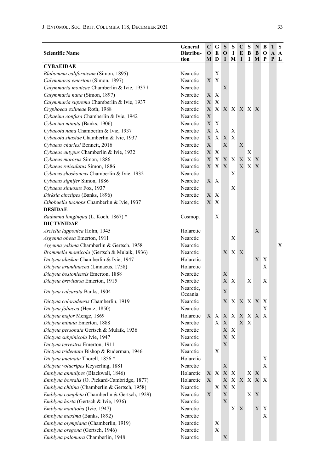| <b>Scientific Name</b>                                                                        | General<br>Distribu- | C<br>0 | G<br>E                    | S<br>O                     | S<br>1       | C<br>E       | S<br>В         | N<br>B | B<br>0 | Т<br>A | S<br>A |
|-----------------------------------------------------------------------------------------------|----------------------|--------|---------------------------|----------------------------|--------------|--------------|----------------|--------|--------|--------|--------|
|                                                                                               | tion                 | M D    |                           | 1                          | M            | I            | 1              | М      | P      | P      | L      |
| CYBAEIDAE                                                                                     |                      |        |                           |                            |              |              |                |        |        |        |        |
| Blabomma californicum (Simon, 1895)                                                           | Nearctic             |        | X                         |                            |              |              |                |        |        |        |        |
| Calymmaria emertoni (Simon, 1897)                                                             | Nearctic             | X.     | $\mathbf{X}$              |                            |              |              |                |        |        |        |        |
| Calymmaria monicae Chamberlin & Ivie, 1937 +                                                  | Nearctic             |        |                           | Х                          |              |              |                |        |        |        |        |
| Calymmaria nana (Simon, 1897)                                                                 | Nearctic             | X      | Х                         |                            |              |              |                |        |        |        |        |
| Calymmaria suprema Chamberlin & Ivie, 1937                                                    | Nearctic             | X      | X                         |                            |              |              |                |        |        |        |        |
| Cryphoeca exlineae Roth, 1988                                                                 | Nearctic             | X      | X                         |                            | X X          |              | X X X          |        |        |        |        |
| Cybaeina confusa Chamberlin & Ivie, 1942                                                      | Nearctic             | X      |                           |                            |              |              |                |        |        |        |        |
| Cybaeina minuta (Banks, 1906)                                                                 | Nearctic             | X      | X                         |                            |              |              |                |        |        |        |        |
| Cybaeota nana Chamberlin & Ivie, 1937                                                         | Nearctic             | X X    |                           |                            | Х            |              |                |        |        |        |        |
| Cybaeota shastae Chamberlin & Ivie, 1937                                                      | Nearctic             | X      | X                         | X                          | Х            |              |                |        |        |        |        |
| Cybaeus charlesi Bennett, 2016                                                                | Nearctic             | X      |                           | X                          |              | X            |                |        |        |        |        |
| Cybaeus eutypus Chamberlin & Ivie, 1932                                                       | Nearctic             | X      | X                         |                            |              |              | Х              |        |        |        |        |
| Cybaeus morosus Simon, 1886                                                                   | Nearctic             | X      | X                         |                            | X X          | X            | X              | X      |        |        |        |
| Cybaeus reticulatus Simon, 1886                                                               | Nearctic             | X      | X X                       |                            |              | $\mathbf{X}$ | X <sup>2</sup> | X      |        |        |        |
| Cybaeus shoshoneus Chamberlin & Ivie, 1932                                                    | Nearctic             |        |                           |                            | Х            |              |                |        |        |        |        |
| Cybaeus signifer Simon, 1886                                                                  | Nearctic             | X X    |                           |                            |              |              |                |        |        |        |        |
| Cybaeus sinuosus Fox, 1937                                                                    | Nearctic             |        |                           |                            | X            |              |                |        |        |        |        |
| Dirksia cinctipes (Banks, 1896)                                                               | Nearctic             | X      | $\boldsymbol{\mathrm{X}}$ |                            |              |              |                |        |        |        |        |
| Ethobuella tuonops Chamberlin & Ivie, 1937                                                    | Nearctic             | X      | Χ                         |                            |              |              |                |        |        |        |        |
| <b>DESIDAE</b>                                                                                |                      |        |                           |                            |              |              |                |        |        |        |        |
| Badumna longinqua (L. Koch, 1867) *                                                           | Cosmop.              |        | X                         |                            |              |              |                |        |        |        |        |
| <b>DICTYNIDAE</b>                                                                             |                      |        |                           |                            |              |              |                |        |        |        |        |
| Arctella lapponica Holm, 1945                                                                 | Holarctic            |        |                           |                            |              |              |                | X      |        |        |        |
| Argenna obesa Emerton, 1911                                                                   | Nearctic             |        |                           |                            | Х            |              |                |        |        |        |        |
| Argenna yakima Chamberlin & Gertsch, 1958                                                     | Nearctic             |        |                           |                            |              |              |                |        |        |        | X      |
| <i>Brommella monticola</i> (Gertsch & Mulaik, 1936)                                           | Nearctic             |        |                           | X                          | X            | X            |                |        |        |        |        |
| Dictyna alaskae Chamberlin & Ivie, 1947                                                       | Holarctic            |        |                           |                            |              |              |                | X      | Х      |        |        |
| Dictyna arundinacea (Linnaeus, 1758)                                                          | Holarctic            |        |                           |                            |              |              |                |        | Х      |        |        |
| Dictyna bostoniensis Emerton, 1888                                                            | Nearctic             |        |                           | Х                          |              |              |                |        |        |        |        |
| Dictyna brevitarsa Emerton, 1915                                                              | Nearctic             |        |                           | X                          | X            |              | Х              |        | X      |        |        |
| Dictyna calcarata Banks, 1904                                                                 | Nearctic,            |        |                           | Х                          |              |              |                |        |        |        |        |
| Dictyna coloradensis Chamberlin, 1919                                                         | Oceania<br>Nearctic  |        |                           | X                          | X            |              | XX.            | X      | X      |        |        |
| Dictyna foliacea (Hentz, 1850)                                                                | Nearctic             |        |                           |                            |              |              |                |        | Х      |        |        |
| Dictyna major Menge, 1869                                                                     | Holarctic            | X      | Χ                         | X                          | X            | X            |                | X X X  |        |        |        |
| Dictyna minuta Emerton, 1888                                                                  | Nearctic             |        | Χ                         | X                          |              | X            | Х              |        |        |        |        |
| Dictyna personata Gertsch & Mulaik, 1936                                                      | Nearctic             |        |                           | X                          | X            |              |                |        |        |        |        |
| Dictyna subpinicola Ivie, 1947                                                                | Nearctic             |        |                           | X                          | X            |              |                |        |        |        |        |
|                                                                                               |                      |        |                           | X.                         |              |              |                |        |        |        |        |
| Dictyna terrestris Emerton, 1911<br>Dictyna tridentata Bishop & Ruderman, 1946                | Nearctic<br>Nearctic |        | $\mathbf X$               |                            |              |              |                |        |        |        |        |
| Dictyna uncinata Thorell, 1856 *                                                              | Holarctic            |        |                           |                            |              |              |                |        | Χ      |        |        |
| Dictyna volucripes Keyserling, 1881                                                           | Nearctic             |        |                           | Х                          |              |              |                |        | X      |        |        |
|                                                                                               |                      |        |                           |                            |              |              |                |        |        |        |        |
| Emblyna annulipes (Blackwall, 1846)                                                           | Holarctic            | Х      | X                         | $\mathbf X$                | $\mathbf{X}$ |              | X              | X      |        |        |        |
| Emblyna borealis (O. Pickard-Cambridge, 1877)<br>Emblyna chitina (Chamberlin & Gertsch, 1958) | Holarctic            | X      |                           | Х                          | X            | X            | X              | X      | X      |        |        |
| Emblyna completa (Chamberlin & Gertsch, 1929)                                                 | Nearctic             |        | X                         | $\mathbf X$<br>$\mathbf X$ | Х            |              |                |        |        |        |        |
|                                                                                               | Nearctic             | Х      |                           |                            |              |              | $X_{\perp}$    | X      |        |        |        |
| Emblyna horta (Gertsch & Ivie, 1936)                                                          | Nearctic             |        |                           | $\mathbf X$                |              |              |                |        |        |        |        |
| Emblyna manitoba (Ivie, 1947)                                                                 | Nearctic             |        |                           |                            | $X_{-}$      | Χ            |                | X.     | X      |        |        |
| Emblyna maxima (Banks, 1892)                                                                  | Nearctic             |        |                           |                            |              |              |                |        | Х      |        |        |
| Emblyna olympiana (Chamberlin, 1919)                                                          | Nearctic             |        | $\mathbf X$               |                            |              |              |                |        |        |        |        |
| Emblyna oregona (Gertsch, 1946)                                                               | Nearctic             |        | $\mathbf X$               |                            |              |              |                |        |        |        |        |
| Emblyna palomara Chamberlin, 1948                                                             | Nearctic             |        |                           | $\mathbf X$                |              |              |                |        |        |        |        |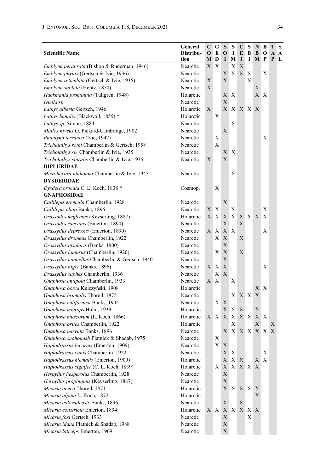| <b>Scientific Name</b>                          | General<br>Distribu- | $\mathbf C$<br>$\mathbf 0$ | G<br>E | S<br>$\bf o$                 | S<br>1       | C<br>E | S<br>B  | N<br>B  | B<br>O | Т<br>A | S<br>A |
|-------------------------------------------------|----------------------|----------------------------|--------|------------------------------|--------------|--------|---------|---------|--------|--------|--------|
|                                                 | tion                 | М                          | D      | 1                            | M            | I      | 1       | M       | P      | P      | L      |
| Emblyna peragrata (Bishop & Ruderman, 1946)     | Nearctic             | X                          | Х      |                              | X            | Х      |         |         |        |        |        |
| Emblyna phylax (Gertsch & Ivie, 1936)           | Nearctic             |                            |        | Х                            | X            | X      | Х       |         | Х      |        |        |
| Emblyna reticulata (Gertsch & Ivie, 1936)       | Nearctic             | X                          |        | X                            |              |        | X       |         |        |        |        |
| Emblyna sublata (Hentz, 1850)                   | Nearctic             | X                          |        |                              |              |        |         | Χ       |        |        |        |
| Hackmania prominula (Tullgren, 1948)            | Holarctic            |                            |        | X                            | X            |        |         | X       | X      |        |        |
| Iviella sp.                                     | Nearctic             |                            |        | X                            |              |        |         |         |        |        |        |
| Lathys alberta Gertsch, 1946                    | Holarctic            | X                          |        | X                            | $\mathbf X$  |        | X X X   |         |        |        |        |
| Lathys humilis (Blackwall, 1855) *              | Holarctic            |                            | Х      |                              |              |        |         |         |        |        |        |
| Lathys sp. Simon, 1884                          | Nearctic             |                            |        |                              | X            |        |         |         |        |        |        |
| Mallos niveus O. Pickard-Cambridge, 1902        | Nearctic             |                            |        | X                            |              |        |         |         |        |        |        |
| Phantyna terranea (Ivie, 1947)                  | Nearctic             |                            | Х      |                              |              |        |         |         | Х      |        |        |
| Tricholathys rothi Chamberlin & Gertsch, 1958   | Nearctic             |                            | X      |                              |              |        |         |         |        |        |        |
| Tricholathys sp. Chamberlin & Ivie, 1935        | Nearctic             |                            |        | Х                            | Х            |        |         |         |        |        |        |
| Tricholathys spiralis Chamberlin & Ivie, 1935   | Nearctic             | X                          |        | X                            |              |        |         |         |        |        |        |
| <b>DIPLURIDAE</b>                               |                      |                            |        |                              |              |        |         |         |        |        |        |
| Microhexura idahoana Chamberlin & Ivie, 1945    | Nearctic             |                            |        |                              | X            |        |         |         |        |        |        |
| <b>DYSDERIDAE</b>                               |                      |                            |        |                              |              |        |         |         |        |        |        |
| Dysdera crocata C. L. Koch, 1838 *              | Cosmop.              |                            | Х      |                              |              |        |         |         |        |        |        |
| GNAPHOSIDAE                                     |                      |                            |        |                              |              |        |         |         |        |        |        |
| Callilepis eremella Chamberlin, 1928            | Nearctic             |                            |        | Х                            |              |        |         |         |        |        |        |
| Callilepis pluto Banks, 1896                    | Nearctic             | X                          | Х      |                              | X            |        |         |         | Х      |        |        |
| Drassodes neglectus (Keyserling, 1887)          | Holarctic            |                            | XX     | X                            | X            |        | X X X   |         | X      |        |        |
| Drassodes saccatus (Emerton, 1890)              | Nearctic             |                            |        | X                            |              | X      |         |         |        |        |        |
| Drassyllus depressus (Emerton, 1890)            | Nearctic             | $X_{-}$                    | Χ      | X                            | X            |        |         |         | X      |        |        |
| Drassyllus dromeus Chamberlin, 1922             | Nearctic             |                            | Х      | X                            |              | X      |         |         |        |        |        |
| Drassyllus insularis (Banks, 1900)              | Nearctic             |                            |        | X                            |              |        |         |         |        |        |        |
| Drassyllus lamprus (Chamberlin, 1920)           | Nearctic             |                            | Χ      | $\mathbf X$                  |              | X      |         |         |        |        |        |
| Drassyllus nannellus Chamberlin & Gertsch, 1940 | Nearctic             |                            |        | X                            |              |        |         |         |        |        |        |
| Drassyllus niger (Banks, 1896)                  | Nearctic             | X                          | Х      | X                            |              |        |         |         | Х      |        |        |
| Drassyllus saphes Chamberlin, 1936              | Nearctic             |                            | X      | X                            |              |        |         |         |        |        |        |
| Gnaphosa antipola Chamberlin, 1933              | Nearctic             | X                          | Χ      |                              | Х            |        |         |         |        |        |        |
| Gnaphosa borea Kulczyński, 1908                 | Holarctic            |                            |        |                              |              |        |         | Х       | X      |        |        |
| Gnaphosa brumalis Thorell, 1875                 | Nearctic             |                            |        |                              | Χ            | XX     |         | X       |        |        |        |
| Gnaphosa californica Banks, 1904                | Nearctic             |                            | X      | X                            |              |        |         |         |        |        |        |
| Gnaphosa microps Holm, 1939                     | Holarctic            |                            |        | X                            | Х            | Х      |         | X       |        |        |        |
| Gnaphosa muscorum (L. Koch, 1866)               | Holarctic            | X                          | X      | X                            | Х            | X      | X       | X X     |        |        |        |
| Gnaphosa orites Chamberlin, 1922                | Holarctic            |                            |        |                              | Х            |        |         | X       |        | Х      |        |
| Gnaphosa parvula Banks, 1896                    | Nearctic             |                            |        | X                            | X            |        |         | X X X X |        | X      |        |
| Gnaphosa snohomish Platnick & Shadab, 1975      | Nearctic             |                            | Х      |                              |              |        |         |         |        |        |        |
| Haplodrassus bicornis (Emerton, 1909)           | Nearctic             |                            |        | $\mathbf{X} \mid \mathbf{X}$ |              |        |         |         |        |        |        |
| Haplodrassus eunis Chamberlin, 1922             | Nearctic             |                            |        | X                            | $\mathbf{X}$ |        |         |         | X      |        |        |
| Haplodrassus hiemalis (Emerton, 1909)           | Holarctic            |                            |        | X                            | $\mathbf X$  | Х      |         | X       | X      |        |        |
| Haplodrassus signifer (C. L. Koch, 1839)        | Holarctic            |                            | X      | $\mathbf X$                  | X            |        | X X X   |         |        |        |        |
| Herpyllus hesperolus Chamberlin, 1928           | Nearctic             |                            |        | $\mathbf X$                  |              |        |         |         |        |        |        |
| Herpyllus propinquus (Keyserling, 1887)         | Nearctic             |                            |        | $\mathbf X$                  |              |        |         |         |        |        |        |
| Micaria aenea Thorell, 1871                     | Holarctic            |                            |        |                              | XX.          |        | X X X   |         |        |        |        |
| Micaria alpina L. Koch, 1872                    | Holarctic            |                            |        |                              |              |        |         | Х       |        |        |        |
| Micaria coloradensis Banks, 1896                | Nearctic             |                            |        | X                            |              | X      |         |         |        |        |        |
| Micaria constricta Emerton, 1894                | Holarctic            |                            | XX     | $\mathbf{X} \mid \mathbf{X}$ |              |        | $X$ $X$ | X       |        |        |        |
| Micaria foxi Gertsch, 1933                      | Nearctic             |                            |        | $\mathbf X$                  |              |        | X       |         |        |        |        |
| Micaria idana Platnick & Shadab, 1988           | Nearctic             |                            |        | $\mathbf X$                  |              |        |         |         |        |        |        |
| Micaria laticeps Emerton, 1909                  | Nearctic             |                            |        | X                            |              |        |         |         |        |        |        |

L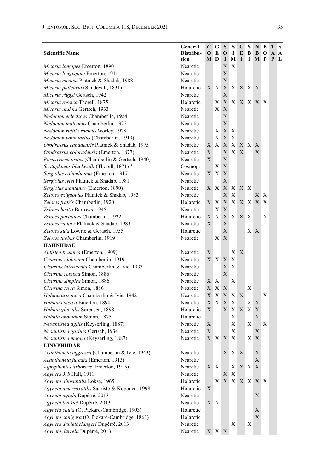| <b>Scientific Name</b>                                          | General<br>Distribu-<br>tion | C<br>$\mathbf 0$<br>MD | G<br>E                                       | S<br>O<br>1 | S<br>1<br>М    | C<br>E<br>I | S<br>В<br>1                                    | N<br>B<br>М | B<br>o<br>P | Т<br>A<br>P | ∣S<br>$\mathbf{A}$<br>L |
|-----------------------------------------------------------------|------------------------------|------------------------|----------------------------------------------|-------------|----------------|-------------|------------------------------------------------|-------------|-------------|-------------|-------------------------|
| Micaria longipes Emerton, 1890                                  | Nearctic                     |                        |                                              | X           | Х              |             |                                                |             |             |             |                         |
| Micaria longispina Emerton, 1911                                | Nearctic                     |                        |                                              | X           |                |             |                                                |             |             |             |                         |
| Micaria medica Platnick & Shadab, 1988                          | Nearctic                     |                        |                                              | X           |                |             |                                                |             |             |             |                         |
| Micaria pulicaria (Sundevall, 1831)                             | Holarctic                    |                        | XX                                           | X           | X              |             | X X X                                          |             |             |             |                         |
| Micaria riggsi Gertsch, 1942                                    | Nearctic                     |                        |                                              | X           |                |             |                                                |             |             |             |                         |
| Micaria rossica Thorell, 1875                                   | Holarctic                    |                        | Х                                            | X           | $X_{-}$        |             |                                                | X X X X     |             |             |                         |
| Micaria utahna Gertsch, 1933                                    | Nearctic                     |                        | Χ                                            | X           |                |             |                                                |             |             |             |                         |
| Nodocion eclecticus Chamberlin, 1924                            | Nearctic                     |                        |                                              | X           |                |             |                                                |             |             |             |                         |
| Nodocion mateonus Chamberlin, 1922                              | Nearctic                     |                        |                                              | X           |                |             |                                                |             |             |             |                         |
| Nodocion rufithoracicus Worley, 1928                            | Nearctic                     |                        | Х                                            | X           | Х              |             |                                                |             |             |             |                         |
| Nodocion voluntarius (Chamberlin, 1919)                         | Nearctic                     |                        | Х                                            | Х           | Х              |             |                                                |             |             |             |                         |
| Orodrassus canadensis Platnick & Shadab, 1975                   | Nearctic                     | X                      | X                                            | X           | X              |             | XX                                             | Χ           |             |             |                         |
| Orodrassus coloradensis (Emerton, 1877)                         | Nearctic                     | X                      |                                              | X           | X              | X           |                                                | X           |             |             |                         |
| Parasyrisca orites (Chamberlin & Gertsch, 1940)                 | Nearctic                     | X                      |                                              | X           |                |             |                                                |             |             |             |                         |
| Scotophaeus blackwalli (Thorell, 1871) *                        | Cosmop.                      |                        | Х                                            | X           |                |             |                                                |             |             |             |                         |
| Sergiolus columbianus (Emerton, 1917)                           | Nearctic                     | X                      | X                                            | X           |                |             |                                                |             |             |             |                         |
| Sergiolus iviei Platnick & Shadab, 1981                         | Nearctic                     |                        |                                              | X           |                |             |                                                |             |             |             |                         |
| Sergiolus montanus (Emerton, 1890)                              | Nearctic                     | X                      | $\boldsymbol{\mathrm{X}}$                    | X           | Χ              | X X         |                                                |             |             |             |                         |
| Zelotes exiguoides Platnick & Shadab, 1983                      | Nearctic                     |                        |                                              | X           | Х              |             |                                                | X           | X           |             |                         |
| Zelotes fratris Chamberlin, 1920                                | Holarctic                    | X                      | Χ                                            | X           | X              |             | X X X                                          |             | X           |             |                         |
| Zelotes hentzi Barrows, 1945                                    | Nearctic                     |                        | Х                                            | X           |                |             |                                                |             |             |             |                         |
| Zelotes puritanus Chamberlin, 1922                              | Holarctic                    | X                      | X                                            | X           | X <sup>2</sup> | X X         |                                                |             | X           |             |                         |
| Zelotes rainier Platnick & Shadab, 1983                         | Nearctic                     | X                      |                                              | X           |                |             |                                                |             |             |             |                         |
| Zelotes sula Lowrie & Gertsch, 1955                             | Holarctic                    |                        |                                              | X           |                |             | $X_{-}$                                        | X           |             |             |                         |
| Zelotes tuobus Chamberlin, 1919                                 | Nearctic                     |                        | X                                            | X           |                |             |                                                |             |             |             |                         |
| <b>HAHNIIDAE</b>                                                |                              |                        |                                              |             |                |             |                                                |             |             |             |                         |
| Antistea brunnea (Emerton, 1909)                                | Nearctic                     | X                      |                                              |             | Χ              | X           |                                                |             |             |             |                         |
| Cicurina idahoana Chamberlin, 1919                              | Nearctic                     |                        | XX                                           | X           | Х              |             |                                                |             |             |             |                         |
| Cicurina intermedia Chamberlin & Ivie, 1933                     | Nearctic                     |                        |                                              | X           | X              |             |                                                |             |             |             |                         |
| Cicurina robusta Simon, 1886                                    | Nearctic                     |                        |                                              | X           |                |             |                                                |             |             |             |                         |
| Cicurina simplex Simon, 1886                                    | Nearctic                     | X                      | Χ                                            |             | Х              |             |                                                |             |             |             |                         |
| Cicurina tersa Simon, 1886                                      | Nearctic                     | X<br>X                 | X<br>X                                       | X<br>X      | Χ              | X           | X                                              |             | Χ           |             |                         |
| Hahnia arizonica Chamberlin & Ivie, 1942                        | Nearctic                     | X                      | X                                            |             | X              |             |                                                |             |             |             |                         |
| Hahnia cinerea Emerton, 1890<br>Hahnia glacialis Sørensen, 1898 | Nearctic<br>Holarctic        | X                      |                                              | X<br>X      | X              | X           | $X_{-}$<br>$X_{-}$                             | X<br>X      |             |             |                         |
| Hahnia ononidum Simon, 1875                                     | Holarctic                    |                        |                                              |             | Х              |             |                                                | X           |             |             |                         |
| Neoantistea agilis (Keyserling, 1887)                           | Nearctic                     | Χ                      |                                              |             | Х              |             | Х                                              |             | Χ           |             |                         |
| Neoantistea gosiuta Gertsch, 1934                               | Nearctic                     | Х                      |                                              |             | X              |             |                                                | X           |             |             |                         |
| Neoantistea magna (Keyserling, 1887)                            | Nearctic                     | $X_{\mathcal{L}}$      | $\mathbf{X}$                                 | X           | X              |             | X X                                            |             |             |             |                         |
| LINYPHIIDAE                                                     |                              |                        |                                              |             |                |             |                                                |             |             |             |                         |
| Acanthoneta aggressa (Chamberlin & Ivie, 1943)                  | Nearctic                     |                        |                                              | X           | X              | Х           |                                                | X           |             |             |                         |
| Acanthoneta furcata (Emerton, 1913)                             | Nearctic                     |                        |                                              |             |                |             |                                                | X           |             |             |                         |
| Agnyphantes arboreus (Emerton, 1915)                            | Nearctic                     |                        | $\mathbf{X} \mid \mathbf{X}$                 |             | Χ              |             | $\mathbf{X}^{\top}\mathbf{X}^{\top}\mathbf{X}$ |             |             |             |                         |
| Agyneta 3rb Hull, 1911                                          | Nearctic                     |                        |                                              | X           | X              |             |                                                |             |             |             |                         |
| Agyneta allosubtilis Loksa, 1965                                | Holarctic                    |                        | X                                            | $\mathbf X$ | X              |             |                                                | X X X X     |             |             |                         |
| Agyneta amersaxatilis Saaristo & Koponen, 1998                  | Holarctic                    | X                      |                                              |             |                |             |                                                |             |             |             |                         |
| Agyneta aquila Dupérré, 2013                                    | Nearctic                     |                        |                                              |             |                |             |                                                | X           |             |             |                         |
| Agyneta bucklei Dupérré, 2013                                   | Nearctic                     | X                      | $\mathbf{X}$                                 |             |                |             |                                                |             |             |             |                         |
| Agyneta cauta (O. Pickard-Cambridge, 1903)                      | Holarctic                    |                        |                                              |             |                |             |                                                | X           |             |             |                         |
| Agyneta conigera (O. Pickard-Cambridge, 1863)                   | Holarctic                    |                        |                                              |             |                |             |                                                | $\mathbf X$ |             |             |                         |
| Agyneta danielbelangeri Dupérré, 2013                           | Nearctic                     |                        |                                              |             | Х              |             | Х                                              |             |             |             |                         |
| Agyneta darrelli Dupérré, 2013                                  | Nearctic                     |                        | $\mathbf{X} \mid \mathbf{X} \mid \mathbf{X}$ |             |                |             |                                                |             |             |             |                         |
|                                                                 |                              |                        |                                              |             |                |             |                                                |             |             |             |                         |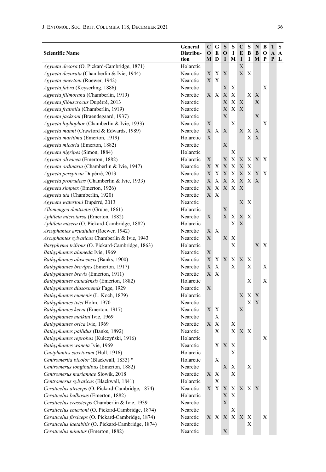| <b>Scientific Name</b>                              | General<br>Distribu-<br>tion | C<br>$\mathbf 0$<br>M | G<br>E<br>D               | S<br>$\mathbf 0$<br>1        | S<br>$\bf{I}$<br>$\mathbf M$ | $\mathbf C$<br>E<br>$\mathbf I$ | S<br>B<br>1  | N<br>B<br>M | В<br>O<br>P  | Т<br>A<br>P | S<br>$\mathbf A$<br>$\mathbf{L}$ |
|-----------------------------------------------------|------------------------------|-----------------------|---------------------------|------------------------------|------------------------------|---------------------------------|--------------|-------------|--------------|-------------|----------------------------------|
| Agyneta decora (O. Pickard-Cambridge, 1871)         | Holarctic                    |                       |                           |                              |                              | Х                               |              |             |              |             |                                  |
| Agyneta decorata (Chamberlin & Ivie, 1944)          | Nearctic                     | X                     | Х                         | X                            |                              |                                 | XX           |             |              |             |                                  |
| Agyneta emertoni (Roewer, 1942)                     | Nearctic                     | X                     | X                         |                              |                              |                                 |              |             |              |             |                                  |
| Agyneta fabra (Keyserling, 1886)                    | Nearctic                     |                       |                           | Х                            | Χ                            |                                 |              |             | X            |             |                                  |
| Agyneta fillmorana (Chamberlin, 1919)               | Nearctic                     | X                     | X                         | X                            | X                            |                                 | X            | X           |              |             |                                  |
| Agyneta flibuscrocus Dupérré, 2013                  | Nearctic                     |                       |                           | X                            | $\mathbf X$                  | $\mathbf X$                     |              | X           |              |             |                                  |
| Agyneta fratrella (Chamberlin, 1919)                | Nearctic                     |                       |                           | X                            | $\mathbf X$                  | X                               |              |             |              |             |                                  |
| Agyneta jacksoni (Braendegaard, 1937)               | Nearctic                     |                       |                           | X                            |                              |                                 |              | X           |              |             |                                  |
| Agyneta lophophor (Chamberlin & Ivie, 1933)         | Nearctic                     | X                     |                           |                              | $\mathbf X$                  |                                 |              |             | X            |             |                                  |
| Agyneta manni (Crawford & Edwards, 1989)            | Nearctic                     | X                     | $\mathbf X$               | $\mathbf X$                  |                              | X                               | $\mathbf{X}$ | X           |              |             |                                  |
| Agyneta maritima (Emerton, 1919)                    | Holarctic                    | X                     |                           |                              |                              |                                 | X            | X           |              |             |                                  |
| Agyneta micaria (Emerton, 1882)                     | Nearctic                     |                       |                           | $\mathbf X$                  |                              |                                 |              |             |              |             |                                  |
| Agyneta nigripes (Simon, 1884)                      | Holarctic                    |                       |                           |                              | Х                            |                                 |              |             |              |             |                                  |
| Agyneta olivacea (Emerton, 1882)                    | Holarctic                    | X                     |                           | X                            | X                            | X                               | X            | X X         |              |             |                                  |
| Agyneta ordinaria (Chamberlin & Ivie, 1947)         | Nearctic                     | X                     | X                         | X                            | $\mathbf X$                  | $\mathbf X$                     | X            |             |              |             |                                  |
| Agyneta perspicua Dupérré, 2013                     | Nearctic                     | X                     | X                         | X                            | X                            | X                               | X X          |             | $\mathbf{X}$ |             |                                  |
| Agyneta protrudens (Chamberlin & Ivie, 1933)        | Nearctic                     | X                     | X                         | X                            | X                            |                                 | X X X        |             |              |             |                                  |
| Agyneta simplex (Emerton, 1926)                     | Nearctic                     | X                     | $\mathbf X$               | $\mathbf X$                  | X                            | X                               |              |             |              |             |                                  |
| Agyneta uta (Chamberlin, 1920)                      | Nearctic                     | X                     | X                         |                              |                              |                                 |              |             |              |             |                                  |
| Agyneta watertoni Dupérré, 2013                     | Nearctic                     |                       |                           |                              |                              | X X                             |              |             |              |             |                                  |
| Allomengea dentisetis (Grube, 1861)                 | Holarctic                    |                       |                           | X                            |                              |                                 |              |             |              |             |                                  |
| Aphileta microtarsa (Emerton, 1882)                 | Nearctic                     | X                     |                           | X                            | Χ                            | X X                             |              |             |              |             |                                  |
| Aphileta misera (O. Pickard-Cambridge, 1882)        | Holarctic                    |                       |                           |                              | X                            | X                               |              |             |              |             |                                  |
| Arcuphantes arcuatulus (Roewer, 1942)               | Nearctic                     | X                     | X                         |                              |                              |                                 |              |             |              |             |                                  |
| Arcuphantes sylvaticus Chamberlin & Ivie, 1943      | Nearctic                     | X                     |                           | X                            | Х                            |                                 |              |             |              |             |                                  |
| Baryphyma trifrons (O. Pickard-Cambridge, 1863)     | Holarctic                    |                       |                           |                              | X                            |                                 |              | X           | X            |             |                                  |
| Bathyphantes alameda Ivie, 1969                     | Nearctic                     | X                     |                           |                              |                              |                                 |              |             |              |             |                                  |
| Bathyphantes alascensis (Banks, 1900)               | Nearctic                     | X                     | $\boldsymbol{\mathrm{X}}$ | X                            | X                            | X                               | $\mathbf{X}$ |             |              |             |                                  |
| Bathyphantes brevipes (Emerton, 1917)               | Nearctic                     | X                     | Х                         |                              | Х                            |                                 | Х            |             | Х            |             |                                  |
| Bathyphantes brevis (Emerton, 1911)                 | Nearctic                     | X                     | X                         |                              |                              |                                 |              |             |              |             |                                  |
| Bathyphantes canadensis (Emerton, 1882)             | Holarctic                    |                       |                           |                              |                              |                                 | X            |             | X            |             |                                  |
| Bathyphantes diasosnemis Fage, 1929                 | Nearctic                     | X                     |                           |                              |                              |                                 |              |             |              |             |                                  |
| Bathyphantes eumenis (L. Koch, 1879)                | Holarctic                    |                       |                           |                              |                              | X                               | X X          |             |              |             |                                  |
| Bathyphantes iviei Holm, 1970                       | Nearctic                     |                       |                           |                              |                              |                                 | X            | X           |              |             |                                  |
| Bathyphantes keeni (Emerton, 1917)                  | Nearctic                     | X                     | Х                         |                              |                              | X                               |              |             |              |             |                                  |
| Bathyphantes malkini Ivie, 1969                     | Nearctic                     |                       | X                         |                              |                              |                                 |              |             |              |             |                                  |
| Bathyphantes orica Ivie, 1969                       | Nearctic                     | X                     | X                         |                              | X                            |                                 |              |             |              |             |                                  |
| Bathyphantes pallidus (Banks, 1892)                 | Nearctic                     |                       | Х                         |                              | X                            | X X                             |              |             |              |             |                                  |
| Bathyphantes reprobus (Kulczyński, 1916)            | Holarctic                    |                       |                           |                              |                              |                                 |              |             | Х            |             |                                  |
| Bathyphantes waneta Ivie, 1969                      | Nearctic                     |                       |                           | $\mathbf{X} \mid \mathbf{X}$ | $\mathbf X$                  |                                 |              |             |              |             |                                  |
| Caviphantes saxetorum (Hull, 1916)                  | Holarctic                    |                       |                           |                              | Х                            |                                 |              |             |              |             |                                  |
| Centromerita bicolor (Blackwall, 1833) *            | Holarctic                    |                       | X                         |                              |                              |                                 |              |             |              |             |                                  |
| Centromerus longibulbus (Emerton, 1882)             | Nearctic                     |                       |                           | X                            | Χ                            |                                 | X            |             |              |             |                                  |
| Centromerus mariannae Slowik, 2018                  | Nearctic                     | X                     | Х                         |                              | X                            |                                 |              |             |              |             |                                  |
| Centromerus sylvaticus (Blackwall, 1841)            | Holarctic                    |                       | $\mathbf X$               |                              |                              |                                 |              |             |              |             |                                  |
| Ceraticelus atriceps (O. Pickard-Cambridge, 1874)   | Nearctic                     | X                     | $\mathbf{X}$              | X                            | X                            |                                 | X X X        |             |              |             |                                  |
| Ceraticelus bulbosus (Emerton, 1882)                | Holarctic                    |                       |                           | X                            | X                            |                                 |              |             |              |             |                                  |
| Ceraticelus crassiceps Chamberlin & Ivie, 1939      | Nearctic                     |                       |                           | X                            |                              |                                 |              |             |              |             |                                  |
| Ceraticelus emertoni (O. Pickard-Cambridge, 1874)   | Nearctic                     |                       |                           |                              | Χ                            |                                 |              |             |              |             |                                  |
| Ceraticelus fissiceps (O. Pickard-Cambridge, 1874)  | Nearctic                     |                       | X X                       | $\mathbf X$                  | X                            | X X                             |              |             | Х            |             |                                  |
| Ceraticelus laetabilis (O. Pickard-Cambridge, 1874) | Nearctic                     |                       |                           |                              |                              |                                 | X            |             |              |             |                                  |
| Ceraticelus minutus (Emerton, 1882)                 | Nearctic                     |                       |                           | $\mathbf X$                  |                              |                                 |              |             |              |             |                                  |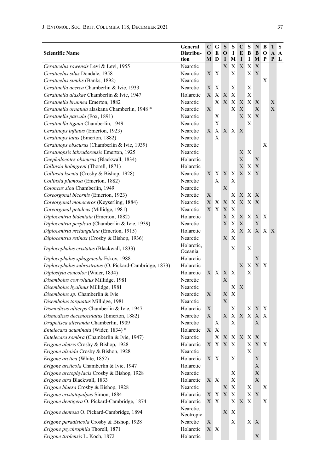| <b>Scientific Name</b>                                  | General<br>Distribu-<br>tion | C<br>$\mathbf 0$<br>М | G<br>E<br>$\mathbf{D}$ | S<br>$\mathbf 0$<br>1                                                            | S<br>1<br>М | $\mathbf C$<br>E<br>1 | S<br>В<br>1  | N<br>B<br>M | B<br>O<br>P  | T<br>A<br>P | S<br>A<br>$\mathbf{L}$ |
|---------------------------------------------------------|------------------------------|-----------------------|------------------------|----------------------------------------------------------------------------------|-------------|-----------------------|--------------|-------------|--------------|-------------|------------------------|
| Ceraticelus rowensis Levi & Levi, 1955                  | Nearctic                     |                       |                        | X                                                                                | X           | X                     | X            | X           |              |             |                        |
| Ceraticelus silus Dondale, 1958                         | Nearctic                     | X                     | Х                      |                                                                                  | Х           |                       | X X          |             |              |             |                        |
| Ceraticelus similis (Banks, 1892)                       | Nearctic                     |                       |                        |                                                                                  |             |                       |              |             | X            |             |                        |
| Ceratinella acerea Chamberlin & Ivie, 1933              | Nearctic                     | Х                     | X                      |                                                                                  | X           |                       | X            |             |              |             |                        |
| Ceratinella alaskae Chamberlin & Ivie, 1947             | Holarctic                    | X                     | X                      | X                                                                                | X           |                       | X            |             |              |             |                        |
| Ceratinella brunnea Emerton, 1882                       | Nearctic                     |                       | X                      | X                                                                                | Χ           | X                     | X X          |             |              | X           |                        |
| Ceratinella ornatula alaskana Chamberlin, 1948 *        | Nearctic                     | $\mathbf X$           |                        |                                                                                  | Χ           | X                     |              | X           |              | X           |                        |
| Ceratinella parvula (Fox, 1891)                         | Nearctic                     |                       | Х                      |                                                                                  |             | X                     | Χ            | X           |              |             |                        |
| Ceratinella tigana Chamberlin, 1949                     | Nearctic                     |                       | Х                      |                                                                                  |             |                       | Х            |             |              |             |                        |
| Ceratinops inflatus (Emerton, 1923)                     | Nearctic                     | X                     | X <sub>1</sub>         | XX                                                                               |             | X                     |              |             |              |             |                        |
| Ceratinops latus (Emerton, 1882)                        | Nearctic                     |                       | Х                      |                                                                                  |             |                       |              |             |              |             |                        |
| Ceratinops obscurus (Chamberlin & Ivie, 1939)           | Nearctic                     |                       |                        |                                                                                  |             |                       |              |             | X            |             |                        |
| Ceratinopsis labradorensis Emerton, 1925                | Nearctic                     |                       |                        |                                                                                  |             | X                     | $\mathbf{X}$ |             |              |             |                        |
| Cnephalocotes obscurus (Blackwall, 1834)                | Holarctic                    |                       |                        |                                                                                  |             | X                     |              | Χ           |              |             |                        |
| Collinsia holmgreni (Thorell, 1871)                     | Holarctic                    |                       |                        |                                                                                  |             | Х                     | X            | X           |              |             |                        |
| Collinsia ksenia (Crosby & Bishop, 1928)                | Nearctic                     | X                     | Х                      | X                                                                                | Х           | X                     | X            | X           |              |             |                        |
| Collinsia plumosa (Emerton, 1882)                       | Nearctic                     |                       | X                      |                                                                                  | Х           |                       |              |             |              |             |                        |
| Coloncus siou Chamberlin, 1949                          | Nearctic                     |                       |                        | X                                                                                |             |                       |              |             |              |             |                        |
| Coreorgonal bicornis (Emerton, 1923)                    | Nearctic                     | Х                     |                        |                                                                                  | Х           |                       | X X X        |             |              |             |                        |
| Coreorgonal monoceros (Keyserling, 1884)                | Nearctic                     | X                     | Х                      | X                                                                                | X           | X                     | $\mathbf{X}$ | X           |              |             |                        |
| Coreorgonal petulcus (Millidge, 1981)                   | Nearctic                     | $\overline{X}$        | X                      | X                                                                                | X           |                       |              |             |              |             |                        |
| Diplocentria bidentata (Emerton, 1882)                  | Holarctic                    |                       |                        | X                                                                                | X           | X                     | X            | X           | $\mathbf{X}$ |             |                        |
| Diplocentria perplexa (Chamberlin & Ivie, 1939)         | Nearctic                     |                       |                        | X                                                                                | X           | X                     |              | X           |              |             |                        |
| Diplocentria rectangulata (Emerton, 1915)               | Holarctic                    |                       |                        |                                                                                  | Х           |                       |              | X X X X X   |              |             |                        |
| Diplocentria retinax (Crosby & Bishop, 1936)            | Nearctic                     |                       |                        | X                                                                                | X           |                       |              |             |              |             |                        |
| <i>Diplocephalus cristatus</i> (Blackwall, 1833)        | Holarctic,<br>Oceania        |                       |                        |                                                                                  | Χ           |                       | X            |             |              |             |                        |
| Diplocephalus sphagnicola Eskov, 1988                   | Holarctic                    |                       |                        |                                                                                  |             |                       |              | X           |              |             |                        |
| Diplocephalus subrostratus (O. Pickard-Cambridge, 1873) | Holarctic                    |                       |                        |                                                                                  |             | Х                     | X            | $\mathbf X$ | $\mathbf{X}$ |             |                        |
| Diplostyla concolor (Wider, 1834)                       | Holarctic                    |                       | XX                     | X                                                                                | X           |                       | X            |             |              |             |                        |
| Disembolus convolutus Millidge, 1981                    | Nearctic                     |                       |                        | X                                                                                |             |                       |              |             |              |             |                        |
| Disembolus hyalinus Millidge, 1981                      | Nearctic                     |                       |                        |                                                                                  | Х           | X                     |              |             |              |             |                        |
| Disembolus sp. Chamberlin & Ivie                        | Nearctic                     | X                     |                        | Х                                                                                | X           |                       |              |             |              |             |                        |
| Disembolus torquatus Millidge, 1981                     | Nearctic                     |                       |                        | X                                                                                |             |                       |              |             |              |             |                        |
| Dismodicus alticeps Chamberlin & Ivie, 1947             | Holarctic                    | X                     |                        |                                                                                  | X           |                       | X            | X           | X            |             |                        |
| Dismodicus decemoculatus (Emerton, 1882)                | Nearctic                     | Х                     |                        | X                                                                                | X           | $X_{-}$               | X            | X           | X            |             |                        |
| Drapetisca alteranda Chamberlin, 1909                   | Nearctic                     |                       | Х                      |                                                                                  | Х           |                       |              | Х           |              |             |                        |
| Entelecara acuminata (Wider, 1834) *                    | Holarctic                    | X                     | X                      |                                                                                  |             |                       |              |             |              |             |                        |
| Entelecara sombra (Chamberlin & Ivie, 1947)             | Nearctic                     |                       | $\mathbf{X}$           | XX                                                                               |             |                       | XX           | X           |              |             |                        |
| Erigone aletris Crosby & Bishop, 1928                   | Holarctic                    |                       |                        | $\begin{array}{c c c c c} \text{X} & \text{X} & \text{X} & \text{X} \end{array}$ |             |                       | X            | X X         |              |             |                        |
| Erigone alsaida Crosby & Bishop, 1928                   | Nearctic                     |                       |                        |                                                                                  |             |                       | Х            |             |              |             |                        |
| Erigone arctica (White, 1852)                           | Holarctic                    | X X                   |                        |                                                                                  | Χ           |                       |              | X           |              |             |                        |
| Erigone arcticola Chamberlin & Ivie, 1947               | Holarctic                    |                       |                        |                                                                                  |             |                       |              | Х           |              |             |                        |
| Erigone arctophylacis Crosby & Bishop, 1928             | Nearctic                     |                       |                        |                                                                                  | X           |                       |              | $\mathbf X$ |              |             |                        |
| Erigone atra Blackwall, 1833                            | Holarctic                    | X X                   |                        |                                                                                  | Х           |                       |              | X           |              |             |                        |
| Erigone blaesa Crosby & Bishop, 1928                    | Nearctic                     |                       |                        | X                                                                                | X           |                       | Х            |             | Х            |             |                        |
| Erigone cristatopalpus Simon, 1884                      | Holarctic                    | X                     | X                      | $\mathbf X$                                                                      | X           |                       | X.           | X           |              |             |                        |
| Erigone dentigera O. Pickard-Cambridge, 1874            | Holarctic                    | X X                   |                        |                                                                                  | X           | X                     | Х            |             | Χ            |             |                        |
| Erigone dentosa O. Pickard-Cambridge, 1894              | Nearctic.<br>Neotropic       |                       |                        | X                                                                                | Х           |                       |              |             |              |             |                        |
| Erigone paradisicola Crosby & Bishop, 1928              | Nearctic                     | X                     |                        |                                                                                  | Χ           |                       | X X          |             |              |             |                        |
| Erigone psychrophila Thorell, 1871                      | Holarctic                    | X X                   |                        |                                                                                  |             |                       |              |             |              |             |                        |
| Erigone tirolensis L. Koch, 1872                        | Holarctic                    |                       |                        |                                                                                  |             |                       |              | $\mathbf X$ |              |             |                        |

L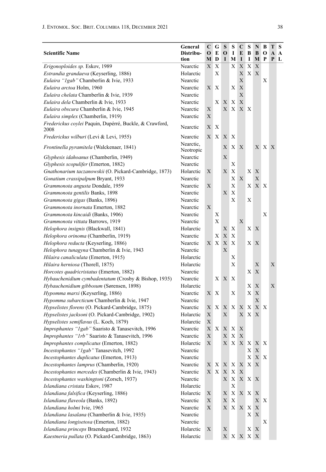| Distribu-<br><b>Scientific Name</b><br>О<br>E<br>$\mathbf 0$<br>1<br>E<br>В<br>B<br>О<br>A<br>A<br>tion<br>D<br>I<br>M<br>I<br>I<br>М<br>P<br>P<br>М<br>L<br>Erigonoploides sp. Eskov, 1989<br>X<br>Nearctic<br>Х<br>Х<br>X<br>Х<br>Χ<br>Х<br>X X<br>Estrandia grandaeva (Keyserling, 1886)<br>Holarctic<br>X<br>X<br>X<br>Eulaira "Igab" Chamberlin & Ivie, 1933<br>Nearctic<br>Eulaira arctoa Holm, 1960<br>X<br>Nearctic<br>X<br>Х<br>Х<br>X<br>Eulaira chelata Chamberlin & Ivie, 1939<br>Nearctic<br>X<br>X<br>Eulaira dela Chamberlin & Ivie, 1933<br>Nearctic<br>X<br>Х<br>X<br>X X<br>Eulaira obscura Chamberlin & Ivie, 1945<br>Nearctic<br>Х<br>X<br>Eulaira simplex (Chamberlin, 1919)<br>Nearctic<br>Х<br>Frederickus coylei Paquin, Dupérré, Buckle, & Crawford,<br>X<br>Nearctic<br>X<br>2008<br>X<br>Frederickus wilburi (Levi & Levi, 1955)<br>Nearctic<br>X<br>X<br>X<br>Nearctic,<br>X<br>Frontinella pyramitela (Walckenaer, 1841)<br>X<br>Х<br>XX.<br>X<br>Neotropic<br>Nearctic<br>Х<br>Glyphesis idahoanus (Chamberlin, 1949)<br>X<br>Glyphesis scopulifer (Emerton, 1882)<br>Nearctic<br>X<br>Gnathonarium taczanowskii (O. Pickard-Cambridge, 1873)<br>Holarctic<br>Х<br>Χ<br>X X<br>Χ<br>X<br>X<br>Gonatium crassipalpum Bryant, 1933<br>Nearctic<br>Х<br>X<br>Grammonota angusta Dondale, 1959<br>Nearctic<br>Х<br>X<br>$\mathbf{X}$<br>X<br>Grammonota gentilis Banks, 1898<br>Nearctic<br>X<br>X<br>X<br>Grammonota gigas (Banks, 1896)<br>Nearctic<br>X<br>Grammonota inornata Emerton, 1882<br>Nearctic<br>Х<br>Grammonota kincaidi (Banks, 1906)<br>Nearctic<br>Х<br>X<br>X<br>Grammonota vittata Barrows, 1919<br>Nearctic<br>X <sub>1</sub><br>Helophora insignis (Blackwall, 1841)<br>Holarctic<br>X<br>X<br>Х<br>Helophora orinoma (Chamberlin, 1919)<br>Nearctic<br>Х<br>X<br>Х<br>Helophora reducta (Keyserling, 1886)<br>X<br>X<br>X<br>Nearctic<br>X<br>X X<br>Helophora tunagyna Chamberlin & Ivie, 1943<br>Nearctic<br>Х<br>Hilaira canaliculata (Emerton, 1915)<br>Holarctic<br>Х<br>X<br>Hilaira herniosa (Thorell, 1875)<br>X<br>Holarctic<br>Х<br>X<br>X<br>Horcotes quadricristatus (Emerton, 1882)<br>Nearctic<br>Hybauchenidium cymbadentatum (Crosby & Bishop, 1935)<br>X<br>X<br>Nearctic<br>Х<br>X<br>Hybauchenidium gibbosum (Sørensen, 1898)<br>Holarctic<br>Х<br>Х<br>X<br>X<br>Hypomma marxi (Keyserling, 1886)<br>Nearctic<br>Χ<br>Х<br>Х<br>X<br>Hypomma subarcticum Chamberlin & Ivie, 1947<br>Nearctic<br>X X<br>Hypselistes florens (O. Pickard-Cambridge, 1875)<br>Nearctic<br>X<br>X<br>X<br>X<br>Х<br>X<br>X<br>Hypselistes jacksoni (O. Pickard-Cambridge, 1902)<br>Holarctic<br>X<br>Х<br>X<br>X<br>X<br>Hypselistes semiflavus (L. Koch, 1879)<br>Holarctic<br>Improphantes "1gab" Saaristo & Tanasevitch, 1996<br>X<br>X<br>Nearctic<br>X<br>$\mathbf{X}$<br>X<br>Improphantes "1rb" Saaristo & Tanasevitch, 1996<br>X<br>X<br>X<br>X<br>Nearctic |
|----------------------------------------------------------------------------------------------------------------------------------------------------------------------------------------------------------------------------------------------------------------------------------------------------------------------------------------------------------------------------------------------------------------------------------------------------------------------------------------------------------------------------------------------------------------------------------------------------------------------------------------------------------------------------------------------------------------------------------------------------------------------------------------------------------------------------------------------------------------------------------------------------------------------------------------------------------------------------------------------------------------------------------------------------------------------------------------------------------------------------------------------------------------------------------------------------------------------------------------------------------------------------------------------------------------------------------------------------------------------------------------------------------------------------------------------------------------------------------------------------------------------------------------------------------------------------------------------------------------------------------------------------------------------------------------------------------------------------------------------------------------------------------------------------------------------------------------------------------------------------------------------------------------------------------------------------------------------------------------------------------------------------------------------------------------------------------------------------------------------------------------------------------------------------------------------------------------------------------------------------------------------------------------------------------------------------------------------------------------------------------------------------------------------------------------------------------------------------------------------------------------------------------------------------------------------------------------------------------------------------------------------------------------------------------------------------------------------------------------------------------------------------------------------------------------------------------------------------------------------------------------------------------------------|
|                                                                                                                                                                                                                                                                                                                                                                                                                                                                                                                                                                                                                                                                                                                                                                                                                                                                                                                                                                                                                                                                                                                                                                                                                                                                                                                                                                                                                                                                                                                                                                                                                                                                                                                                                                                                                                                                                                                                                                                                                                                                                                                                                                                                                                                                                                                                                                                                                                                                                                                                                                                                                                                                                                                                                                                                                                                                                                                      |
|                                                                                                                                                                                                                                                                                                                                                                                                                                                                                                                                                                                                                                                                                                                                                                                                                                                                                                                                                                                                                                                                                                                                                                                                                                                                                                                                                                                                                                                                                                                                                                                                                                                                                                                                                                                                                                                                                                                                                                                                                                                                                                                                                                                                                                                                                                                                                                                                                                                                                                                                                                                                                                                                                                                                                                                                                                                                                                                      |
|                                                                                                                                                                                                                                                                                                                                                                                                                                                                                                                                                                                                                                                                                                                                                                                                                                                                                                                                                                                                                                                                                                                                                                                                                                                                                                                                                                                                                                                                                                                                                                                                                                                                                                                                                                                                                                                                                                                                                                                                                                                                                                                                                                                                                                                                                                                                                                                                                                                                                                                                                                                                                                                                                                                                                                                                                                                                                                                      |
|                                                                                                                                                                                                                                                                                                                                                                                                                                                                                                                                                                                                                                                                                                                                                                                                                                                                                                                                                                                                                                                                                                                                                                                                                                                                                                                                                                                                                                                                                                                                                                                                                                                                                                                                                                                                                                                                                                                                                                                                                                                                                                                                                                                                                                                                                                                                                                                                                                                                                                                                                                                                                                                                                                                                                                                                                                                                                                                      |
|                                                                                                                                                                                                                                                                                                                                                                                                                                                                                                                                                                                                                                                                                                                                                                                                                                                                                                                                                                                                                                                                                                                                                                                                                                                                                                                                                                                                                                                                                                                                                                                                                                                                                                                                                                                                                                                                                                                                                                                                                                                                                                                                                                                                                                                                                                                                                                                                                                                                                                                                                                                                                                                                                                                                                                                                                                                                                                                      |
|                                                                                                                                                                                                                                                                                                                                                                                                                                                                                                                                                                                                                                                                                                                                                                                                                                                                                                                                                                                                                                                                                                                                                                                                                                                                                                                                                                                                                                                                                                                                                                                                                                                                                                                                                                                                                                                                                                                                                                                                                                                                                                                                                                                                                                                                                                                                                                                                                                                                                                                                                                                                                                                                                                                                                                                                                                                                                                                      |
|                                                                                                                                                                                                                                                                                                                                                                                                                                                                                                                                                                                                                                                                                                                                                                                                                                                                                                                                                                                                                                                                                                                                                                                                                                                                                                                                                                                                                                                                                                                                                                                                                                                                                                                                                                                                                                                                                                                                                                                                                                                                                                                                                                                                                                                                                                                                                                                                                                                                                                                                                                                                                                                                                                                                                                                                                                                                                                                      |
|                                                                                                                                                                                                                                                                                                                                                                                                                                                                                                                                                                                                                                                                                                                                                                                                                                                                                                                                                                                                                                                                                                                                                                                                                                                                                                                                                                                                                                                                                                                                                                                                                                                                                                                                                                                                                                                                                                                                                                                                                                                                                                                                                                                                                                                                                                                                                                                                                                                                                                                                                                                                                                                                                                                                                                                                                                                                                                                      |
|                                                                                                                                                                                                                                                                                                                                                                                                                                                                                                                                                                                                                                                                                                                                                                                                                                                                                                                                                                                                                                                                                                                                                                                                                                                                                                                                                                                                                                                                                                                                                                                                                                                                                                                                                                                                                                                                                                                                                                                                                                                                                                                                                                                                                                                                                                                                                                                                                                                                                                                                                                                                                                                                                                                                                                                                                                                                                                                      |
|                                                                                                                                                                                                                                                                                                                                                                                                                                                                                                                                                                                                                                                                                                                                                                                                                                                                                                                                                                                                                                                                                                                                                                                                                                                                                                                                                                                                                                                                                                                                                                                                                                                                                                                                                                                                                                                                                                                                                                                                                                                                                                                                                                                                                                                                                                                                                                                                                                                                                                                                                                                                                                                                                                                                                                                                                                                                                                                      |
|                                                                                                                                                                                                                                                                                                                                                                                                                                                                                                                                                                                                                                                                                                                                                                                                                                                                                                                                                                                                                                                                                                                                                                                                                                                                                                                                                                                                                                                                                                                                                                                                                                                                                                                                                                                                                                                                                                                                                                                                                                                                                                                                                                                                                                                                                                                                                                                                                                                                                                                                                                                                                                                                                                                                                                                                                                                                                                                      |
|                                                                                                                                                                                                                                                                                                                                                                                                                                                                                                                                                                                                                                                                                                                                                                                                                                                                                                                                                                                                                                                                                                                                                                                                                                                                                                                                                                                                                                                                                                                                                                                                                                                                                                                                                                                                                                                                                                                                                                                                                                                                                                                                                                                                                                                                                                                                                                                                                                                                                                                                                                                                                                                                                                                                                                                                                                                                                                                      |
|                                                                                                                                                                                                                                                                                                                                                                                                                                                                                                                                                                                                                                                                                                                                                                                                                                                                                                                                                                                                                                                                                                                                                                                                                                                                                                                                                                                                                                                                                                                                                                                                                                                                                                                                                                                                                                                                                                                                                                                                                                                                                                                                                                                                                                                                                                                                                                                                                                                                                                                                                                                                                                                                                                                                                                                                                                                                                                                      |
|                                                                                                                                                                                                                                                                                                                                                                                                                                                                                                                                                                                                                                                                                                                                                                                                                                                                                                                                                                                                                                                                                                                                                                                                                                                                                                                                                                                                                                                                                                                                                                                                                                                                                                                                                                                                                                                                                                                                                                                                                                                                                                                                                                                                                                                                                                                                                                                                                                                                                                                                                                                                                                                                                                                                                                                                                                                                                                                      |
|                                                                                                                                                                                                                                                                                                                                                                                                                                                                                                                                                                                                                                                                                                                                                                                                                                                                                                                                                                                                                                                                                                                                                                                                                                                                                                                                                                                                                                                                                                                                                                                                                                                                                                                                                                                                                                                                                                                                                                                                                                                                                                                                                                                                                                                                                                                                                                                                                                                                                                                                                                                                                                                                                                                                                                                                                                                                                                                      |
|                                                                                                                                                                                                                                                                                                                                                                                                                                                                                                                                                                                                                                                                                                                                                                                                                                                                                                                                                                                                                                                                                                                                                                                                                                                                                                                                                                                                                                                                                                                                                                                                                                                                                                                                                                                                                                                                                                                                                                                                                                                                                                                                                                                                                                                                                                                                                                                                                                                                                                                                                                                                                                                                                                                                                                                                                                                                                                                      |
|                                                                                                                                                                                                                                                                                                                                                                                                                                                                                                                                                                                                                                                                                                                                                                                                                                                                                                                                                                                                                                                                                                                                                                                                                                                                                                                                                                                                                                                                                                                                                                                                                                                                                                                                                                                                                                                                                                                                                                                                                                                                                                                                                                                                                                                                                                                                                                                                                                                                                                                                                                                                                                                                                                                                                                                                                                                                                                                      |
|                                                                                                                                                                                                                                                                                                                                                                                                                                                                                                                                                                                                                                                                                                                                                                                                                                                                                                                                                                                                                                                                                                                                                                                                                                                                                                                                                                                                                                                                                                                                                                                                                                                                                                                                                                                                                                                                                                                                                                                                                                                                                                                                                                                                                                                                                                                                                                                                                                                                                                                                                                                                                                                                                                                                                                                                                                                                                                                      |
|                                                                                                                                                                                                                                                                                                                                                                                                                                                                                                                                                                                                                                                                                                                                                                                                                                                                                                                                                                                                                                                                                                                                                                                                                                                                                                                                                                                                                                                                                                                                                                                                                                                                                                                                                                                                                                                                                                                                                                                                                                                                                                                                                                                                                                                                                                                                                                                                                                                                                                                                                                                                                                                                                                                                                                                                                                                                                                                      |
|                                                                                                                                                                                                                                                                                                                                                                                                                                                                                                                                                                                                                                                                                                                                                                                                                                                                                                                                                                                                                                                                                                                                                                                                                                                                                                                                                                                                                                                                                                                                                                                                                                                                                                                                                                                                                                                                                                                                                                                                                                                                                                                                                                                                                                                                                                                                                                                                                                                                                                                                                                                                                                                                                                                                                                                                                                                                                                                      |
|                                                                                                                                                                                                                                                                                                                                                                                                                                                                                                                                                                                                                                                                                                                                                                                                                                                                                                                                                                                                                                                                                                                                                                                                                                                                                                                                                                                                                                                                                                                                                                                                                                                                                                                                                                                                                                                                                                                                                                                                                                                                                                                                                                                                                                                                                                                                                                                                                                                                                                                                                                                                                                                                                                                                                                                                                                                                                                                      |
|                                                                                                                                                                                                                                                                                                                                                                                                                                                                                                                                                                                                                                                                                                                                                                                                                                                                                                                                                                                                                                                                                                                                                                                                                                                                                                                                                                                                                                                                                                                                                                                                                                                                                                                                                                                                                                                                                                                                                                                                                                                                                                                                                                                                                                                                                                                                                                                                                                                                                                                                                                                                                                                                                                                                                                                                                                                                                                                      |
|                                                                                                                                                                                                                                                                                                                                                                                                                                                                                                                                                                                                                                                                                                                                                                                                                                                                                                                                                                                                                                                                                                                                                                                                                                                                                                                                                                                                                                                                                                                                                                                                                                                                                                                                                                                                                                                                                                                                                                                                                                                                                                                                                                                                                                                                                                                                                                                                                                                                                                                                                                                                                                                                                                                                                                                                                                                                                                                      |
|                                                                                                                                                                                                                                                                                                                                                                                                                                                                                                                                                                                                                                                                                                                                                                                                                                                                                                                                                                                                                                                                                                                                                                                                                                                                                                                                                                                                                                                                                                                                                                                                                                                                                                                                                                                                                                                                                                                                                                                                                                                                                                                                                                                                                                                                                                                                                                                                                                                                                                                                                                                                                                                                                                                                                                                                                                                                                                                      |
|                                                                                                                                                                                                                                                                                                                                                                                                                                                                                                                                                                                                                                                                                                                                                                                                                                                                                                                                                                                                                                                                                                                                                                                                                                                                                                                                                                                                                                                                                                                                                                                                                                                                                                                                                                                                                                                                                                                                                                                                                                                                                                                                                                                                                                                                                                                                                                                                                                                                                                                                                                                                                                                                                                                                                                                                                                                                                                                      |
|                                                                                                                                                                                                                                                                                                                                                                                                                                                                                                                                                                                                                                                                                                                                                                                                                                                                                                                                                                                                                                                                                                                                                                                                                                                                                                                                                                                                                                                                                                                                                                                                                                                                                                                                                                                                                                                                                                                                                                                                                                                                                                                                                                                                                                                                                                                                                                                                                                                                                                                                                                                                                                                                                                                                                                                                                                                                                                                      |
|                                                                                                                                                                                                                                                                                                                                                                                                                                                                                                                                                                                                                                                                                                                                                                                                                                                                                                                                                                                                                                                                                                                                                                                                                                                                                                                                                                                                                                                                                                                                                                                                                                                                                                                                                                                                                                                                                                                                                                                                                                                                                                                                                                                                                                                                                                                                                                                                                                                                                                                                                                                                                                                                                                                                                                                                                                                                                                                      |
|                                                                                                                                                                                                                                                                                                                                                                                                                                                                                                                                                                                                                                                                                                                                                                                                                                                                                                                                                                                                                                                                                                                                                                                                                                                                                                                                                                                                                                                                                                                                                                                                                                                                                                                                                                                                                                                                                                                                                                                                                                                                                                                                                                                                                                                                                                                                                                                                                                                                                                                                                                                                                                                                                                                                                                                                                                                                                                                      |
|                                                                                                                                                                                                                                                                                                                                                                                                                                                                                                                                                                                                                                                                                                                                                                                                                                                                                                                                                                                                                                                                                                                                                                                                                                                                                                                                                                                                                                                                                                                                                                                                                                                                                                                                                                                                                                                                                                                                                                                                                                                                                                                                                                                                                                                                                                                                                                                                                                                                                                                                                                                                                                                                                                                                                                                                                                                                                                                      |
|                                                                                                                                                                                                                                                                                                                                                                                                                                                                                                                                                                                                                                                                                                                                                                                                                                                                                                                                                                                                                                                                                                                                                                                                                                                                                                                                                                                                                                                                                                                                                                                                                                                                                                                                                                                                                                                                                                                                                                                                                                                                                                                                                                                                                                                                                                                                                                                                                                                                                                                                                                                                                                                                                                                                                                                                                                                                                                                      |
|                                                                                                                                                                                                                                                                                                                                                                                                                                                                                                                                                                                                                                                                                                                                                                                                                                                                                                                                                                                                                                                                                                                                                                                                                                                                                                                                                                                                                                                                                                                                                                                                                                                                                                                                                                                                                                                                                                                                                                                                                                                                                                                                                                                                                                                                                                                                                                                                                                                                                                                                                                                                                                                                                                                                                                                                                                                                                                                      |
|                                                                                                                                                                                                                                                                                                                                                                                                                                                                                                                                                                                                                                                                                                                                                                                                                                                                                                                                                                                                                                                                                                                                                                                                                                                                                                                                                                                                                                                                                                                                                                                                                                                                                                                                                                                                                                                                                                                                                                                                                                                                                                                                                                                                                                                                                                                                                                                                                                                                                                                                                                                                                                                                                                                                                                                                                                                                                                                      |
|                                                                                                                                                                                                                                                                                                                                                                                                                                                                                                                                                                                                                                                                                                                                                                                                                                                                                                                                                                                                                                                                                                                                                                                                                                                                                                                                                                                                                                                                                                                                                                                                                                                                                                                                                                                                                                                                                                                                                                                                                                                                                                                                                                                                                                                                                                                                                                                                                                                                                                                                                                                                                                                                                                                                                                                                                                                                                                                      |
|                                                                                                                                                                                                                                                                                                                                                                                                                                                                                                                                                                                                                                                                                                                                                                                                                                                                                                                                                                                                                                                                                                                                                                                                                                                                                                                                                                                                                                                                                                                                                                                                                                                                                                                                                                                                                                                                                                                                                                                                                                                                                                                                                                                                                                                                                                                                                                                                                                                                                                                                                                                                                                                                                                                                                                                                                                                                                                                      |
|                                                                                                                                                                                                                                                                                                                                                                                                                                                                                                                                                                                                                                                                                                                                                                                                                                                                                                                                                                                                                                                                                                                                                                                                                                                                                                                                                                                                                                                                                                                                                                                                                                                                                                                                                                                                                                                                                                                                                                                                                                                                                                                                                                                                                                                                                                                                                                                                                                                                                                                                                                                                                                                                                                                                                                                                                                                                                                                      |
|                                                                                                                                                                                                                                                                                                                                                                                                                                                                                                                                                                                                                                                                                                                                                                                                                                                                                                                                                                                                                                                                                                                                                                                                                                                                                                                                                                                                                                                                                                                                                                                                                                                                                                                                                                                                                                                                                                                                                                                                                                                                                                                                                                                                                                                                                                                                                                                                                                                                                                                                                                                                                                                                                                                                                                                                                                                                                                                      |
|                                                                                                                                                                                                                                                                                                                                                                                                                                                                                                                                                                                                                                                                                                                                                                                                                                                                                                                                                                                                                                                                                                                                                                                                                                                                                                                                                                                                                                                                                                                                                                                                                                                                                                                                                                                                                                                                                                                                                                                                                                                                                                                                                                                                                                                                                                                                                                                                                                                                                                                                                                                                                                                                                                                                                                                                                                                                                                                      |
|                                                                                                                                                                                                                                                                                                                                                                                                                                                                                                                                                                                                                                                                                                                                                                                                                                                                                                                                                                                                                                                                                                                                                                                                                                                                                                                                                                                                                                                                                                                                                                                                                                                                                                                                                                                                                                                                                                                                                                                                                                                                                                                                                                                                                                                                                                                                                                                                                                                                                                                                                                                                                                                                                                                                                                                                                                                                                                                      |
| X<br>X X X X X X<br><i>Improphantes complicatus</i> (Emerton, 1882)<br>Holarctic                                                                                                                                                                                                                                                                                                                                                                                                                                                                                                                                                                                                                                                                                                                                                                                                                                                                                                                                                                                                                                                                                                                                                                                                                                                                                                                                                                                                                                                                                                                                                                                                                                                                                                                                                                                                                                                                                                                                                                                                                                                                                                                                                                                                                                                                                                                                                                                                                                                                                                                                                                                                                                                                                                                                                                                                                                     |
| Incestophantes "1gab" Tanasevitch, 1992<br>Nearctic<br>$\mathbf X$<br>$\boldsymbol{\mathrm{X}}$                                                                                                                                                                                                                                                                                                                                                                                                                                                                                                                                                                                                                                                                                                                                                                                                                                                                                                                                                                                                                                                                                                                                                                                                                                                                                                                                                                                                                                                                                                                                                                                                                                                                                                                                                                                                                                                                                                                                                                                                                                                                                                                                                                                                                                                                                                                                                                                                                                                                                                                                                                                                                                                                                                                                                                                                                      |
| $\mathbf{X} \mathbf{X}$<br>Nearctic<br>Incestophantes duplicatus (Emerton, 1913)<br>Х                                                                                                                                                                                                                                                                                                                                                                                                                                                                                                                                                                                                                                                                                                                                                                                                                                                                                                                                                                                                                                                                                                                                                                                                                                                                                                                                                                                                                                                                                                                                                                                                                                                                                                                                                                                                                                                                                                                                                                                                                                                                                                                                                                                                                                                                                                                                                                                                                                                                                                                                                                                                                                                                                                                                                                                                                                |
| Incestophantes lamprus (Chamberlin, 1920)<br>Nearctic<br>X X<br>Х<br>X<br>X X<br>X                                                                                                                                                                                                                                                                                                                                                                                                                                                                                                                                                                                                                                                                                                                                                                                                                                                                                                                                                                                                                                                                                                                                                                                                                                                                                                                                                                                                                                                                                                                                                                                                                                                                                                                                                                                                                                                                                                                                                                                                                                                                                                                                                                                                                                                                                                                                                                                                                                                                                                                                                                                                                                                                                                                                                                                                                                   |
| Incestophantes mercedes (Chamberlin & Ivie, 1943)<br>$\mathbf X$<br>X<br>$\boldsymbol{X}$<br>X<br>Nearctic<br>X                                                                                                                                                                                                                                                                                                                                                                                                                                                                                                                                                                                                                                                                                                                                                                                                                                                                                                                                                                                                                                                                                                                                                                                                                                                                                                                                                                                                                                                                                                                                                                                                                                                                                                                                                                                                                                                                                                                                                                                                                                                                                                                                                                                                                                                                                                                                                                                                                                                                                                                                                                                                                                                                                                                                                                                                      |
| Incestophantes washingtoni (Zorsch, 1937)<br>Nearctic<br>$\mathbf{X}$<br>X X X<br>X                                                                                                                                                                                                                                                                                                                                                                                                                                                                                                                                                                                                                                                                                                                                                                                                                                                                                                                                                                                                                                                                                                                                                                                                                                                                                                                                                                                                                                                                                                                                                                                                                                                                                                                                                                                                                                                                                                                                                                                                                                                                                                                                                                                                                                                                                                                                                                                                                                                                                                                                                                                                                                                                                                                                                                                                                                  |
| Islandiana cristata Eskov, 1987<br>Holarctic<br>X                                                                                                                                                                                                                                                                                                                                                                                                                                                                                                                                                                                                                                                                                                                                                                                                                                                                                                                                                                                                                                                                                                                                                                                                                                                                                                                                                                                                                                                                                                                                                                                                                                                                                                                                                                                                                                                                                                                                                                                                                                                                                                                                                                                                                                                                                                                                                                                                                                                                                                                                                                                                                                                                                                                                                                                                                                                                    |
| Islandiana falsifica (Keyserling, 1886)<br>$\boldsymbol{\mathrm{X}}$<br>X X X<br>Holarctic<br>Х<br>X                                                                                                                                                                                                                                                                                                                                                                                                                                                                                                                                                                                                                                                                                                                                                                                                                                                                                                                                                                                                                                                                                                                                                                                                                                                                                                                                                                                                                                                                                                                                                                                                                                                                                                                                                                                                                                                                                                                                                                                                                                                                                                                                                                                                                                                                                                                                                                                                                                                                                                                                                                                                                                                                                                                                                                                                                 |
| Islandiana flaveola (Banks, 1892)<br>X<br>$\mathbf X$<br>Nearctic<br>Х<br>Х<br>$\mathbf{X}$                                                                                                                                                                                                                                                                                                                                                                                                                                                                                                                                                                                                                                                                                                                                                                                                                                                                                                                                                                                                                                                                                                                                                                                                                                                                                                                                                                                                                                                                                                                                                                                                                                                                                                                                                                                                                                                                                                                                                                                                                                                                                                                                                                                                                                                                                                                                                                                                                                                                                                                                                                                                                                                                                                                                                                                                                          |
| Islandiana holmi Ivie, 1965<br>X X<br>Nearctic<br>Χ<br>XX.<br>X                                                                                                                                                                                                                                                                                                                                                                                                                                                                                                                                                                                                                                                                                                                                                                                                                                                                                                                                                                                                                                                                                                                                                                                                                                                                                                                                                                                                                                                                                                                                                                                                                                                                                                                                                                                                                                                                                                                                                                                                                                                                                                                                                                                                                                                                                                                                                                                                                                                                                                                                                                                                                                                                                                                                                                                                                                                      |
| Islandiana lasalana (Chamberlin & Ivie, 1935)<br>Nearctic<br>X<br>X                                                                                                                                                                                                                                                                                                                                                                                                                                                                                                                                                                                                                                                                                                                                                                                                                                                                                                                                                                                                                                                                                                                                                                                                                                                                                                                                                                                                                                                                                                                                                                                                                                                                                                                                                                                                                                                                                                                                                                                                                                                                                                                                                                                                                                                                                                                                                                                                                                                                                                                                                                                                                                                                                                                                                                                                                                                  |
| Islandiana longisetosa (Emerton, 1882)<br>Nearctic<br>X                                                                                                                                                                                                                                                                                                                                                                                                                                                                                                                                                                                                                                                                                                                                                                                                                                                                                                                                                                                                                                                                                                                                                                                                                                                                                                                                                                                                                                                                                                                                                                                                                                                                                                                                                                                                                                                                                                                                                                                                                                                                                                                                                                                                                                                                                                                                                                                                                                                                                                                                                                                                                                                                                                                                                                                                                                                              |
|                                                                                                                                                                                                                                                                                                                                                                                                                                                                                                                                                                                                                                                                                                                                                                                                                                                                                                                                                                                                                                                                                                                                                                                                                                                                                                                                                                                                                                                                                                                                                                                                                                                                                                                                                                                                                                                                                                                                                                                                                                                                                                                                                                                                                                                                                                                                                                                                                                                                                                                                                                                                                                                                                                                                                                                                                                                                                                                      |
| Islandiana princeps Braendegaard, 1932<br>Holarctic<br>$\mathbf X$<br>Х<br>X<br>Х                                                                                                                                                                                                                                                                                                                                                                                                                                                                                                                                                                                                                                                                                                                                                                                                                                                                                                                                                                                                                                                                                                                                                                                                                                                                                                                                                                                                                                                                                                                                                                                                                                                                                                                                                                                                                                                                                                                                                                                                                                                                                                                                                                                                                                                                                                                                                                                                                                                                                                                                                                                                                                                                                                                                                                                                                                    |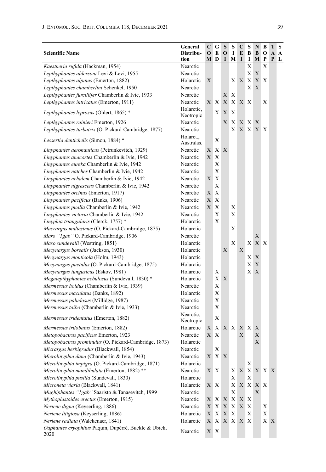| <b>Scientific Name</b>                                        | General<br>Distribu-<br>tion | C<br>$\mathbf 0$<br>М | G<br>E<br>D               | S<br>$\mathbf 0$<br>I | S<br>1<br>M  | C<br>E<br>I | s<br>В<br>1  | N<br>B<br>М | В<br>о<br>P | Т<br>A<br>P | S<br>$\mathbf{A}$<br>L |
|---------------------------------------------------------------|------------------------------|-----------------------|---------------------------|-----------------------|--------------|-------------|--------------|-------------|-------------|-------------|------------------------|
| Kaestneria rufula (Hackman, 1954)                             | Nearctic                     |                       |                           |                       |              |             | Х            |             | Х           |             |                        |
| Lepthyphantes aldersoni Levi & Levi, 1955                     | Nearctic                     |                       |                           |                       |              |             | X            | X           |             |             |                        |
| Lepthyphantes alpinus (Emerton, 1882)                         | Holarctic                    | X                     |                           |                       | X            | X           | X            | X           | X           |             |                        |
| Lepthyphantes chamberlini Schenkel, 1950                      | Nearctic                     |                       |                           |                       |              |             | X X          |             |             |             |                        |
| Lepthyphantes furcillifer Chamberlin & Ivie, 1933             | Nearctic                     |                       |                           | X                     | X            |             |              |             |             |             |                        |
| Lepthyphantes intricatus (Emerton, 1911)                      | Nearctic                     | X                     | X                         | $\mathbf X$           | X            | X           | $\mathbf{X}$ |             | Χ           |             |                        |
| Lepthyphantes leprosus (Ohlert, 1865) *                       | Holarctic,<br>Neotropic      |                       | X                         | X                     | X            |             |              |             |             |             |                        |
| Lepthyphantes rainieri Emerton, 1926                          | Nearctic                     |                       |                           | X                     | X            |             | X X X        |             |             |             |                        |
| Lepthyphantes turbatrix (O. Pickard-Cambridge, 1877)          | Nearctic                     |                       |                           |                       | X            |             |              | X X X X     |             |             |                        |
| Lessertia dentichelis (Simon, 1884)*                          | Holarct.,<br>Australas.      |                       | X                         |                       |              |             |              |             |             |             |                        |
| Linyphantes aeronauticus (Petrunkevitch, 1929)                | Nearctic                     | X                     | X                         | X                     |              |             |              |             |             |             |                        |
| Linyphantes anacortes Chamberlin & Ivie, 1942                 | Nearctic                     | X                     | X                         |                       |              |             |              |             |             |             |                        |
| Linyphantes eureka Chamberlin & Ivie, 1942                    | Nearctic                     |                       | X                         |                       |              |             |              |             |             |             |                        |
| Linyphantes natches Chamberlin & Ivie, 1942                   | Nearctic                     |                       | X                         |                       |              |             |              |             |             |             |                        |
| Linyphantes nehalem Chamberlin & Ivie, 1942                   | Nearctic                     | X                     | X                         |                       |              |             |              |             |             |             |                        |
| Linyphantes nigrescens Chamberlin & Ivie, 1942                | Nearctic                     |                       | X                         |                       |              |             |              |             |             |             |                        |
| Linyphantes orcinus (Emerton, 1917)                           | Nearctic                     | X                     | Х                         |                       |              |             |              |             |             |             |                        |
| Linyphantes pacificus (Banks, 1906)                           | Nearctic                     | X                     | X                         |                       |              |             |              |             |             |             |                        |
| Linyphantes pualla Chamberlin & Ivie, 1942                    | Nearctic                     | X                     | X                         |                       | Х            |             |              |             |             |             |                        |
| Linyphantes victoria Chamberlin & Ivie, 1942                  | Nearctic                     |                       | X                         |                       | Х            |             |              |             |             |             |                        |
| Linyphia triangularis (Clerck, 1757) *                        | Holarctic                    |                       | Х                         |                       |              |             |              |             |             |             |                        |
| Macrargus multesimus (O. Pickard-Cambridge, 1875)             | Holarctic                    |                       |                           |                       | Х            |             |              |             |             |             |                        |
| Maro "1gab" O. Pickard-Cambridge, 1906                        | Nearctic                     |                       |                           |                       |              |             |              | X           |             |             |                        |
| Maso sundevalli (Westring, 1851)                              | Holarctic                    |                       |                           |                       | $\mathbf X$  |             | X            | X X         |             |             |                        |
| Mecynargus borealis (Jackson, 1930)                           | Holarctic                    |                       |                           | X                     |              | X           |              |             |             |             |                        |
| Mecynargus monticola (Holm, 1943)                             | Holarctic                    |                       |                           |                       |              |             | Χ            | X           |             |             |                        |
| Mecynargus paetulus (O. Pickard-Cambridge, 1875)              | Holarctic                    |                       |                           |                       |              |             | X            | X           |             |             |                        |
| Mecynargus tungusicus (Eskov, 1981)                           | Holarctic                    |                       | Х                         |                       |              |             | X X          |             |             |             |                        |
| Megalepthyphantes nebulosus (Sundevall, 1830) *               | Holarctic                    |                       | Χ                         | X                     |              |             |              |             |             |             |                        |
| Mermessus holdus (Chamberlin & Ivie, 1939)                    | Nearctic                     |                       | X                         |                       |              |             |              |             |             |             |                        |
| Mermessus maculatus (Banks, 1892)                             | Holarctic                    |                       | Х                         |                       |              |             |              |             |             |             |                        |
| Mermessus paludosus (Millidge, 1987)                          | Nearctic                     |                       | Χ                         |                       |              |             |              |             |             |             |                        |
| Mermessus taibo (Chamberlin & Ivie, 1933)                     | Nearctic                     |                       | Х                         |                       |              |             |              |             |             |             |                        |
| Mermessus tridentatus (Emerton, 1882)                         | Nearctic.<br>Neotropic       |                       | Х                         |                       |              |             |              |             |             |             |                        |
| Mermessus trilobatus (Emerton, 1882)                          | Holarctic                    | X                     | X                         | X                     | X            | X           | X            | Х           |             |             |                        |
| Metopobactrus pacificus Emerton, 1923                         | Nearctic                     | Χ                     | X                         |                       |              | X           |              | X           |             |             |                        |
| Metopobactrus prominulus (O. Pickard-Cambridge, 1873)         | Holarctic                    |                       |                           |                       |              |             |              | X           |             |             |                        |
| Micrargus herbigradus (Blackwall, 1854)                       | Nearctic                     |                       | X                         |                       |              |             |              |             |             |             |                        |
| Microlinyphia dana (Chamberlin & Ivie, 1943)                  | Nearctic                     | $\mathbf X$           | X                         | X                     |              |             |              |             |             |             |                        |
| Microlinyphia impigra (O. Pickard-Cambridge, 1871)            | Holarctic                    |                       |                           |                       |              |             | X            |             |             |             |                        |
| Microlinyphia mandibulata (Emerton, 1882) **                  | Nearctic                     |                       | X X                       |                       | Χ            | $\mathbf X$ |              | X X X X     |             |             |                        |
| Microlinyphia pusilla (Sundevall, 1830)                       | Holarctic                    |                       |                           |                       | X            |             | X            |             |             |             |                        |
| Microneta viaria (Blackwall, 1841)                            | Holarctic                    |                       | X X                       |                       | Х            | $\mathbf X$ |              | X X X       |             |             |                        |
| Mughiphantes "1gab" Saaristo & Tanasevitch, 1999              | Nearctic                     |                       |                           |                       | X            |             |              | X           |             |             |                        |
| Mythoplastoides erectus (Emerton, 1915)                       | Nearctic                     |                       | XX                        | X                     | $\mathbf X$  | X           | Х            |             |             |             |                        |
| Neriene digna (Keyserling, 1886)                              | Nearctic                     | Χ                     | X                         | X                     | Χ            | $\mathbf X$ | Х            |             | Χ           |             |                        |
| Neriene litigiosa (Keyserling, 1886)                          | Holarctic                    | $\mathbf X$           | $\mathbf X$               | $\mathbf X$           | $\mathbf X$  |             | X            |             | X           |             |                        |
| Neriene radiata (Walckenaer, 1841)                            | Holarctic                    | X                     | $\boldsymbol{\mathrm{X}}$ | X                     | $\mathbf{X}$ | $\mathbf X$ | $\mathbf{X}$ |             | X X         |             |                        |
| Oaphantes cryophilus Paquin, Dupérré, Buckle & Ubick,<br>2020 | Nearctic                     |                       | X X                       |                       |              |             |              |             |             |             |                        |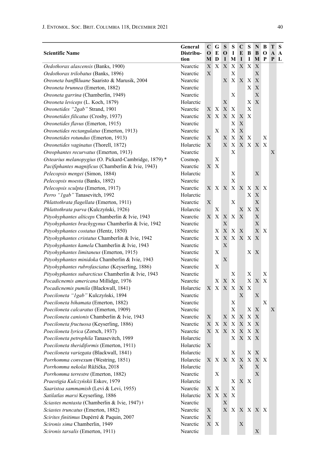| <b>Scientific Name</b>                                | General<br>Distribu- | C<br>$\mathbf 0$ | G<br>E                                         | S<br>$\mathbf 0$ | s<br>$\bf{I}$ | $\mathbf C$<br>E | S<br>В         | N<br>B            | B<br>O | Т<br>A | S<br>$\mathbf A$ |
|-------------------------------------------------------|----------------------|------------------|------------------------------------------------|------------------|---------------|------------------|----------------|-------------------|--------|--------|------------------|
|                                                       | tion                 | M                | D                                              | I                | М             | 1                | 1              | М                 | P      | P      | L                |
| Oedothorax alascensis (Banks, 1900)                   | Nearctic             | X                | X                                              | $\mathbf X$      | Х             | $\mathbf X$      | X              | X                 |        |        |                  |
| Oedothorax trilobatus (Banks, 1896)                   | Nearctic             | X                |                                                |                  | $\mathbf X$   |                  |                | $\mathbf X$       |        |        |                  |
| Oreoneta banffkluane Saaristo & Marusik, 2004         | Nearctic             |                  |                                                | Х                | X             | $\mathbf X$      | X              | $\mathbf X$       |        |        |                  |
| Oreoneta brunnea (Emerton, 1882)                      | Nearctic             |                  |                                                |                  |               |                  | X              | $\mathbf X$       |        |        |                  |
| Oreoneta garrina (Chamberlin, 1949)                   | Nearctic             |                  |                                                |                  | Х             |                  |                | X                 |        |        |                  |
| Oreoneta leviceps (L. Koch, 1879)                     | Holarctic            |                  |                                                | Х                |               |                  | Х              | X                 |        |        |                  |
| Oreonetides "2gab" Strand, 1901                       | Nearctic             | Χ                | X                                              | X                | X             |                  | X              |                   |        |        |                  |
| Oreonetides filicatus (Crosby, 1937)                  | Nearctic             | $\mathbf X$      | $\mathbf X$                                    | X                | X             | X                | X              |                   |        |        |                  |
| Oreonetides flavus (Emerton, 1915)                    | Nearctic             |                  |                                                |                  | Х             | X                |                |                   |        |        |                  |
| Oreonetides rectangulatus (Emerton, 1913)             | Nearctic             |                  | X                                              |                  | X             | $\mathbf X$      |                |                   |        |        |                  |
| Oreonetides rotundus (Emerton, 1913)                  | Nearctic             | Х                |                                                | Х                | Х             | X                | Х              |                   | Х      |        |                  |
| Oreonetides vaginatus (Thorell, 1872)                 | Holarctic            | X                |                                                | X                | X             | X                |                | X X               | Χ      |        |                  |
| Oreophantes recurvatus (Emerton, 1913)                | Nearctic             |                  |                                                |                  | X             |                  |                |                   |        | X      |                  |
| Ostearius melanopygius (O. Pickard-Cambridge, 1879) * | Cosmop.              |                  | Х                                              |                  |               |                  |                |                   |        |        |                  |
| Pacifiphantes magnificus (Chamberlin & Ivie, 1943)    | Nearctic             | X                | X                                              |                  |               |                  |                |                   |        |        |                  |
| Pelecopsis mengei (Simon, 1884)                       | Holarctic            |                  |                                                |                  | Х             |                  |                | X                 |        |        |                  |
| Pelecopsis moesta (Banks, 1892)                       | Nearctic             |                  |                                                |                  | X             |                  |                |                   |        |        |                  |
| Pelecopsis sculpta (Emerton, 1917)                    | Nearctic             | X                |                                                | X X              | X             |                  | X X            |                   | XX     |        |                  |
| Perro "1gab" Tanasevitch, 1992                        | Holarctic            |                  |                                                |                  |               |                  | X              | X                 |        |        |                  |
| Phlattothrata flagellata (Emerton, 1911)              | Nearctic             | X                |                                                |                  | X             |                  |                | $\mathbf X$       |        |        |                  |
| Phlattothrata parva (Kulczyński, 1926)                | Holarctic            |                  | Х                                              |                  |               | Х                | Χ              | $\mathbf X$       |        |        |                  |
| Pityohyphantes alticeps Chamberlin & Ivie, 1943       | Nearctic             | Χ                | X                                              | X                | Χ             | X                |                | $\mathbf X$       |        |        |                  |
| Pityohyphantes brachygynus Chamberlin & Ivie, 1942    | Nearctic             |                  |                                                | X                |               |                  |                | $\mathbf X$       |        |        |                  |
| Pityohyphantes costatus (Hentz, 1850)                 | Nearctic             |                  | Х                                              | $\mathbf X$      | X             | X                |                | $\mathbf{X}$      | X      |        |                  |
| Pityohyphantes cristatus Chamberlin & Ivie, 1942      | Nearctic             |                  | X                                              | X                | X             |                  | XX             | X                 |        |        |                  |
| Pityohyphantes kamela Chamberlin & Ivie, 1943         | Nearctic             |                  |                                                | $\mathbf X$      |               |                  |                |                   |        |        |                  |
| Pityohyphantes limitaneus (Emerton, 1915)             | Nearctic             |                  | X                                              |                  |               |                  | X <sub>1</sub> | X                 |        |        |                  |
| Pityohyphantes minidoka Chamberlin & Ivie, 1943       | Nearctic             |                  |                                                | X                |               |                  |                |                   |        |        |                  |
| Pityohyphantes rubrofasciatus (Keyserling, 1886)      | Nearctic             |                  | Х                                              |                  |               |                  |                |                   |        |        |                  |
| Pityohyphantes subarcticus Chamberlin & Ivie, 1943    | Nearctic             |                  |                                                |                  | Х             |                  | Х              |                   | Х      |        |                  |
| Pocadicnemis americana Millidge, 1976                 | Nearctic             |                  | Χ                                              | X                | X             |                  | X              | X                 | Χ      |        |                  |
| Pocadicnemis pumila (Blackwall, 1841)                 | Holarctic            | X                | X                                              | X                | X             | X                | X              |                   |        |        |                  |
| Poeciloneta "Igab" Kulczyński, 1894                   | Nearctic             |                  |                                                |                  |               | X                |                | Х                 |        |        |                  |
| Poeciloneta bihamata (Emerton, 1882)                  | Nearctic             |                  |                                                |                  | Х             |                  |                |                   | X      |        |                  |
| Poeciloneta calcaratus (Emerton, 1909)                | Nearctic             |                  |                                                |                  | X             |                  | Х              | X                 |        | X      |                  |
| Poeciloneta canionis Chamberlin & Ivie, 1943          | Nearctic             | X                |                                                | X                | X             | X                | X              | X                 |        |        |                  |
| Poeciloneta fructuosa (Keyserling, 1886)              | Nearctic             | X                | $\mathbf X$                                    | $\mathbf X$      | X             | $\mathbf X$      | $\mathbf X$    | X                 |        |        |                  |
| Poeciloneta lyrica (Zorsch, 1937)                     | Nearctic             | X                | X                                              | X                | Х             | Х                | X              | X                 |        |        |                  |
| Poeciloneta petrophila Tanasevitch, 1989              | Holarctic            |                  |                                                |                  | Х             | $\mathbf X$      | X              | X                 |        |        |                  |
| Poeciloneta theridiformis (Emerton, 1911)             | Holarctic            | $\mathbf X$      |                                                |                  |               |                  |                |                   |        |        |                  |
| Poeciloneta variegata (Blackwall, 1841)               | Holarctic            |                  |                                                |                  | Х             |                  |                | X X               |        |        |                  |
| Porrhomma convexum (Westring, 1851)                   | Holarctic            |                  |                                                | X X X X          |               | X                |                | $X \mid X \mid X$ |        |        |                  |
| Porrhomma nekolai Růžička, 2018                       | Holarctic            |                  |                                                |                  |               | X                |                | $\mathbf X$       |        |        |                  |
| Porrhomma terrestre (Emerton, 1882)                   | Nearctic             |                  | X                                              |                  |               |                  |                | $\mathbf X$       |        |        |                  |
| Praestigia Kulczyńskii Eskov, 1979                    | Holarctic            |                  |                                                |                  | Χ             |                  | X X            |                   |        |        |                  |
| Saaristoa sammamish (Levi & Levi, 1955)               | Nearctic             | X                | X                                              |                  | X             |                  |                |                   |        |        |                  |
| Satilatlas marxi Keyserling, 1886                     | Holarctic            |                  | $\mathbf{X} \quad \mathbf{X} \quad \mathbf{X}$ |                  | X             |                  |                |                   |        |        |                  |
| Sciastes mentasta (Chamberlin & Ivie, 1947) +         | Nearctic             |                  |                                                | X                |               |                  |                |                   |        |        |                  |
| Sciastes truncatus (Emerton, 1882)                    | Nearctic             | X                |                                                |                  | X X           |                  |                | X X X X           |        |        |                  |
| Scirites finitimus Dupérré & Paquin, 2007             | Nearctic             | $\mathbf X$      |                                                |                  |               |                  |                |                   |        |        |                  |
| Scironis sima Chamberlin, 1949                        | Nearctic             |                  | X X                                            |                  |               | Х                |                |                   |        |        |                  |
| Scironis tarsalis (Emerton, 1911)                     | Nearctic             |                  |                                                |                  |               |                  |                | X                 |        |        |                  |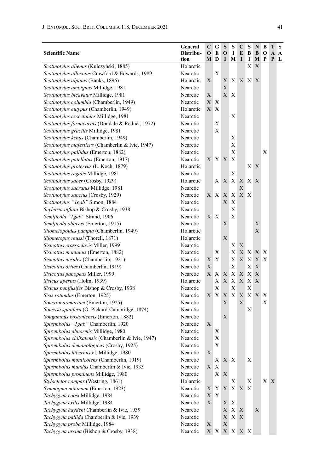| <b>Scientific Name</b>                             | General<br>Distribu- | C<br>О      | G<br>E                    | S<br>$\mathbf{o}$ | S<br>1                    | C<br>E      | S<br>В | N<br>B | B<br>$\bf o$   | Т<br>A | S<br>A |
|----------------------------------------------------|----------------------|-------------|---------------------------|-------------------|---------------------------|-------------|--------|--------|----------------|--------|--------|
|                                                    | tion                 | M D         |                           | L                 | M                         | I           | I      | M      | P              | P      | L      |
| Scotinotylus alienus (Kulczyński, 1885)            | Holarctic            |             |                           |                   |                           |             | Χ      | X      |                |        |        |
| Scotinotylus allocotus Crawford & Edwards, 1989    | Nearctic             |             | X                         |                   |                           |             |        |        |                |        |        |
| Scotinotylus alpinus (Banks, 1896)                 | Holarctic            | X           |                           | Х                 |                           | X X X X     |        |        |                |        |        |
| Scotinotylus ambiguus Millidge, 1981               | Nearctic             |             |                           | X                 |                           |             |        |        |                |        |        |
| Scotinotylus bicavatus Millidge, 1981              | Nearctic             | Χ           |                           | $X_{-}$           | X                         |             |        |        |                |        |        |
| Scotinotylus columbia (Chamberlin, 1949)           | Nearctic             | Χ           | Х                         |                   |                           |             |        |        |                |        |        |
| Scotinotylus eutypus (Chamberlin, 1949)            | Holarctic            | X           | Χ                         |                   |                           |             |        |        |                |        |        |
| Scotinotylus exsectoides Millidge, 1981            | Nearctic             |             |                           |                   | Χ                         |             |        |        |                |        |        |
| Scotinotylus formicarius (Dondale & Redner, 1972)  | Nearctic             |             | Х                         |                   |                           |             |        |        |                |        |        |
| Scotinotylus gracilis Millidge, 1981               | Nearctic             |             | Х                         |                   |                           |             |        |        |                |        |        |
| Scotinotylus kenus (Chamberlin, 1949)              | Nearctic             |             |                           |                   | Х                         |             |        |        |                |        |        |
| Scotinotylus majesticus (Chamberlin & Ivie, 1947)  | Nearctic             |             |                           |                   | Х                         |             |        |        |                |        |        |
| Scotinotylus pallidus (Emerton, 1882)              | Nearctic             |             |                           |                   | Х                         |             |        |        | X              |        |        |
| Scotinotylus patellatus (Emerton, 1917)            | Nearctic             | Χ           | X X                       |                   | Х                         |             |        |        |                |        |        |
| Scotinotylus protervus (L. Koch, 1879)             | Holarctic            |             |                           |                   |                           |             | X X    |        |                |        |        |
| Scotinotylus regalis Millidge, 1981                | Nearctic             |             |                           |                   | Х                         |             |        |        |                |        |        |
| Scotinotylus sacer (Crosby, 1929)                  | Holarctic            |             | X                         | X                 | X                         | X           | X      | X      |                |        |        |
| Scotinotylus sacratus Millidge, 1981               | Nearctic             |             |                           |                   |                           | X           |        |        |                |        |        |
| Scotinotylus sanctus (Crosby, 1929)                | Nearctic             |             | XX.                       | X                 | X                         | X X         |        |        |                |        |        |
| Scotinotylus "1gab" Simon, 1884                    | Nearctic             |             |                           | X                 | Х                         |             |        |        |                |        |        |
| Scyletria inflata Bishop & Crosby, 1938            | Nearctic             |             |                           |                   | Х                         |             |        |        |                |        |        |
| Semljicola "1gab" Strand, 1906                     | Nearctic             |             | X X                       |                   | Х                         |             |        |        |                |        |        |
| Semljicola obtusus (Emerton, 1915)                 | Nearctic             |             |                           | Х                 |                           |             |        | Χ      |                |        |        |
| Silometopoides pampia (Chamberlin, 1949)           | Holarctic            |             |                           |                   |                           |             |        | X      |                |        |        |
| Silometopus reussi (Thorell, 1871)                 | Holarctic            |             |                           | X                 |                           |             |        |        |                |        |        |
| Sisicottus crossoclavis Miller, 1999               | Nearctic             |             |                           |                   | Χ                         | X           |        |        |                |        |        |
| Sisicottus montanus (Emerton, 1882)                | Nearctic             |             | Х                         |                   | Х                         |             | XX     | X X    |                |        |        |
| Sisicottus nesides (Chamberlin, 1921)              | Nearctic             | X           | X                         |                   | Χ                         | X           | X      | X      | X              |        |        |
| Sisicottus orites (Chamberlin, 1919)               | Nearctic             | X           |                           |                   | X                         |             | Х      | X      |                |        |        |
| Sisicottus panopeus Miller, 1999                   | Nearctic             | X           | Χ                         | X                 | Х                         | $\mathbf X$ | X      | X      |                |        |        |
| Sisicus apertus (Holm, 1939)                       | Holarctic            |             | Х                         | X                 | Х                         | X           | X      | X      |                |        |        |
| Sisicus penifusifer Bishop & Crosby, 1938          | Nearctic             |             | Х                         |                   | Х                         |             | Х      |        |                |        |        |
| Sisis rotundus (Emerton, 1925)                     | Nearctic             |             | XX                        | $X_{-}$           | X                         | X           |        | X X    | Х              |        |        |
| Soucron arenarium (Emerton, 1925)                  | Nearctic             |             |                           | Х                 |                           | X           |        |        | X              |        |        |
| Souessa spinifera (O. Pickard-Cambridge, 1874)     | Nearctic             |             |                           |                   |                           |             | Х      |        |                |        |        |
| Sougambus bostoniensis (Emerton, 1882)             | Nearctic             |             |                           | X                 |                           |             |        |        |                |        |        |
| Spirembolus "1gab" Chamberlin, 1920                | Nearctic             | Х           |                           |                   |                           |             |        |        |                |        |        |
| Spirembolus abnormis Millidge, 1980                | Nearctic             |             | Х                         |                   |                           |             |        |        |                |        |        |
| Spirembolus chilkatensis (Chamberlin & Ivie, 1947) | Nearctic             |             | Х                         |                   |                           |             |        |        |                |        |        |
| Spirembolus demonologicus (Crosby, 1925)           | Nearctic             |             | $\mathbf X$               |                   |                           |             |        |        |                |        |        |
| Spirembolus hibernus cf. Millidge, 1980            | Nearctic             | X           |                           |                   |                           |             |        |        |                |        |        |
| Spirembolus monticolens (Chamberlin, 1919)         | Nearctic             |             | X                         | X X               |                           |             | Х      |        |                |        |        |
| Spirembolus mundus Chamberlin & Ivie, 1933         | Nearctic             | $\mathbf X$ | X                         |                   |                           |             |        |        |                |        |        |
| Spirembolus prominens Millidge, 1980               | Nearctic             |             | X                         | X                 |                           |             |        |        |                |        |        |
| Styloctetor compar (Westring, 1861)                | Holarctic            |             |                           |                   | Х                         |             | Х      |        | X <sub>1</sub> | X      |        |
| Symmigma minimum (Emerton, 1923)                   | Nearctic             | Х           | X                         | $X_{-}$           | X                         | X X         |        |        |                |        |        |
| Tachygyna coosi Millidge, 1984                     | Nearctic             | $\mathbf X$ | $\boldsymbol{\mathrm{X}}$ |                   |                           |             |        |        |                |        |        |
| Tachygyna exilis Millidge, 1984                    | Nearctic             | $\mathbf X$ |                           | $X_{\mathcal{I}}$ | $\boldsymbol{\mathrm{X}}$ |             |        |        |                |        |        |
| Tachygyna haydeni Chamberlin & Ivie, 1939          | Nearctic             |             |                           |                   | X X                       | X           |        | X      |                |        |        |
| Tachygyna pallida Chamberlin & Ivie, 1939          | Nearctic             |             |                           | $\mathbf X$       | X X                       |             |        |        |                |        |        |
| Tachygyna proba Millidge, 1984                     | Nearctic             | X           |                           | X                 |                           |             |        |        |                |        |        |
| Tachygyna ursina (Bishop & Crosby, 1938)           | Nearctic             |             | XX                        |                   | X X X X                   |             |        |        |                |        |        |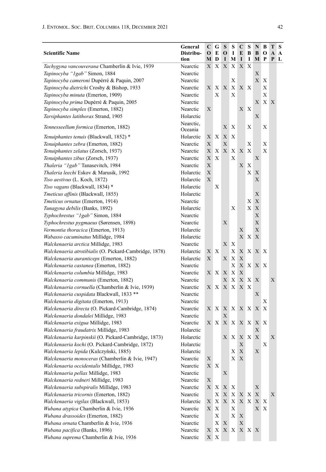| <b>Scientific Name</b>                                 | General<br>Distribu-<br>tion | C<br>$\mathbf 0$<br>М | G<br>E<br>D               | S<br>$\mathbf 0$<br>I | S<br>1<br>M  | C<br>E<br>I | S<br>B<br>I  | N<br>B<br>М | B<br>O<br>P    | Т<br>A<br>P | S<br>A<br>$\mathbf{L}$ |
|--------------------------------------------------------|------------------------------|-----------------------|---------------------------|-----------------------|--------------|-------------|--------------|-------------|----------------|-------------|------------------------|
| Tachygyna vancouverana Chamberlin & Ivie, 1939         | Nearctic                     | Х                     | Х                         | X                     | Χ            | X           | X            |             |                |             |                        |
| Tapinocyba "1gab" Simon, 1884                          | Nearctic                     |                       |                           |                       |              |             |              | X           |                |             |                        |
| Tapinocyba cameroni Dupérré & Paquin, 2007             | Nearctic                     |                       |                           |                       | X            |             |              | X           | X              |             |                        |
| Tapinocyba dietrichi Crosby & Bishop, 1933             | Nearctic                     | Х                     | Χ                         | X                     | X            | X X         |              |             | X              |             |                        |
| Tapinocyba minuta (Emerton, 1909)                      | Nearctic                     |                       | Х                         |                       | X            |             |              |             | X              |             |                        |
| Tapinocyba prima Dupérré & Paquin, 2005                | Nearctic                     |                       |                           |                       |              |             |              | Х           | X <sub>1</sub> | X           |                        |
| Tapinocyba simplex (Emerton, 1882)                     | Nearctic                     | X                     |                           |                       |              | X           | $\mathbf{X}$ |             |                |             |                        |
| Tarsiphantes latithorax Strand, 1905                   | Holarctic                    |                       |                           |                       |              |             |              | X           |                |             |                        |
| Tennesseellum formica (Emerton, 1882)                  | Nearctic,<br>Oceania         |                       |                           | Х                     | Х            |             | Х            |             | X              |             |                        |
| Tenuiphantes tenuis (Blackwall, 1852) *                | Holarctic                    | Х                     | $\mathbf{X}$              | X                     | X            |             |              |             |                |             |                        |
| Tenuiphantes zebra (Emerton, 1882)                     | Nearctic                     | X                     |                           | X                     |              |             | Х            |             | X              |             |                        |
| Tenuiphantes zelatus (Zorsch, 1937)                    | Nearctic                     | Х                     | X                         | X                     | X            | X           | X            |             | X              |             |                        |
| Tenuiphantes zibus (Zorsch, 1937)                      | Nearctic                     | X                     | Х                         |                       | X            |             |              | Х           |                |             |                        |
| Thaleria "1gab" Tanasevitch, 1984                      | Nearctic                     | X                     |                           |                       |              | X           | Х            |             |                |             |                        |
| Thaleria leechi Eskov & Marusik, 1992                  | Holarctic                    | X                     |                           |                       |              |             | Χ            | Х           |                |             |                        |
| Tiso aestivus (L. Koch, 1872)                          | Holarctic                    | X                     |                           |                       |              |             |              | X           |                |             |                        |
| Tiso vagans (Blackwall, 1834) *                        | Holarctic                    |                       | Х                         |                       |              |             |              |             |                |             |                        |
| Tmeticus affinis (Blackwall, 1855)                     | Holarctic                    |                       |                           |                       |              |             |              | X           |                |             |                        |
| Tmeticus ornatus (Emerton, 1914)                       | Nearctic                     |                       |                           |                       |              |             | Х            | $\mathbf X$ |                |             |                        |
| Tunagyna debilis (Banks, 1892)                         | Holarctic                    |                       |                           |                       | Х            |             | Χ            | $\mathbf X$ |                |             |                        |
| Typhochrestus "1gab" Simon, 1884                       | Nearctic                     |                       |                           |                       |              |             |              | X           |                |             |                        |
| Typhochrestus pygmaeus (Sørensen, 1898)                | Nearctic                     |                       |                           | Х                     |              |             |              | X           |                |             |                        |
| Vermontia thoracica (Emerton, 1913)                    | Holarctic                    |                       |                           |                       |              | Х           |              | $\mathbf X$ |                |             |                        |
| Wabasso cacuminatus Millidge, 1984                     | Holarctic                    |                       |                           |                       |              | X X         |              | X           |                |             |                        |
| Walckenaeria arctica Millidge, 1983                    | Nearctic                     |                       |                           | X                     | Х            |             |              |             |                |             |                        |
| Walckenaeria atrotibialis (O. Pickard-Cambridge, 1878) | Holarctic                    | Х                     | X                         |                       | Х            | X           | X X          |             | $\mathbf{X}$   |             |                        |
| Walckenaeria auranticeps (Emerton, 1882)               | Holarctic                    | X                     |                           | X                     | Х            | X           |              |             |                |             |                        |
| Walckenaeria castanea (Emerton, 1882)                  | Nearctic                     |                       |                           |                       | X            | $X_{-}$     | X X          |             | $\mathbf{X}$   |             |                        |
| Walckenaeria columbia Millidge, 1983                   | Nearctic                     | Х                     | X                         | X                     | Х            | X           |              |             |                |             |                        |
| Walckenaeria communis (Emerton, 1882)                  | Nearctic                     |                       |                           | Х                     | Х            | X           | X            | X           |                | X           |                        |
| Walckenaeria cornuella (Chamberlin & Ivie, 1939)       | Nearctic                     | Х                     | X                         | X                     | Χ            | X           | Х            |             |                |             |                        |
| Walckenaeria cuspidata Blackwall, 1833 **              | Nearctic                     |                       |                           |                       |              |             |              | Х           |                |             |                        |
| Walckenaeria digitata (Emerton, 1913)                  | Nearctic                     |                       |                           |                       |              |             |              |             | Х              |             |                        |
| Walckenaeria directa (O. Pickard-Cambridge, 1874)      | Nearctic                     | Х                     | $\mathbf{X}$              | X                     |              | X X X X     |              |             | X              |             |                        |
| Walckenaeria dondalei Millidge, 1983                   | Nearctic                     |                       |                           | Х                     |              |             |              |             |                |             |                        |
| Walckenaeria exigua Millidge, 1983                     | Nearctic                     | Х                     | X                         | X                     |              | X X         | X            | X           | $\mathbf{X}$   |             |                        |
| Walckenaeria fraudatrix Millidge, 1983                 | Holarctic                    |                       |                           |                       |              |             |              | X           |                |             |                        |
| Walckenaeria karpinskii (O. Pickard-Cambridge, 1873)   | Holarctic                    |                       |                           | Х                     | Χ            | X           | X X          |             |                | Х           |                        |
| Walckenaeria kochi (O. Pickard-Cambridge, 1872)        | Holarctic                    |                       |                           |                       |              | X           |              |             | Х              |             |                        |
| Walckenaeria lepida (Kulczyński, 1885)                 | Holarctic                    |                       |                           |                       | Χ            | X           |              | X           |                |             |                        |
| Walckenaeria monoceras (Chamberlin & Ivie, 1947)       | Nearctic                     | X                     |                           |                       | X            | X           |              |             |                |             |                        |
| Walckenaeria occidentalis Millidge, 1983               | Nearctic                     | X X                   |                           |                       |              |             |              |             |                |             |                        |
| Walckenaeria pellax Millidge, 1983                     | Nearctic                     |                       |                           | $\mathbf X$           |              |             |              |             |                |             |                        |
| Walckenaeria redneri Millidge, 1983                    | Nearctic                     | X                     |                           |                       |              |             |              |             |                |             |                        |
| Walckenaeria subspiralis Millidge, 1983                | Nearctic                     | X                     | X                         | X                     | $\mathbf{X}$ |             |              | $\mathbf X$ |                |             |                        |
| Walckenaeria tricornis (Emerton, 1882)                 | Nearctic                     |                       | X                         | $\mathbf X$           | X            | X X         |              | $\mathbf X$ |                | Х           |                        |
| Walckenaeria vigilax (Blackwall, 1853)                 | Holarctic                    | X                     | X                         | X                     | $\mathbf X$  | X X         |              | X X         |                |             |                        |
| Wubana atypica Chamberlin & Ivie, 1936                 | Nearctic                     | $\mathbf{X}^-$        | $\boldsymbol{\mathrm{X}}$ |                       | Х            |             |              | X X         |                |             |                        |
| Wubana drassoides (Emerton, 1882)                      | Nearctic                     |                       | X                         |                       | X            | X           |              |             |                |             |                        |
| Wubana ornata Chamberlin & Ivie, 1936                  | Nearctic                     |                       | X                         | $\mathbf X$           |              | $\mathbf X$ |              |             |                |             |                        |
| Wubana pacifica (Banks, 1896)                          | Nearctic                     | Х                     | X                         |                       | XX.          |             | X X X        |             |                |             |                        |
| Wubana suprema Chamberlin & Ivie, 1936                 | Nearctic                     |                       | X X                       |                       |              |             |              |             |                |             |                        |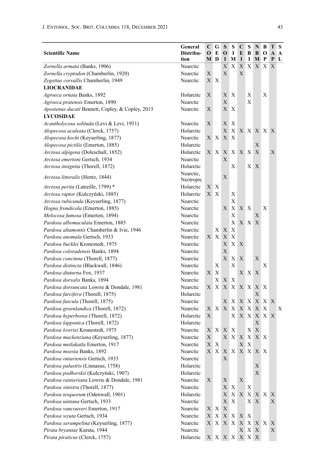| <b>Scientific Name</b>                           | General<br>Distribu- | $\mathbf C$<br>$\mathbf 0$ | G<br>E       | S<br>O                 | S<br>1           | $\mathbf C$<br>E | S<br>B                       | N<br>B      | B<br>$\bf o$                 | Т<br>A | S<br>A      |
|--------------------------------------------------|----------------------|----------------------------|--------------|------------------------|------------------|------------------|------------------------------|-------------|------------------------------|--------|-------------|
|                                                  | tion                 |                            | M D          | 1                      | M                | I                | I                            | М           | P                            | P      | $\mathbf L$ |
| Zornella armata (Banks, 1906)                    | Nearctic             |                            |              | X                      | X                | X                | Х                            | $X_{-}$     | X                            | X      |             |
| Zornella cryptodon (Chamberlin, 1920)            | Nearctic             | X                          |              | X                      |                  | X                |                              |             |                              |        |             |
| Zygottus corvallis Chamberlin, 1949              | Nearctic             | $\mathbf X$                | $\mathbf{X}$ |                        |                  |                  |                              |             |                              |        |             |
| <b>LIOCRANIDAE</b>                               |                      |                            |              |                        |                  |                  |                              |             |                              |        |             |
| Agroeca ornata Banks, 1892                       | Holarctic            | X                          |              | Х                      | X                |                  | Х                            |             | Х                            |        |             |
| Agroeca pratensis Emerton, 1890                  | Nearctic             |                            |              | X                      |                  |                  | Х                            |             |                              |        |             |
| Apostenus ducati Bennett, Copley, & Copley, 2013 | Nearctic             | Х                          |              | X                      | Χ                |                  |                              |             |                              |        |             |
| <b>LYCOSIDAE</b>                                 |                      |                            |              |                        |                  |                  |                              |             |                              |        |             |
| Acantholycosa solituda (Levi & Levi, 1951)       | Nearctic             | Х                          |              | Х                      | Х                |                  |                              |             |                              |        |             |
| Alopecosa aculeata (Clerck, 1757)                | Holarctic            |                            |              | X                      | X                |                  |                              | X X X X     |                              | X      |             |
| Alopecosa kochi (Keyserling, 1877)               | Nearctic             |                            | XX           | X                      | X                |                  |                              |             |                              |        |             |
| Alopecosa pictilis (Emerton, 1885)               | Holarctic            |                            |              |                        |                  |                  |                              | X           |                              |        |             |
| Arctosa alpigena (Doleschall, 1852)              | Holarctic            |                            | XX           | X                      | X                |                  | X X                          | X           |                              | X      |             |
| Arctosa emertoni Gertsch, 1934                   | Nearctic             |                            |              | X                      |                  |                  |                              |             |                              |        |             |
| Arctosa insignita (Thorell, 1872)                | Holarctic            |                            |              |                        | X                |                  | X X                          |             |                              |        |             |
| Arctosa littoralis (Hentz, 1844)                 | Nearctic,            |                            |              | X                      |                  |                  |                              |             |                              |        |             |
|                                                  | Neotropic            |                            |              |                        |                  |                  |                              |             |                              |        |             |
| Arctosa perita (Latreille, 1799) *               | Holarctic            | X.                         | X            |                        |                  |                  |                              |             |                              |        |             |
| Arctosa raptor (Kulczyński, 1885)                | Holarctic            | X                          | X            |                        | Х                |                  |                              |             |                              |        |             |
| Arctosa rubicunda (Keyserling, 1877)             | Nearctic             |                            |              |                        | Х                |                  |                              |             |                              |        |             |
| Hogna frondicola (Emerton, 1885)                 | Nearctic             |                            |              | X                      | X                | X X              |                              |             | Χ                            |        |             |
| Melocosa fumosa (Emerton, 1894)                  | Nearctic             |                            |              |                        | X                |                  |                              | Х           |                              |        |             |
| Pardosa albomaculata Emerton, 1885               | Nearctic             |                            |              |                        | Χ                |                  | X X X                        |             |                              |        |             |
| Pardosa altamontis Chamberlin & Ivie, 1946       | Nearctic             |                            | Χ            | X                      | X                |                  |                              |             |                              |        |             |
| Pardosa anomala Gertsch, 1933                    | Nearctic             |                            | XX           | X                      | X                |                  |                              |             |                              |        |             |
| Pardosa bucklei Kronestedt, 1975                 | Nearctic             |                            |              | X                      | X X              |                  |                              |             |                              |        |             |
| Pardosa coloradensis Banks, 1894                 | Nearctic             |                            |              | X                      |                  |                  |                              |             |                              |        |             |
| Pardosa concinna (Thorell, 1877)                 | Nearctic             |                            |              | X                      | Х                | Х                |                              | X           |                              |        |             |
| Pardosa distincta (Blackwall, 1846)              | Nearctic             |                            | Х            |                        | X                |                  |                              |             | Χ                            |        |             |
| Pardosa diuturna Fox, 1937                       | Nearctic             | X                          | X            |                        |                  |                  | XX.                          | X           |                              |        |             |
| Pardosa dorsalis Banks, 1894                     | Nearctic             |                            | Χ            | Х                      | Х                |                  |                              |             |                              |        |             |
| Pardosa dorsuncata Lowrie & Dondale, 1981        | Nearctic             | X                          | $\mathbf X$  | X                      | X                |                  | XX                           | X X         |                              |        |             |
| Pardosa furcifera (Thorell, 1875)                | Holarctic            |                            |              |                        |                  |                  |                              | X           |                              |        |             |
| Pardosa fuscula (Thorell, 1875)                  | Nearctic             |                            |              | Х                      | Χ                | X                | X                            |             | X X                          | X      |             |
| Pardosa groenlandica (Thorell, 1872)             | Nearctic             |                            | X X X        |                        | X                | $X_{-}$          | X                            | X           | $\mathbf{X}$                 |        | X           |
| Pardosa hyperborea (Thorell, 1872)               | Holarctic            | X                          |              |                        | X                | X                | X                            |             | XX                           | X      |             |
| Pardosa lapponica (Thorell, 1872)                | Holarctic            |                            |              |                        |                  |                  |                              | $\mathbf X$ |                              |        |             |
| Pardosa lowriei Kronestedt, 1975                 | Nearctic             |                            | X X X        |                        | X                |                  | X                            | $\mathbf X$ |                              |        |             |
| Pardosa mackenziana (Keyserling, 1877)           | Nearctic             | X                          |              |                        | X X              |                  | X X                          | X X         |                              |        |             |
| Pardosa metlakatla Emerton, 1917                 | Nearctic             |                            | X X          |                        |                  | X                | X                            |             |                              |        |             |
| Pardosa moesta Banks, 1892                       | Nearctic             |                            |              | <b>X X X X X X X X</b> |                  |                  |                              |             |                              |        |             |
| Pardosa ontariensis Gertsch, 1933                | Nearctic             |                            |              | X                      |                  |                  |                              |             |                              |        |             |
| Pardosa palustris (Linnaeus, 1758)               | Holarctic            |                            |              |                        |                  |                  |                              | X           |                              |        |             |
| Pardosa podhorskii (Kulczyński, 1907)            | Holarctic            |                            |              |                        |                  |                  |                              | X           |                              |        |             |
| Pardosa rainieriana Lowrie & Dondale, 1981       | Nearctic             | X                          |              | Х                      |                  | X                |                              |             |                              |        |             |
| Pardosa sinistra (Thorell, 1877)                 | Nearctic             |                            |              | X X                    |                  |                  | X                            |             |                              |        |             |
| Pardosa tesquorum (Odenwall, 1901)               | Holarctic            |                            |              |                        | X X              |                  | XX                           |             | $\mathbf{X} \mid \mathbf{X}$ | X      |             |
| Pardosa uintana Gertsch, 1933                    | Nearctic             |                            |              | $\mathbf{X}$           | $\boldsymbol{X}$ |                  |                              | X X         |                              | Х      |             |
| Pardosa vancouveri Emerton, 1917                 | Nearctic             |                            | X X          | $\mathbf X$            |                  |                  |                              |             |                              |        |             |
| Pardosa wyuta Gertsch, 1934                      | Nearctic             |                            | X X          |                        | X X X X          |                  |                              |             |                              |        |             |
| Pardosa xerampelina (Keyserling, 1877)           | Nearctic             |                            | X X          |                        | X X              |                  | $\mathbf{X} \mid \mathbf{X}$ |             | X X                          | X      |             |
| Pirata bryantae Kurata, 1944                     | Nearctic             |                            |              |                        |                  |                  | X X X                        |             |                              | X      |             |
| Pirata piraticus (Clerck, 1757)                  | Holarctic            |                            |              | <b>X X X X X X X</b>   |                  |                  |                              |             |                              |        |             |

L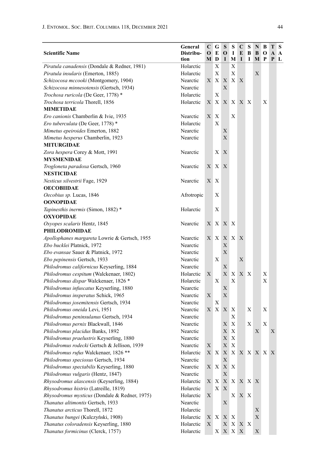| <b>Scientific Name</b>                                  | General<br>Distribu-<br>tion | $\mathbf C$<br>$\bf{0}$<br>MD | G<br>E                       | S<br>$\mathbf 0$<br>$\bf{I}$ | S<br>-1<br>M              | C<br>E<br>1 | S<br>B<br>1 | N<br>B<br>M   | B<br>O<br>P | тs<br>A | $\mathbf{A}$<br>P L |
|---------------------------------------------------------|------------------------------|-------------------------------|------------------------------|------------------------------|---------------------------|-------------|-------------|---------------|-------------|---------|---------------------|
| Piratula canadensis (Dondale & Redner, 1981)            | Holarctic                    |                               | Х                            |                              | Χ                         |             |             |               |             |         |                     |
| Piratula insularis (Emerton, 1885)                      | Holarctic                    |                               | X                            |                              | X                         |             |             | X             |             |         |                     |
| Schizocosa mccooki (Montgomery, 1904)                   | Nearctic                     | X                             | $\mathbf{X}$                 | X                            | X                         | X           |             |               |             |         |                     |
| Schizocosa minnesotensis (Gertsch, 1934)                | Nearctic                     |                               |                              | X                            |                           |             |             |               |             |         |                     |
| Trochosa ruricola (De Geer, 1778) *                     | Holarctic                    |                               | X                            |                              |                           |             |             |               |             |         |                     |
| Trochosa terricola Thorell, 1856                        | Holarctic                    | X                             | X                            |                              |                           | X X X X     |             |               | X           |         |                     |
| <b>MIMETIDAE</b>                                        |                              |                               |                              |                              |                           |             |             |               |             |         |                     |
| Ero canionis Chamberlin & Ivie, 1935                    | Nearctic                     | X                             | X                            |                              | X                         |             |             |               |             |         |                     |
| Ero tuberculata (De Geer, 1778) *                       | Holarctic                    |                               | X                            |                              |                           |             |             |               |             |         |                     |
| Mimetus epeiroides Emerton, 1882                        | Nearctic                     |                               |                              | X                            |                           |             |             |               |             |         |                     |
| Mimetus hesperus Chamberlin, 1923                       | Nearctic                     |                               |                              | X                            |                           |             |             |               |             |         |                     |
| <b>MITURGIDAE</b>                                       |                              |                               |                              |                              |                           |             |             |               |             |         |                     |
| Zora hespera Corey & Mott, 1991<br><b>MYSMENIDAE</b>    | Nearctic                     |                               | X                            | X                            |                           |             |             |               |             |         |                     |
| Trogloneta paradoxa Gertsch, 1960                       | Nearctic                     | X                             | X                            | X                            |                           |             |             |               |             |         |                     |
| <b>NESTICIDAE</b>                                       |                              |                               |                              |                              |                           |             |             |               |             |         |                     |
| Nesticus silvestrii Fage, 1929                          | Nearctic                     | X X                           |                              |                              |                           |             |             |               |             |         |                     |
| <b>OECOBIIDAE</b>                                       |                              |                               |                              |                              |                           |             |             |               |             |         |                     |
| Oecobius sp. Lucas, 1846                                | Afrotropic                   |                               | Χ                            |                              |                           |             |             |               |             |         |                     |
| <b>OONOPIDAE</b>                                        |                              |                               |                              |                              |                           |             |             |               |             |         |                     |
| Tapinesthis inermis (Simon, 1882) *<br><b>OXYOPIDAE</b> | Holarctic                    |                               | Х                            |                              |                           |             |             |               |             |         |                     |
| Oxyopes scalaris Hentz, 1845                            | Nearctic                     |                               | X X                          | X                            | $\boldsymbol{\mathrm{X}}$ |             |             |               |             |         |                     |
| <b>PHILODROMIDAE</b>                                    |                              |                               |                              |                              |                           |             |             |               |             |         |                     |
| Apollophanes margareta Lowrie & Gertsch, 1955           | Nearctic                     |                               | XX                           | X                            | X                         | X           |             |               |             |         |                     |
| Ebo bucklei Platnick, 1972                              | Nearctic                     |                               |                              | X                            |                           |             |             |               |             |         |                     |
| Ebo evansae Sauer & Platnick, 1972                      | Nearctic                     |                               |                              | $\mathbf X$                  |                           |             |             |               |             |         |                     |
| Ebo pepinensis Gertsch, 1933                            | Nearctic                     |                               | Х                            |                              |                           | Х           |             |               |             |         |                     |
| Philodromus californicus Keyserling, 1884               | Nearctic                     |                               |                              | X                            |                           |             |             |               |             |         |                     |
| Philodromus cespitum (Walckenaer, 1802)                 | Holarctic                    | X                             |                              | X                            | X                         | X X         |             |               | Χ           |         |                     |
| Philodromus dispar Walckenaer, 1826 *                   | Holarctic                    |                               | X                            |                              | X                         |             |             |               | X           |         |                     |
| Philodromus infuscatus Keyserling, 1880                 | Nearctic                     |                               |                              | Х                            |                           |             |             |               |             |         |                     |
| Philodromus insperatus Schick, 1965                     | Nearctic                     | X                             |                              | X                            |                           |             |             |               |             |         |                     |
| Philodromus josemitensis Gertsch, 1934                  | Nearctic                     |                               | Х                            |                              |                           |             |             |               |             |         |                     |
| Philodromus oneida Levi, 1951                           | Nearctic                     | X                             | $\boldsymbol{\mathrm{X}}$    | X                            | Χ                         |             | X           |               | X           |         |                     |
| Philodromus peninsulanus Gertsch, 1934                  | Nearctic                     |                               |                              |                              | X                         |             |             |               |             |         |                     |
| Philodromus pernix Blackwall, 1846                      | Nearctic                     |                               |                              | X                            | Χ                         |             | X           |               | X           |         |                     |
| Philodromus placidus Banks, 1892                        | Nearctic                     |                               |                              | Х                            | X                         |             |             | Х             |             | X       |                     |
| Philodromus praelustris Keyserling, 1880                | Nearctic                     |                               |                              | X                            | X                         |             |             |               |             |         |                     |
| Philodromus rodecki Gertsch & Jellison, 1939            | Nearctic                     | $\mathbf X$                   |                              | $\mathbf X$                  | $\mathbf X$               |             |             |               |             |         |                     |
| Philodromus rufus Walckenaer, 1826 **                   | Holarctic                    |                               | $X \mid X$                   |                              |                           |             |             | X X X X X X X |             |         |                     |
| Philodromus speciosus Gertsch, 1934                     | Nearctic                     |                               |                              | Х                            |                           |             |             |               |             |         |                     |
| Philodromus spectabilis Keyserling, 1880                | Nearctic                     |                               | X X                          | X                            | X                         |             |             |               |             |         |                     |
| Philodromus vulgaris (Hentz, 1847)                      | Nearctic                     |                               |                              | X                            |                           |             |             |               |             |         |                     |
| Rhysodromus alascensis (Keyserling, 1884)               | Holarctic                    |                               | $\mathbf{X} \mid \mathbf{X}$ | $X_{\mathcal{L}}$            | $X_{-}$                   | X X X       |             |               |             |         |                     |
| Rhysodromus histrio (Latreille, 1819)                   | Holarctic                    |                               | X                            | X                            |                           |             |             |               |             |         |                     |
| Rhysodromus mysticus (Dondale & Redner, 1975)           | Holarctic                    | X                             |                              |                              | $X_{\perp}$               | X X         |             |               |             |         |                     |
| Thanatus altimontis Gertsch, 1933                       | Nearctic                     |                               |                              | Х                            |                           |             |             |               |             |         |                     |
| Thanatus arcticus Thorell, 1872                         | Holarctic                    |                               |                              |                              |                           |             |             | Х             |             |         |                     |
| Thanatus bungei (Kulczyński, 1908)                      | Holarctic                    |                               | XX                           | X                            | X                         |             |             | $\mathbf X$   |             |         |                     |
| Thanatus coloradensis Keyserling, 1880                  | Holarctic                    | X                             |                              | Х                            | $\mathbf X$               | X X         |             |               |             |         |                     |
| Thanatus formicinus (Clerck, 1757)                      | Holarctic                    |                               | X <sub>1</sub>               |                              | $X$ $X$ $X$               |             |             | X             |             |         |                     |
|                                                         |                              |                               |                              |                              |                           |             |             |               |             |         |                     |

 $\overline{a}$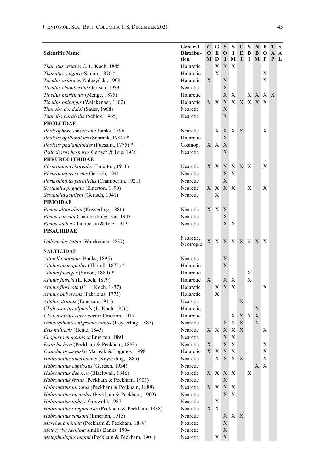| <b>Scientific Name</b>                                                                | General<br>Distribu-<br>tion | C<br>$\mathbf 0$       | G<br>E<br>M D | S<br>О<br>1        | s<br>-1<br>M     | C<br>E<br>1 | S<br>B<br>1 | N<br>B<br>M P | B<br>0       | Т<br>A<br>P | S<br>A<br>L |
|---------------------------------------------------------------------------------------|------------------------------|------------------------|---------------|--------------------|------------------|-------------|-------------|---------------|--------------|-------------|-------------|
| Thanatus striatus C. L. Koch, 1845                                                    | Holarctic                    |                        | Х             | X                  | $\mathbf{X}$     |             |             |               |              |             |             |
| Thanatus vulgaris Simon, 1870 *                                                       | Holarctic                    |                        | X             |                    |                  |             |             |               | X            |             |             |
| Tibellus asiaticus Kulczyński, 1908                                                   | Holarctic                    | X                      |               | Х                  |                  |             |             |               | X            |             |             |
| Tibellus chamberlini Gertsch, 1933                                                    | Nearctic                     |                        |               | X                  |                  |             |             |               |              |             |             |
| Tibellus maritimus (Menge, 1875)                                                      | Holarctic                    |                        |               | X                  | $\mathbf{X}$     |             | X X         |               | $X_{-}$      | X           |             |
| Tibellus oblongus (Walckenaer, 1802)                                                  | Holarctic                    |                        | XX            |                    | XX               |             | X X X       |               | $\mathbf{X}$ |             |             |
| Titanebo dondalei (Sauer, 1968)                                                       | Nearctic                     |                        |               | X                  |                  |             |             |               |              |             |             |
| Titanebo parabolis (Schick, 1965)                                                     | Nearctic                     |                        |               | X                  |                  |             |             |               |              |             |             |
| <b>PHOLCIDAE</b>                                                                      |                              |                        |               |                    |                  |             |             |               |              |             |             |
| Pholcophora americana Banks, 1896                                                     | Nearctic                     |                        | Χ             |                    | X X              | X           |             |               | Χ            |             |             |
| Pholcus opilionoides (Schrank, 1781)*                                                 | Holarctic                    |                        |               | X                  |                  |             |             |               |              |             |             |
| Pholcus phalangioides (Fuesslin, 1775) *                                              | Cosmop.                      |                        | X X           | X                  |                  |             |             |               |              |             |             |
| Psilochorus hesperus Gertsch & Ivie, 1936                                             | Nearctic                     |                        |               | X                  |                  |             |             |               |              |             |             |
| <b>PHRUROLITHIDAE</b>                                                                 |                              |                        |               |                    |                  |             |             |               |              |             |             |
| Phrurotimpus borealis (Emerton, 1911)                                                 | Nearctic                     |                        | XX            | X                  | $\mathbf{X}$     | X X         |             |               | Χ            |             |             |
| Phrurotimpus certus Gertsch, 1941                                                     | Nearctic                     |                        |               | Χ                  | X                |             |             |               |              |             |             |
| Phrurotimpus parallelus (Chamberlin, 1921)                                            | Nearctic                     |                        |               | X                  |                  |             |             |               |              |             |             |
| Scotinella pugnata (Emerton, 1890)                                                    | Nearctic                     | $X_{-}$                | Χ             |                    | X X              |             | X           |               | X            |             |             |
| Scotinella sculleni (Gertsch, 1941)                                                   | Nearctic                     |                        | Х             |                    |                  |             |             |               |              |             |             |
| <b>PIMOIDAE</b>                                                                       |                              |                        |               |                    |                  |             |             |               |              |             |             |
| Pimoa altioculata (Keyserling, 1886)                                                  | Nearctic                     | X                      | $\mathbf{X}$  | X                  |                  |             |             |               |              |             |             |
| Pimoa curvata Chamberlin & Ivie, 1943                                                 | Nearctic                     |                        |               | X                  |                  |             |             |               |              |             |             |
| Pimoa haden Chamberlin & Ivie, 1943                                                   | Nearctic                     |                        |               |                    | X X              |             |             |               |              |             |             |
| PISAURIDAE                                                                            |                              |                        |               |                    |                  |             |             |               |              |             |             |
| Dolomedes triton (Walckenaer, 1837)                                                   | Nearctic,<br>Neotropic       |                        | XX            |                    | XX               |             |             | X X X X       |              |             |             |
| <b>SALTICIDAE</b>                                                                     |                              |                        |               |                    |                  |             |             |               |              |             |             |
| Attinella dorsata (Banks, 1895)                                                       | Nearctic                     |                        |               | Х                  |                  |             |             |               |              |             |             |
| Attulus ammophilus (Thorell, 1875) *                                                  | Holarctic                    |                        |               | $\mathbf X$        |                  |             |             |               |              |             |             |
| Attulus fasciger (Simon, 1880)*                                                       | Holarctic                    |                        |               |                    |                  |             | X           |               |              |             |             |
| Attulus finschi (L. Koch, 1879)                                                       | Holarctic                    | X                      |               | X                  | X                |             | Х           |               |              |             |             |
| Attulus floricola (C. L. Koch, 1837)                                                  | Holarctic                    |                        | X             | $X_{-}$            | X                |             |             |               | X            |             |             |
| Attulus pubescens (Fabricius, 1775)                                                   | Holarctic                    |                        | X             |                    |                  |             |             |               |              |             |             |
| Attulus striatus (Emerton, 1911)                                                      | Nearctic                     |                        |               |                    |                  | X           |             |               |              |             |             |
| Chalcoscirtus alpicola (L. Koch, 1876)                                                | Holarctic                    |                        |               |                    |                  |             |             | Х             |              |             |             |
| Chalcoscirtus carbonarius Emerton, 1917                                               | Holarctic                    |                        |               |                    | Χ                |             | XX          | X             |              |             |             |
| Dendryphantes nigromaculatus (Keyserling, 1885)                                       | Nearctic                     |                        |               | Х                  | X                | X<br>X      |             | Х             |              |             |             |
| Eris militaris (Hentz, 1845)                                                          | Nearctic                     |                        | XX            | X                  | $\mathbf X$<br>X |             |             |               | Χ            |             |             |
| Euophrys monadnock Emerton, 1891                                                      | Nearctic                     |                        |               | X                  | $\,$ X           |             |             |               |              |             |             |
| Evarcha hoyi (Peckham & Peckham, 1883)<br>Evarcha proszynskii Marusik & Logunov, 1998 | Nearctic                     | $\mathbf X$<br>$X_{-}$ | X             | $\mathbf X$<br>X X |                  |             |             |               | X<br>Х       |             |             |
| Habronattus americanus (Keyserling, 1885)                                             | Holarctic<br>Nearctic        |                        | X             |                    | X X              |             |             |               | Х            |             |             |
| Habronattus captiosus (Gertsch, 1934)                                                 | Nearctic                     |                        |               |                    |                  | X           |             |               | X X          |             |             |
| Habronattus decorus (Blackwall, 1846)                                                 | Nearctic                     |                        | X X           |                    | X X              |             | Х           |               |              |             |             |
| Habronattus festus (Peckham & Peckham, 1901)                                          | Nearctic                     |                        |               | Х                  |                  |             |             |               |              |             |             |
| Habronattus hirsutus (Peckham & Peckham, 1888)                                        | Nearctic                     |                        | X X           |                    | X X              |             |             |               |              |             |             |
| Habronattus jucundus (Peckham & Peckham, 1909)                                        | Nearctic                     |                        |               |                    | ХX               |             |             |               |              |             |             |
| Habronattus ophrys Griswold, 1987                                                     | Nearctic                     |                        | Х             |                    |                  |             |             |               |              |             |             |
| Habronattus oregonensis (Peckham & Peckham, 1888)                                     | Nearctic                     | X                      | $\mathbf{X}$  |                    |                  |             |             |               |              |             |             |
| Habronattus sansoni (Emerton, 1915)                                                   | Nearctic                     |                        |               | Χ                  | XX               |             |             |               |              |             |             |
| Marchena minuta (Peckham & Peckham, 1888)                                             | Nearctic                     |                        |               | Х                  |                  |             |             |               |              |             |             |
| Metacyrba taeniola similis Banks, 1904                                                | Nearctic                     |                        |               | Х                  |                  |             |             |               |              |             |             |
| Metaphidippus manni (Peckham & Peckham, 1901)                                         | Nearctic                     |                        |               | $X \ X$            |                  |             |             |               |              |             |             |
|                                                                                       |                              |                        |               |                    |                  |             |             |               |              |             |             |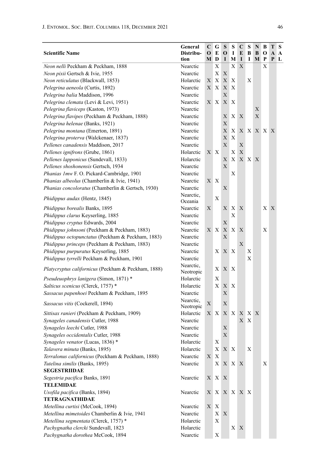|                                                     | General   | C           | G            | S   | S                         | C   | S            | N       | В | T | S |
|-----------------------------------------------------|-----------|-------------|--------------|-----|---------------------------|-----|--------------|---------|---|---|---|
| <b>Scientific Name</b>                              | Distribu- | О           | E            | O   | 1                         | E   | В            | B       | о | A | A |
|                                                     | tion      | M           | D            | I   | M                         | I   | 1            | М       | P | P | L |
| Neon nelli Peckham & Peckham, 1888                  | Nearctic  |             | Х            |     | X                         | X   |              |         | X |   |   |
| Neon pixii Gertsch & Ivie, 1955                     | Nearctic  |             | Х            | Х   |                           |     |              |         |   |   |   |
| Neon reticulatus (Blackwall, 1853)                  | Holarctic | Х           | Х            | X   | Χ                         |     | X            |         |   |   |   |
| Pelegrina aeneola (Curtis, 1892)                    | Nearctic  | X.          | X            | X   | X                         |     |              |         |   |   |   |
| Pelegrina balia Maddison, 1996                      | Nearctic  |             |              | X   |                           |     |              |         |   |   |   |
| Pelegrina clemata (Levi & Levi, 1951)               | Nearctic  | X           | X            | X   | X                         |     |              |         |   |   |   |
| Pelegrina flaviceps (Kaston, 1973)                  | Nearctic  |             |              |     |                           |     |              | Χ       |   |   |   |
| Pelegrina flavipes (Peckham & Peckham, 1888)        | Nearctic  |             |              | Х   | X                         | X   |              | X       |   |   |   |
| Pelegrina helenae (Banks, 1921)                     | Nearctic  |             |              | Х   |                           |     |              |         |   |   |   |
| Pelegrina montana (Emerton, 1891)                   | Nearctic  |             |              | X   | X                         |     |              | X X X X |   | X |   |
| Pelegrina proterva (Walckenaer, 1837)               | Nearctic  |             |              | Х   | X                         |     |              |         |   |   |   |
| Pellenes canadensis Maddison, 2017                  | Nearctic  |             |              | X   |                           | Х   |              |         |   |   |   |
| Pellenes ignifrons (Grube, 1861)                    | Holarctic | Χ           | X            |     | Х                         | Х   |              |         |   |   |   |
| Pellenes lapponicus (Sundevall, 1833)               | Holarctic |             |              | Х   | X                         |     | X X X        |         |   |   |   |
| Pellenes shoshonensis Gertsch, 1934                 | Nearctic  |             |              | X   |                           |     |              |         |   |   |   |
| Phanias 1mw F. O. Pickard-Cambridge, 1901           | Nearctic  |             |              |     | Х                         |     |              |         |   |   |   |
| Phanias albeolus (Chamberlin & Ivie, 1941)          | Nearctic  | X           | X            |     |                           |     |              |         |   |   |   |
| Phanias concoloratus (Chamberlin & Gertsch, 1930)   | Nearctic  |             |              | Х   |                           |     |              |         |   |   |   |
|                                                     | Nearctic, |             |              |     |                           |     |              |         |   |   |   |
| Phidippus audax (Hentz, 1845)                       | Oceania   |             | Х            |     |                           |     |              |         |   |   |   |
| Phidippus borealis Banks, 1895                      | Nearctic  | X           |              | X   | Χ                         | Х   |              |         | X | X |   |
| Phidippus clarus Keyserling, 1885                   | Nearctic  |             |              |     | X                         |     |              |         |   |   |   |
| Phidippus cryptus Edwards, 2004                     | Nearctic  |             |              | Х   |                           |     |              |         |   |   |   |
| Phidippus johnsoni (Peckham & Peckham, 1883)        | Nearctic  | Χ           | $\mathbf{X}$ | X   | $\mathbf{X}$              | Х   |              |         | Х |   |   |
| Phidippus octopunctatus (Peckham & Peckham, 1883)   | Nearctic  |             |              | Х   |                           |     |              |         |   |   |   |
| Phidippus princeps (Peckham & Peckham, 1883)        | Nearctic  |             |              |     |                           | X   |              |         |   |   |   |
| Phidippus purpuratus Keyserling, 1885               | Nearctic  |             | X            | X   | $\mathbf{X}$              |     | X            |         |   |   |   |
| Phidippus tyrrelli Peckham & Peckham, 1901          | Nearctic  |             |              |     |                           |     | X            |         |   |   |   |
|                                                     | Nearctic, |             |              |     |                           |     |              |         |   |   |   |
| Platycryptus californicus (Peckham & Peckham, 1888) | Neotropic |             | Х            | X   | X                         |     |              |         |   |   |   |
| Pseudeuophrys lanigera (Simon, 1871) *              | Holarctic |             | Х            |     |                           |     |              |         |   |   |   |
| Salticus scenicus (Clerck, 1757) *                  | Holarctic |             | X            | X   | $\mathbf{X}$              |     |              |         |   |   |   |
| Sassacus papenhoei Peckham & Peckham, 1895          | Nearctic  |             |              | Х   |                           |     |              |         |   |   |   |
|                                                     | Nearctic, | $\mathbf X$ |              | Х   |                           |     |              |         |   |   |   |
| Sassacus vitis (Cockerell, 1894)                    | Neotropic |             |              |     |                           |     |              |         |   |   |   |
| Sittisax ranieri (Peckham & Peckham, 1909)          | Holarctic | Χ           | X            |     | XX                        | X   | X            | X       |   |   |   |
| Synageles canadensis Cutler, 1988                   | Nearctic  |             |              |     |                           | X   | $\mathbf{X}$ |         |   |   |   |
| Synageles leechi Cutler, 1988                       | Nearctic  |             |              | Х   |                           |     |              |         |   |   |   |
| Synageles occidentalis Cutler, 1988                 | Nearctic  |             |              | X   |                           |     |              |         |   |   |   |
| Synageles venator (Lucas, 1836) *                   | Holarctic |             | X            |     |                           |     |              |         |   |   |   |
| Talavera minuta (Banks, 1895)                       | Holarctic |             | Χ            | X X |                           |     | X            |         |   |   |   |
| Terralonus californicus (Peckham & Peckham, 1888)   | Nearctic  | $\mathbf X$ | X            |     |                           |     |              |         |   |   |   |
| Tutelina similis (Banks, 1895)                      | Nearctic  |             | $\mathbf{X}$ |     | X X                       | X   |              |         | X |   |   |
| <b>SEGESTRIIDAE</b>                                 |           |             |              |     |                           |     |              |         |   |   |   |
| Segestria pacifica Banks, 1891                      | Nearctic  | X           | $\mathbf{X}$ | X   |                           |     |              |         |   |   |   |
| <b>TELEMIDAE</b>                                    |           |             |              |     |                           |     |              |         |   |   |   |
| Usofila pacifica (Banks, 1894)                      | Nearctic  | X           | X            |     | $X$ $X$                   | X X |              |         |   |   |   |
| <b>TETRAGNATHIDAE</b>                               |           |             |              |     |                           |     |              |         |   |   |   |
| Metellina curtisi (McCook, 1894)                    | Nearctic  | X           | $\mathbf{X}$ |     |                           |     |              |         |   |   |   |
| Metellina mimetoides Chamberlin & Ivie, 1941        | Nearctic  |             | X            | Х   |                           |     |              |         |   |   |   |
| Metellina segmentata (Clerck, 1757)*                | Holarctic |             | X            |     |                           |     |              |         |   |   |   |
| Pachygnatha clercki Sundevall, 1823                 | Holarctic |             |              |     | $\boldsymbol{\mathrm{X}}$ | X   |              |         |   |   |   |
| Pachygnatha dorothea McCook, 1894                   | Nearctic  |             | Χ            |     |                           |     |              |         |   |   |   |
|                                                     |           |             |              |     |                           |     |              |         |   |   |   |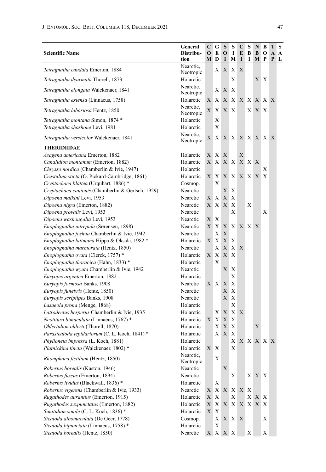| <b>Scientific Name</b>                            | General<br>Distribu-<br>tion | $\mathbf C$<br>O | G<br>E<br>MD | S<br>$\mathbf{o}$<br>I | S<br>1<br>М     | C<br>E<br>I | S<br>B<br>1  | N<br>B<br>M | В<br>O<br>P | T<br>A<br>P | ∣S.<br>$\mathbf{A}$<br>L |
|---------------------------------------------------|------------------------------|------------------|--------------|------------------------|-----------------|-------------|--------------|-------------|-------------|-------------|--------------------------|
| Tetragnatha caudata Emerton, 1884                 | Nearctic,                    |                  | $X_{-}$      | X                      | X               | X           |              |             |             |             |                          |
| Tetragnatha dearmata Thorell, 1873                | Neotropic<br>Holarctic       |                  |              |                        | Х               |             |              |             | ХX          |             |                          |
| Tetragnatha elongata Walckenaer, 1841             | Nearctic,<br>Neotropic       |                  | X            | $\boldsymbol{X}$       | X               |             |              |             |             |             |                          |
| <i>Tetragnatha extensa</i> (Linnaeus, 1758)       | Holarctic                    | X                | Х            | X                      | X               |             | XX           |             | X X X       |             |                          |
| Tetragnatha laboriosa Hentz, 1850                 | Nearctic,<br>Neotropic       | X                |              | X X                    | Χ               |             |              | X X X       |             |             |                          |
| Tetragnatha montana Simon, 1874 *                 | Holarctic                    |                  | Х            |                        |                 |             |              |             |             |             |                          |
| Tetragnatha shoshone Levi, 1981                   | Holarctic                    |                  | X            |                        |                 |             |              |             |             |             |                          |
| Tetragnatha versicolor Walckenaer, 1841           | Nearctic,<br>Neotropic       | Х                |              |                        | X X X X X X X X |             |              |             |             |             |                          |
| THERIDIIDAE                                       |                              |                  |              |                        |                 |             |              |             |             |             |                          |
| Asagena americana Emerton, 1882                   | Holarctic                    |                  | XX           | X                      |                 | Х           |              |             |             |             |                          |
| Canalidion montanum (Emerton, 1882)               | Holarctic                    | X                | X            | X                      | X               |             | X X X        |             |             |             |                          |
| Chrysso nordica (Chamberlin & Ivie, 1947)         | Holarctic                    |                  |              |                        |                 |             |              |             | Х           |             |                          |
| Crustulina sticta (O. Pickard-Cambridge, 1861)    | Holarctic                    | X                | Χ            |                        | XX.             |             |              | X X X X     |             |             |                          |
| Cryptachaea blattea (Urquhart, 1886) *            | Cosmop.                      |                  | Х            |                        |                 |             |              |             |             |             |                          |
| Cryptachaea canionis (Chamberlin & Gertsch, 1929) | Nearctic                     |                  |              | X                      | Х               |             |              |             |             |             |                          |
| Dipoena malkini Levi, 1953                        | Nearctic                     | Χ                | Х            | X                      | X               |             |              |             |             |             |                          |
| Dipoena nigra (Emerton, 1882)                     | Nearctic                     | X                | X            | X                      | X               |             | Х            |             |             |             |                          |
| Dipoena provalis Levi, 1953                       | Nearctic                     |                  |              |                        | X               |             |              |             | Х           |             |                          |
| Dipoena washougalia Levi, 1953                    | Nearctic                     | Χ                | Х            |                        |                 |             |              |             |             |             |                          |
| Enoplognatha intrepida (Sørensen, 1898)           | Nearctic                     | X                | Х            | $X_{-}$                | X               |             | X X X        |             |             |             |                          |
| Enoplognatha joshua Chamberlin & Ivie, 1942       | Nearctic                     |                  | X            | $\mathbf X$            |                 |             |              |             |             |             |                          |
| Enoplognatha latimana Hippa & Oksala, 1982 *      | Holarctic                    | X                | X            | X                      | X               |             |              |             |             |             |                          |
| Enoplognatha marmorata (Hentz, 1850)              | Nearctic                     |                  | X            | X                      | X               | X           |              |             |             |             |                          |
| Enoplognatha ovata (Clerck, 1757)*                | Holarctic                    | X                | X            | X                      | X               |             |              |             |             |             |                          |
| Enoplognatha thoracica (Hahn, 1833) *             | Holarctic                    |                  | Х            |                        |                 |             |              |             |             |             |                          |
| Enoplognatha wyuta Chamberlin & Ivie, 1942        | Nearctic                     |                  |              | Х                      | Х               |             |              |             |             |             |                          |
| Euryopis argentea Emerton, 1882                   | Holarctic                    |                  |              |                        | X               |             |              |             |             |             |                          |
| Euryopis formosa Banks, 1908                      | Nearctic                     |                  | XX           | X                      | X               |             |              |             |             |             |                          |
| Euryopis funebris (Hentz, 1850)                   | Nearctic                     |                  |              | Х                      | Х               |             |              |             |             |             |                          |
| Euryopis scriptipes Banks, 1908                   | Nearctic                     |                  |              | X                      | X               |             |              |             |             |             |                          |
| Lasaeola prona (Menge, 1868)                      | Holarctic                    |                  |              |                        | X               |             |              |             |             |             |                          |
| Latrodectus hesperus Chamberlin & Ivie, 1935      | Holarctic                    |                  | X            | X                      | X               | X           |              |             |             |             |                          |
| Neottiura bimaculata (Linnaeus, 1767) *           | Holarctic                    | $X_{-}$          | X            | X                      | Χ               |             |              |             |             |             |                          |
| Ohlertidion ohlerti (Thorell, 1870)               | Holarctic                    |                  | Х            | X                      | X               |             |              | X           |             |             |                          |
| Parasteatoda tepidariorum (C. L. Koch, 1841) *    | Holarctic                    |                  | $X_{-}$      | $\mathbf X$            | X               |             |              |             |             |             |                          |
| Phylloneta impressa (L. Koch, 1881)               | Holarctic                    |                  |              |                        |                 | X X X X X X |              |             |             |             |                          |
| Platnickina tincta (Walckenaer, 1802) *           | Holarctic                    |                  | X X          |                        | Χ               |             |              |             |             |             |                          |
| Rhomphaea fictilium (Hentz, 1850)                 | Nearctic.<br>Neotropic       |                  | X            |                        |                 |             |              |             |             |             |                          |
| Robertus borealis (Kaston, 1946)                  | Nearctic                     |                  |              | X                      |                 |             |              |             |             |             |                          |
| Robertus fuscus (Emerton, 1894)                   | Nearctic                     |                  |              |                        | Х               |             |              | X X X       |             |             |                          |
| Robertus lividus (Blackwall, 1836) *              | Holarctic                    |                  | Х            |                        |                 |             |              |             |             |             |                          |
| Robertus vigerens (Chamberlin & Ivie, 1933)       | Nearctic                     | X                | X            | $\mathbf X$            | X               | X X         |              |             |             |             |                          |
| Rugathodes aurantius (Emerton, 1915)              | Holarctic                    | X                | $\mathbf X$  |                        | X               |             | $\mathbf{X}$ |             | X X         |             |                          |
| Rugathodes sexpunctatus (Emerton, 1882)           | Holarctic                    | X.               | X            | $X_{\mathcal{L}}$      | $X_{-}$         |             |              | X X X X     |             |             |                          |
| Simitidion simile (C. L. Koch, 1836) *            | Holarctic                    | X                | X            |                        |                 |             |              |             |             |             |                          |
| Steatoda albomaculata (De Geer, 1778)             | Cosmop.                      |                  | Χ            |                        | XX.             | X           |              |             | X           |             |                          |
| Steatoda bipunctata (Linnaeus, 1758)*             | Holarctic                    |                  | X            |                        |                 |             |              |             |             |             |                          |
| Steatoda borealis (Hentz, 1850)                   | Nearctic                     |                  |              | X X X X                |                 |             | Х            |             | X           |             |                          |
|                                                   |                              |                  |              |                        |                 |             |              |             |             |             |                          |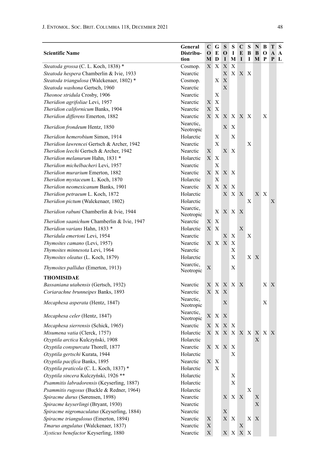|                                             | General                | C           | G            | S            | S                                             | C           | S           | N   | В              | Т | S |
|---------------------------------------------|------------------------|-------------|--------------|--------------|-----------------------------------------------|-------------|-------------|-----|----------------|---|---|
| <b>Scientific Name</b>                      | Distribu-              | O           | E            | О            | 1                                             | E           | В           | B   | 0              | A | A |
|                                             | tion                   | М           | D            | 1            | M                                             | I           | 1           | M P |                | P | ∟ |
| Steatoda grossa (C. L. Koch, 1838) *        | Cosmop.                | X           | Х            | X            | Х                                             |             |             |     |                |   |   |
| Steatoda hespera Chamberlin & Ivie, 1933    | Nearctic               |             |              | X            | X                                             | X X         |             |     |                |   |   |
| Steatoda triangulosa (Walckenaer, 1802)*    | Cosmop.                |             | X            | X            |                                               |             |             |     |                |   |   |
| Steatoda washona Gertsch, 1960              | Nearctic               |             |              | X            |                                               |             |             |     |                |   |   |
| Theonoe stridula Crosby, 1906               | Nearctic               |             | Х            |              |                                               |             |             |     |                |   |   |
| Theridion agrifoliae Levi, 1957             | Nearctic               | X           | X            |              |                                               |             |             |     |                |   |   |
| Theridion californicum Banks, 1904          | Nearctic               | X           | X            |              |                                               |             |             |     |                |   |   |
| Theridion differens Emerton, 1882           | Nearctic               | X           | $\mathbf{X}$ | X            | X                                             | X X         |             |     | Χ              |   |   |
| <i>Theridion frondeum Hentz, 1850</i>       | Nearctic,<br>Neotropic |             |              | X            | Х                                             |             |             |     |                |   |   |
| Theridion hemerobium Simon, 1914            | Holarctic              |             | Х            |              | X                                             |             |             |     |                |   |   |
| Theridion lawrencei Gertsch & Archer, 1942  | Nearctic               |             | X            |              |                                               |             | X           |     |                |   |   |
| Theridion leechi Gertsch & Archer, 1942     | Nearctic               | X           |              | X            | Χ                                             |             |             |     |                |   |   |
| Theridion melanurum Hahn, 1831 *            | Holarctic              | X           | Х            |              |                                               |             |             |     |                |   |   |
| Theridion michelbacheri Levi, 1957          | Nearctic               |             | Х            |              |                                               |             |             |     |                |   |   |
| Theridion murarium Emerton, 1882            | Nearctic               | X           | X            |              | ХX                                            |             |             |     |                |   |   |
| Theridion mystaceum L. Koch, 1870           | Holarctic              |             | Х            |              |                                               |             |             |     |                |   |   |
| Theridion neomexicanum Banks, 1901          | Nearctic               | X           | X            | X            | Х                                             |             |             |     |                |   |   |
| Theridion petraeum L. Koch, 1872            | Holarctic              |             |              | X            | X                                             | X           |             | X   | $\mathbf{X}$   |   |   |
| Theridion pictum (Walckenaer, 1802)         | Holarctic              |             |              |              |                                               |             | X           |     |                | X |   |
| Theridion rabuni Chamberlin & Ivie, 1944    | Nearctic,              |             | Χ            |              | XX                                            | X           |             |     |                |   |   |
|                                             | Neotropic              |             |              |              |                                               |             |             |     |                |   |   |
| Theridion saanichum Chamberlin & Ivie, 1947 | Nearctic               | Х           | X            |              |                                               |             |             |     |                |   |   |
| <i>Theridion varians</i> Hahn, 1833 *       | Holarctic              | X           | X            |              |                                               | X           |             |     |                |   |   |
| Theridula emertoni Levi, 1954               | Nearctic               |             |              | Х            | Χ                                             |             | X           |     |                |   |   |
| <i>Thymoites camano</i> (Levi, 1957)        | Nearctic               | X           | X            | X            | X                                             |             |             |     |                |   |   |
| Thymoites minnesota Levi, 1964              | Nearctic               |             |              |              | X                                             |             |             |     |                |   |   |
| Thymoites oleatus (L. Koch, 1879)           | Holarctic<br>Nearctic, |             |              |              | X                                             |             | X X         |     |                |   |   |
| Thymoites pallidus (Emerton, 1913)          | Neotropic              | Х           |              |              | Χ                                             |             |             |     |                |   |   |
| THOMISIDAE                                  |                        |             |              |              |                                               |             |             |     |                |   |   |
| Bassaniana utahensis (Gertsch, 1932)        | Nearctic               | Х           | X            | X            | $\mathbf{X}$                                  | X           |             |     | X <sup>1</sup> | X |   |
| Coriarachne brunneipes Banks, 1893          | Nearctic               |             | XX           | X            |                                               |             |             |     |                |   |   |
|                                             | Nearctic.              |             |              |              |                                               |             |             |     | Х              |   |   |
| <i>Mecaphesa asperata</i> (Hentz, 1847)     | Neotropic              |             |              | Х            |                                               |             |             |     |                |   |   |
| Mecaphesa celer (Hentz, 1847)               | Nearctic,<br>Neotropic | Χ           | X            | X            |                                               |             |             |     |                |   |   |
| Mecaphesa sierrensis (Schick, 1965)         | Nearctic               | Х           | Х            | Χ            | X                                             |             |             |     |                |   |   |
| Misumena vatia (Clerck, 1757)               | Holarctic              | X           | X            | X            | X                                             |             | XX.         | X   | X              | X |   |
| Ozyptila arctica Kulczyński, 1908           | Holarctic              |             |              |              |                                               |             |             | X   |                |   |   |
| Ozyptila conspurcata Thorell, 1877          | Nearctic               |             |              | $X \times X$ | X                                             |             |             |     |                |   |   |
| Ozyptila gertschi Kurata, 1944              | Holarctic              |             |              |              | X                                             |             |             |     |                |   |   |
| Ozyptila pacifica Banks, 1895               | Nearctic               |             | X X          |              |                                               |             |             |     |                |   |   |
| Ozyptila praticola (C. L. Koch, 1837) *     | Holarctic              |             | X            |              |                                               |             |             |     |                |   |   |
| Ozyptila sincera Kulczyński, 1926 **        | Holarctic              |             |              |              | Χ                                             |             |             |     |                |   |   |
| Psammitis labradorensis (Keyserling, 1887)  | Holarctic              |             |              |              | X                                             |             |             |     |                |   |   |
| Psammitis rugosus (Buckle & Redner, 1964)   | Holarctic              |             |              |              |                                               |             | $\mathbf X$ |     |                |   |   |
| Spiracme durus (Sørensen, 1898)             | Nearctic               |             |              | X            | X                                             | X           |             | X   |                |   |   |
| Spiracme keyserlingi (Bryant, 1930)         | Nearctic               |             |              |              |                                               |             |             | X   |                |   |   |
| Spiracme nigromaculatus (Keyserling, 1884)  | Nearctic               |             |              | $\mathbf X$  |                                               |             |             |     |                |   |   |
| Spiracme triangulosus (Emerton, 1894)       | Nearctic               | X           |              | X            | $\mathbf{X}$                                  |             | X           | X   |                |   |   |
| Tmarus angulatus (Walckenaer, 1837)         | Nearctic               | $\mathbf X$ |              |              |                                               | $\mathbf X$ |             |     |                |   |   |
| Xysticus benefactor Keyserling, 1880        | Nearctic               | $\mathbf X$ |              |              | $\mathbf{X} \mathbf{X} \mathbf{X} \mathbf{X}$ |             |             |     |                |   |   |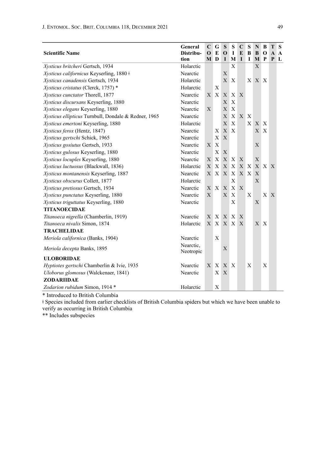| <b>Scientific Name</b>                               | General<br>Distribu-   | $\mathbf C$<br>$\mathbf{O}$ | G<br>E       | S<br>$\mathbf{O}$ | s<br>1       | $\mathbf C$<br>E | S<br>B | N<br>B | B<br>$\mathbf 0$ | т<br>$\mathbf{A}$ | S<br>A       |
|------------------------------------------------------|------------------------|-----------------------------|--------------|-------------------|--------------|------------------|--------|--------|------------------|-------------------|--------------|
|                                                      | tion                   | M                           | D            | $\bf{I}$          | M            | $\mathbf I$      | 1      | M P    |                  | P                 | $\mathbf{L}$ |
| Xysticus britcheri Gertsch, 1934                     | Holarctic              |                             |              |                   | X            |                  |        | X      |                  |                   |              |
| Xysticus californicus Keyserling, 1880 ‡             | Nearctic               |                             |              | X                 |              |                  |        |        |                  |                   |              |
| Xysticus canadensis Gertsch, 1934                    | Holarctic              |                             |              | $\mathbf{X}$      | X            |                  |        | X X X  |                  |                   |              |
| Xysticus cristatus (Clerck, 1757) *                  | Holarctic              |                             | X            |                   |              |                  |        |        |                  |                   |              |
| Xysticus cunctator Thorell, 1877                     | Nearctic               |                             | X X          | X                 | X X          |                  |        |        |                  |                   |              |
| Xysticus discursans Keyserling, 1880                 | Nearctic               |                             |              | $\mathbf{X}$      | X            |                  |        |        |                  |                   |              |
| Xysticus elegans Keyserling, 1880                    | Nearctic               | X                           |              | X                 | X            |                  |        |        |                  |                   |              |
| Xysticus ellipticus Turnbull, Dondale & Redner, 1965 | Nearctic               |                             |              | X                 | X            | X X              |        |        |                  |                   |              |
| Xysticus emertoni Keyserling, 1880                   | Holarctic              |                             |              | $\mathbf{X}$      | X            |                  | X      | X X    |                  |                   |              |
| Xysticus ferox (Hentz, 1847)                         | Nearctic               |                             | X            | X                 | $\mathbf{x}$ |                  |        | X      | X                |                   |              |
| Xysticus gertschi Schick, 1965                       | Nearctic               |                             | X            | $\mathbf{X}$      |              |                  |        |        |                  |                   |              |
| Xysticus gosiutus Gertsch, 1933                      | Nearctic               | $\mathbf{X}$                | $\mathbf{x}$ |                   |              |                  |        | X      |                  |                   |              |
| Xysticus gulosus Keyserling, 1880                    | Nearctic               |                             | X            | X                 |              |                  |        |        |                  |                   |              |
| Xysticus locuples Keyserling, 1880                   | Nearctic               | X                           | X            | X                 | X            | X                |        | X      |                  |                   |              |
| Xysticus luctuosus (Blackwall, 1836)                 | Holarctic              | X                           | X            | X                 | X            |                  | X X    |        | X X X            |                   |              |
| Xysticus montanensis Keyserling, 1887                | Nearctic               | $X_{-}$                     |              | X X               | $\mathbf{X}$ |                  | X X    | X      |                  |                   |              |
| Xysticus obscurus Collett, 1877                      | Holarctic              |                             |              |                   | X            |                  |        | X      |                  |                   |              |
| Xysticus pretiosus Gertsch, 1934                     | Nearctic               | X                           | X            | $\mathbf{X}$      | X            | $\mathbf{X}$     |        |        |                  |                   |              |
| Xysticus punctatus Keyserling, 1880                  | Nearctic               | X                           |              | $\mathbf{X}$      | X            |                  | X      |        | X                | X                 |              |
| Xysticus triguttatus Keyserling, 1880                | Nearctic               |                             |              |                   | X            |                  |        | X      |                  |                   |              |
| <b>TITANOECIDAE</b>                                  |                        |                             |              |                   |              |                  |        |        |                  |                   |              |
| Titanoeca nigrella (Chamberlin, 1919)                | Nearctic               | X                           |              | X X X             |              | X                |        |        |                  |                   |              |
| Titanoeca nivalis Simon, 1874                        | Holarctic              |                             |              | X X X X           |              | X                |        | X      | $\mathbf{X}$     |                   |              |
| <b>TRACHELIDAE</b>                                   |                        |                             |              |                   |              |                  |        |        |                  |                   |              |
| Meriola californica (Banks, 1904)                    | Nearctic               |                             | X            |                   |              |                  |        |        |                  |                   |              |
| Meriola decepta Banks, 1895                          | Nearctic,<br>Neotropic |                             |              | X                 |              |                  |        |        |                  |                   |              |
| <b>ULOBORIDAE</b>                                    |                        |                             |              |                   |              |                  |        |        |                  |                   |              |
| Hyptiotes gertschi Chamberlin & Ivie, 1935           | Nearctic               |                             | XX           | X X               |              |                  | X      |        | X                |                   |              |
| Uloborus glomosus (Walckenaer, 1841)                 | Nearctic               |                             | X            | $\mathbf{X}$      |              |                  |        |        |                  |                   |              |
| ZODARIIDAE                                           |                        |                             |              |                   |              |                  |        |        |                  |                   |              |
| Zodarion rubidum Simon, 1914 *                       | Holarctic              |                             | X            |                   |              |                  |        |        |                  |                   |              |

\* Introduced to British Columbia

ǂ Species included from earlier checklists of British Columbia spiders but which we have been unable to verify as occurring in British Columbia

\*\* Includes subspecies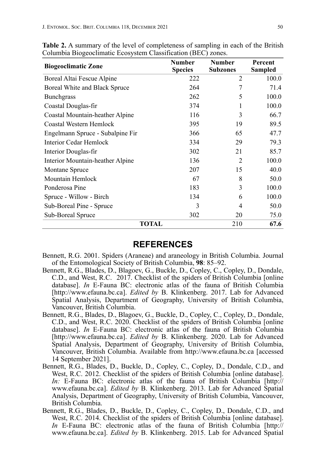| <b>Biogeoclimatic Zone</b>       | <b>Number</b><br><b>Species</b> | <b>Number</b><br><b>Subzones</b> | Percent<br><b>Sampled</b> |
|----------------------------------|---------------------------------|----------------------------------|---------------------------|
| Boreal Altai Fescue Alpine       | 222                             | 2                                | 100.0                     |
| Boreal White and Black Spruce    | 264                             | 7                                | 71.4                      |
| <b>Bunchgrass</b>                | 262                             | 5                                | 100.0                     |
| Coastal Douglas-fir              | 374                             |                                  | 100.0                     |
| Coastal Mountain-heather Alpine  | 116                             | 3                                | 66.7                      |
| Coastal Western Hemlock          | 395                             | 19                               | 89.5                      |
| Engelmann Spruce - Subalpine Fir | 366                             | 65                               | 47.7                      |
| Interior Cedar Hemlock           | 334                             | 29                               | 79.3                      |
| Interior Douglas-fir             | 302                             | 21                               | 85.7                      |
| Interior Mountain-heather Alpine | 136                             | 2                                | 100.0                     |
| Montane Spruce                   | 207                             | 15                               | 40.0                      |
| Mountain Hemlock                 | 67                              | 8                                | 50.0                      |
| Ponderosa Pine                   | 183                             | 3                                | 100.0                     |
| Spruce - Willow - Birch          | 134                             | 6                                | 100.0                     |
| Sub-Boreal Pine - Spruce         | 3                               | 4                                | 50.0                      |
| Sub-Boreal Spruce                | 302                             | 20                               | 75.0                      |
| TOTAL                            |                                 | 210                              | 67.6                      |

**Table 2.** A summary of the level of completeness of sampling in each of the British Columbia Biogeoclimatic Ecosystem Classification (BEC) zones.

#### **REFERENCES**

- Bennett, R.G. 2001. Spiders (Araneae) and araneology in British Columbia. Journal of the Entomological Society of British Columbia, **98**: 85–92.
- Bennett, R.G., Blades, D., Blagoev, G., Buckle, D., Copley, C., Copley, D., Dondale, C.D., and West, R.C. 2017. Checklist of the spiders of British Columbia [online database]. *In* E-Fauna BC: electronic atlas of the fauna of British Columbia [http://www.efauna.bc.ca]. *Edited by* B. Klinkenberg. 2017. Lab for Advanced Spatial Analysis, Department of Geography, University of British Columbia, Vancouver, British Columbia.
- Bennett, R.G., Blades, D., Blagoev, G., Buckle, D., Copley, C., Copley, D., Dondale, C.D., and West, R.C. 2020. Checklist of the spiders of British Columbia [online database]. *In* E-Fauna BC: electronic atlas of the fauna of British Columbia [http://www.efauna.bc.ca]. *Edited by* B. Klinkenberg. 2020. Lab for Advanced Spatial Analysis, Department of Geography, University of British Columbia, Vancouver, British Columbia. Available from http://www.efauna.bc.ca [accessed 14 September 2021].
- Bennett, R.G., Blades, D., Buckle, D., Copley, C., Copley, D., Dondale, C.D., and West, R.C. 2012. Checklist of the spiders of British Columbia [online database]. *In:* E-Fauna BC: electronic atlas of the fauna of British Columbia [http:// www.efauna.bc.ca]. *Edited by* B. Klinkenberg. 2013. Lab for Advanced Spatial Analysis, Department of Geography, University of British Columbia, Vancouver, British Columbia.
- Bennett, R.G., Blades, D., Buckle, D., Copley, C., Copley, D., Dondale, C.D., and West, R.C. 2014. Checklist of the spiders of British Columbia [online database]. *In* E-Fauna BC: electronic atlas of the fauna of British Columbia [http:// www.efauna.bc.ca]. *Edited by* B. Klinkenberg. 2015. Lab for Advanced Spatial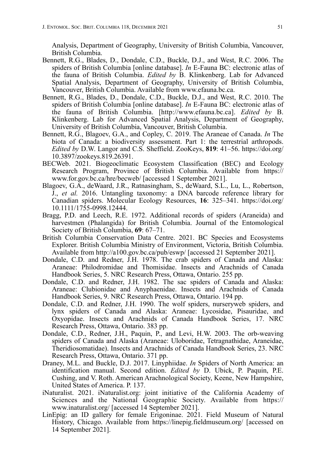Analysis, Department of Geography, University of British Columbia, Vancouver, British Columbia.

- Bennett, R.G., Blades, D., Dondale, C.D., Buckle, D.J., and West, R.C. 2006. The spiders of British Columbia [online database]. *In* E-Fauna BC: electronic atlas of the fauna of British Columbia. *Edited by* B. Klinkenberg. Lab for Advanced Spatial Analysis, Department of Geography, University of British Columbia, Vancouver, British Columbia. Available from www.efauna.bc.ca.
- Bennett, R.G., Blades, D., Dondale, C.D., Buckle, D.J., and West, R.C. 2010. The spiders of British Columbia [online database]. *In* E-Fauna BC: electronic atlas of the fauna of British Columbia. [http://www.efauna.bc.ca]. *Edited by* B. Klinkenberg. Lab for Advanced Spatial Analysis, Department of Geography, University of British Columbia, Vancouver, British Columbia.
- Bennett, R.G., Blagoev, G.A., and Copley, C. 2019. The Araneae of Canada. *In* The biota of Canada: a biodiversity assessment. Part 1: the terrestrial arthropods. *Edited by* D.W. Langor and C.S. Sheffield. ZooKeys, **819**: 41–56. https://doi.org/ 10.3897/zookeys.819.26391.
- BECWeb. 2021. Biogeoclimatic Ecosystem Classification (BEC) and Ecology Research Program, Province of British Columbia. Available from https:// www.for.gov.bc.ca/hre/becweb/ [accessed 1 September 2021].
- Blagoev, G.A., deWaard, J.R., Ratnasingham, S., deWaard, S.L., Lu, L., Robertson, J., *et al.* 2016. Untangling taxonomy: a DNA barcode reference library for Canadian spiders. Molecular Ecology Resources, **16**: 325–341. https://doi.org/ 10.1111/1755-0998.12444.
- Bragg, P.D. and Leech, R.E. 1972. Additional records of spiders (Araneida) and harvestmen (Phalangida) for British Columbia. Journal of the Entomological Society of British Columbia, **69**: 67–71.
- British Columbia Conservation Data Centre. 2021. BC Species and Ecosystems Explorer. British Columbia Ministry of Environment, Victoria, British Columbia. Available from http://a100.gov.bc.ca/pub/eswp/ [accessed 21 September 2021].
- Dondale, C.D. and Redner, J.H. 1978. The crab spiders of Canada and Alaska: Araneae: Philodromidae and Thomisidae. Insects and Arachnids of Canada Handbook Series, 5. NRC Research Press, Ottawa, Ontario. 255 pp.
- Dondale, C.D. and Redner, J.H. 1982. The sac spiders of Canada and Alaska: Araneae: Clubionidae and Anyphaenidae. Insects and Arachnids of Canada Handbook Series, 9. NRC Research Press, Ottawa, Ontario. 194 pp.
- Dondale, C.D. and Redner, J.H. 1990. The wolf spiders, nurseryweb spiders, and lynx spiders of Canada and Alaska: Araneae: Lycosidae, Pisauridae, and Oxyopidae. Insects and Arachnids of Canada Handbook Series, 17. NRC Research Press, Ottawa, Ontario. 383 pp.
- Dondale, C.D., Redner, J.H., Paquin, P., and Levi, H.W. 2003. The orb-weaving spiders of Canada and Alaska (Araneae: Uloboridae, Tetragnathidae, Araneidae, Theridiosomatidae). Insects and Arachnids of Canada Handbook Series, 23. NRC Research Press, Ottawa, Ontario. 371 pp.
- Draney, M.L. and Buckle, D.J. 2017. Linyphiidae. *In* Spiders of North America: an identification manual. Second edition. *Edited by* D. Ubick, P. Paquin, P.E. Cushing, and V. Roth. American Arachnological Society, Keene, New Hampshire, United States of America. P. 137.
- iNaturalist. 2021. iNaturalist.org: joint initiative of the California Academy of Sciences and the National Geographic Society. Available from https:// www.inaturalist.org/ [accessed 14 September 2021].
- LinEpig: an ID gallery for female Erigoninae. 2021. Field Museum of Natural History, Chicago. Available from https://linepig.fieldmuseum.org/ [accessed on 14 September 2021].